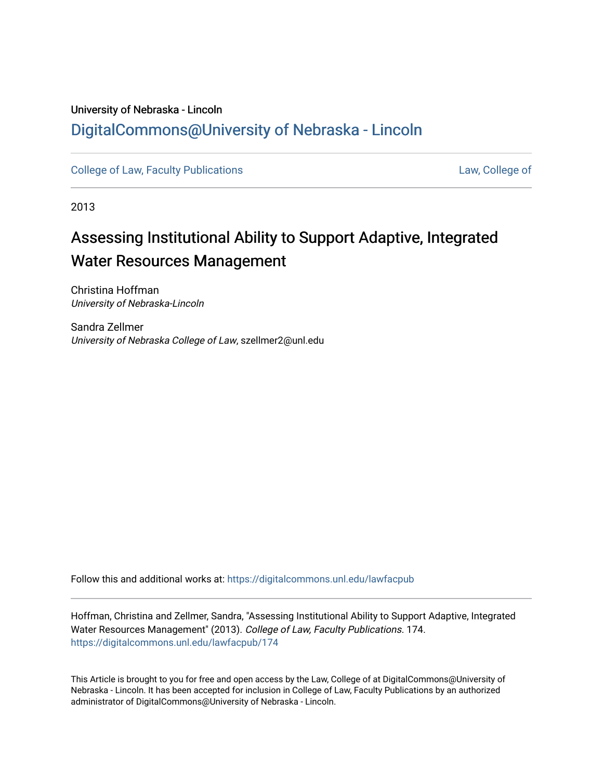## University of Nebraska - Lincoln [DigitalCommons@University of Nebraska - Lincoln](https://digitalcommons.unl.edu/)

[College of Law, Faculty Publications](https://digitalcommons.unl.edu/lawfacpub) [Law, College of](https://digitalcommons.unl.edu/law) Law, College of

2013

# Assessing Institutional Ability to Support Adaptive, Integrated Water Resources Management

Christina Hoffman University of Nebraska-Lincoln

Sandra Zellmer University of Nebraska College of Law, szellmer2@unl.edu

Follow this and additional works at: [https://digitalcommons.unl.edu/lawfacpub](https://digitalcommons.unl.edu/lawfacpub?utm_source=digitalcommons.unl.edu%2Flawfacpub%2F174&utm_medium=PDF&utm_campaign=PDFCoverPages) 

Hoffman, Christina and Zellmer, Sandra, "Assessing Institutional Ability to Support Adaptive, Integrated Water Resources Management" (2013). College of Law, Faculty Publications. 174. [https://digitalcommons.unl.edu/lawfacpub/174](https://digitalcommons.unl.edu/lawfacpub/174?utm_source=digitalcommons.unl.edu%2Flawfacpub%2F174&utm_medium=PDF&utm_campaign=PDFCoverPages) 

This Article is brought to you for free and open access by the Law, College of at DigitalCommons@University of Nebraska - Lincoln. It has been accepted for inclusion in College of Law, Faculty Publications by an authorized administrator of DigitalCommons@University of Nebraska - Lincoln.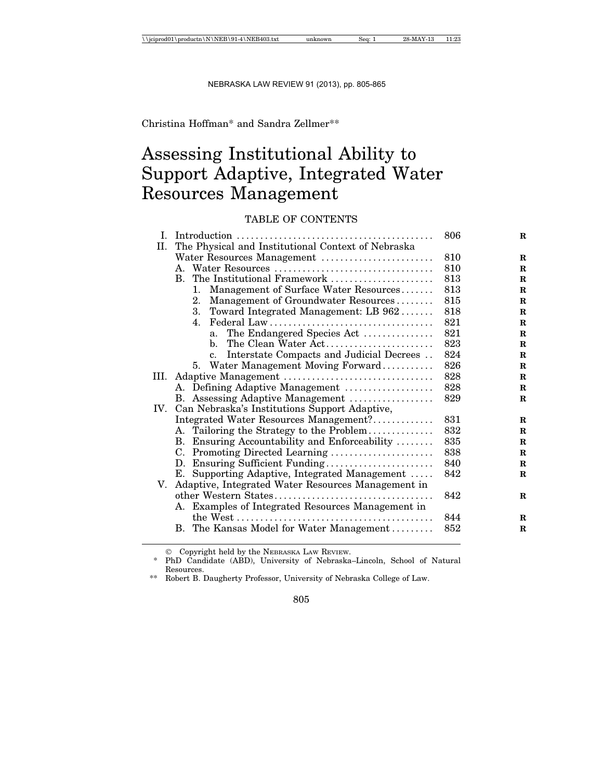## Christina Hoffman\* and Sandra Zellmer\*\*

## Assessing Institutional Ability to Support Adaptive, Integrated Water Resources Management

## TABLE OF CONTENTS

| Ι.   |                                                    |                                                       | 806 |  |  |  |
|------|----------------------------------------------------|-------------------------------------------------------|-----|--|--|--|
| II.  | The Physical and Institutional Context of Nebraska |                                                       |     |  |  |  |
|      |                                                    | Water Resources Management                            | 810 |  |  |  |
|      |                                                    |                                                       | 810 |  |  |  |
|      |                                                    | B. The Institutional Framework                        | 813 |  |  |  |
|      |                                                    | Management of Surface Water Resources<br>1.           | 813 |  |  |  |
|      |                                                    | Management of Groundwater Resources<br>2.             | 815 |  |  |  |
|      |                                                    | 3. Toward Integrated Management: LB 962               | 818 |  |  |  |
|      |                                                    | 4.                                                    | 821 |  |  |  |
|      |                                                    | The Endangered Species Act<br>a.                      | 821 |  |  |  |
|      |                                                    | The Clean Water Act<br>b.                             | 823 |  |  |  |
|      |                                                    | Interstate Compacts and Judicial Decrees<br>c.        | 824 |  |  |  |
|      |                                                    | 5. Water Management Moving Forward                    | 826 |  |  |  |
| III. |                                                    |                                                       | 828 |  |  |  |
|      |                                                    | A. Defining Adaptive Management                       | 828 |  |  |  |
|      |                                                    | B. Assessing Adaptive Management                      | 829 |  |  |  |
| IV.  | Can Nebraska's Institutions Support Adaptive,      |                                                       |     |  |  |  |
|      |                                                    | Integrated Water Resources Management?                | 831 |  |  |  |
|      |                                                    | A. Tailoring the Strategy to the Problem              | 832 |  |  |  |
|      |                                                    | B. Ensuring Accountability and Enforceability         | 835 |  |  |  |
|      |                                                    | C. Promoting Directed Learning                        | 838 |  |  |  |
|      |                                                    | D. Ensuring Sufficient Funding                        | 840 |  |  |  |
|      |                                                    | E. Supporting Adaptive, Integrated Management         | 842 |  |  |  |
|      |                                                    | V. Adaptive, Integrated Water Resources Management in |     |  |  |  |
|      |                                                    |                                                       | 842 |  |  |  |
|      |                                                    | A. Examples of Integrated Resources Management in     |     |  |  |  |
|      |                                                    |                                                       | 844 |  |  |  |
|      |                                                    | B. The Kansas Model for Water Management              | 852 |  |  |  |
|      |                                                    |                                                       |     |  |  |  |

Copyright held by the NEBRASKA LAW REVIEW.

<sup>\*</sup> PhD Candidate (ABD), University of Nebraska–Lincoln, School of Natural Resources.

<sup>\*\*</sup> Robert B. Daugherty Professor, University of Nebraska College of Law.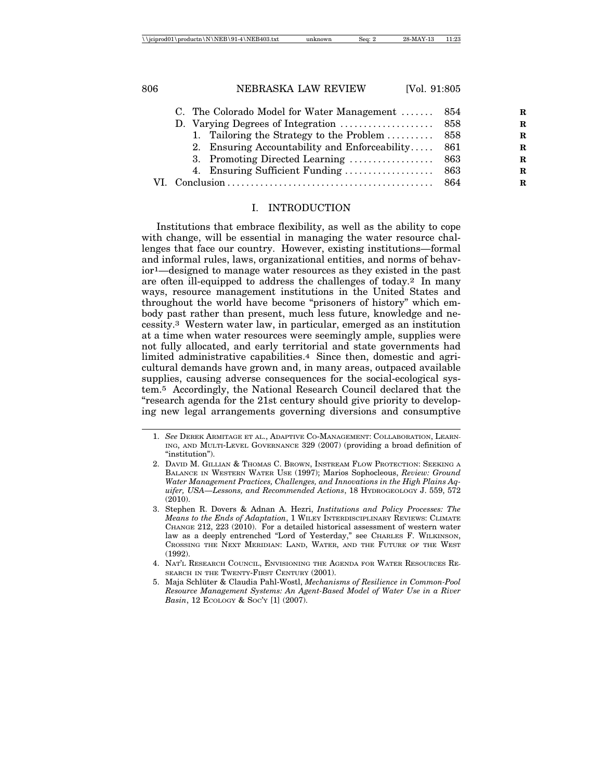|  | C. The Colorado Model for Water Management  854   |  |  |
|--|---------------------------------------------------|--|--|
|  |                                                   |  |  |
|  | 1. Tailoring the Strategy to the Problem  858     |  |  |
|  | 2. Ensuring Accountability and Enforceability 861 |  |  |
|  |                                                   |  |  |
|  |                                                   |  |  |
|  |                                                   |  |  |
|  |                                                   |  |  |

## I. INTRODUCTION

Institutions that embrace flexibility, as well as the ability to cope with change, will be essential in managing the water resource challenges that face our country. However, existing institutions—formal and informal rules, laws, organizational entities, and norms of behavior1—designed to manage water resources as they existed in the past are often ill-equipped to address the challenges of today.2 In many ways, resource management institutions in the United States and throughout the world have become "prisoners of history" which embody past rather than present, much less future, knowledge and necessity.3 Western water law, in particular, emerged as an institution at a time when water resources were seemingly ample, supplies were not fully allocated, and early territorial and state governments had limited administrative capabilities.4 Since then, domestic and agricultural demands have grown and, in many areas, outpaced available supplies, causing adverse consequences for the social-ecological system.5 Accordingly, the National Research Council declared that the "research agenda for the 21st century should give priority to developing new legal arrangements governing diversions and consumptive

<sup>1.</sup> *See* DEREK ARMITAGE ET AL., ADAPTIVE CO-MANAGEMENT: COLLABORATION, LEARN-ING, AND MULTI-LEVEL GOVERNANCE 329 (2007) (providing a broad definition of "institution").

<sup>2.</sup> DAVID M. GILLIAN & THOMAS C. BROWN, INSTREAM FLOW PROTECTION: SEEKING A BALANCE IN WESTERN WATER USE (1997); Marios Sophocleous, *Review: Ground Water Management Practices, Challenges, and Innovations in the High Plains Aquifer, USA—Lessons, and Recommended Actions*, 18 HYDROGEOLOGY J. 559, 572 (2010).

<sup>3.</sup> Stephen R. Dovers & Adnan A. Hezri, *Institutions and Policy Processes: The Means to the Ends of Adaptation*, 1 WILEY INTERDISCIPLINARY REVIEWS: CLIMATE CHANGE 212, 223 (2010). For a detailed historical assessment of western water law as a deeply entrenched "Lord of Yesterday," see CHARLES F. WILKINSON, CROSSING THE NEXT MERIDIAN: LAND, WATER, AND THE FUTURE OF THE WEST (1992).

<sup>4.</sup> NAT'L RESEARCH COUNCIL, ENVISIONING THE AGENDA FOR WATER RESOURCES RE-SEARCH IN THE TWENTY-FIRST CENTURY (2001).

<sup>5.</sup> Maja Schlüter & Claudia Pahl-Wostl, *Mechanisms of Resilience in Common-Pool Resource Management Systems: An Agent-Based Model of Water Use in a River Basin*, 12 ECOLOGY & SOC'Y [1] (2007).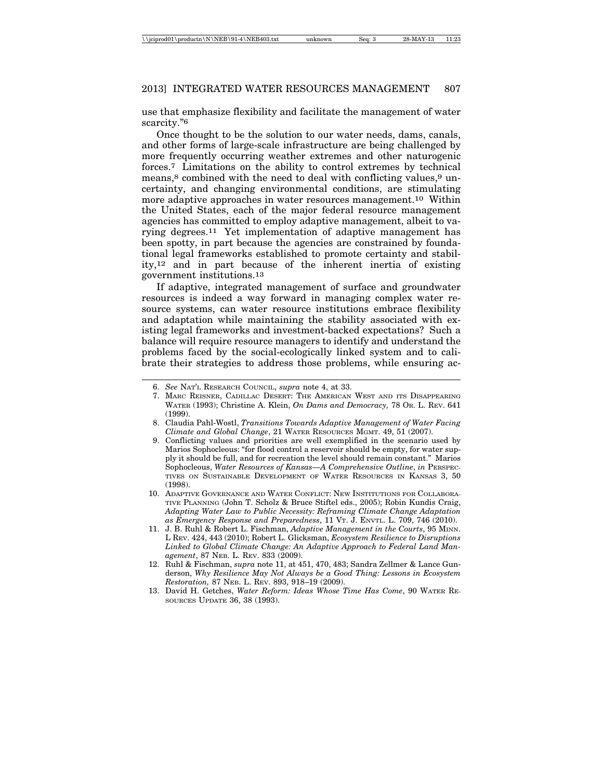use that emphasize flexibility and facilitate the management of water scarcity."6

Once thought to be the solution to our water needs, dams, canals, and other forms of large-scale infrastructure are being challenged by more frequently occurring weather extremes and other naturogenic forces.7 Limitations on the ability to control extremes by technical means,<sup>8</sup> combined with the need to deal with conflicting values,<sup>9</sup> uncertainty, and changing environmental conditions, are stimulating more adaptive approaches in water resources management.10 Within the United States, each of the major federal resource management agencies has committed to employ adaptive management, albeit to varying degrees.11 Yet implementation of adaptive management has been spotty, in part because the agencies are constrained by foundational legal frameworks established to promote certainty and stability,12 and in part because of the inherent inertia of existing government institutions.13

If adaptive, integrated management of surface and groundwater resources is indeed a way forward in managing complex water resource systems, can water resource institutions embrace flexibility and adaptation while maintaining the stability associated with existing legal frameworks and investment-backed expectations? Such a balance will require resource managers to identify and understand the problems faced by the social-ecologically linked system and to calibrate their strategies to address those problems, while ensuring ac-

- 7. MARC REISNER, CADILLAC DESERT: THE AMERICAN WEST AND ITS DISAPPEARING WATER (1993); Christine A. Klein, *On Dams and Democracy,* 78 OR. L. REV. 641 (1999).
- 8. Claudia Pahl-Wostl, *Transitions Towards Adaptive Management of Water Facing Climate and Global Change*, 21 WATER RESOURCES MGMT. 49, 51 (2007).
- 9. Conflicting values and priorities are well exemplified in the scenario used by Marios Sophocleous: "for flood control a reservoir should be empty, for water supply it should be full, and for recreation the level should remain constant." Marios Sophocleous, *Water Resources of Kansas—A Comprehensive Outline*, *in* PERSPEC-TIVES ON SUSTAINABLE DEVELOPMENT OF WATER RESOURCES IN KANSAS 3, 50 (1998).
- 10. ADAPTIVE GOVERNANCE AND WATER CONFLICT: NEW INSTITUTIONS FOR COLLABORA-TIVE PLANNING (John T. Scholz & Bruce Stiftel eds., 2005); Robin Kundis Craig, *Adapting Water Law to Public Necessity: Reframing Climate Change Adaptation as Emergency Response and Preparedness*, 11 VT. J. ENVTL. L. 709, 746 (2010).
- 11. J. B. Ruhl & Robert L. Fischman, *Adaptive Management in the Courts*, 95 MINN. L REV. 424, 443 (2010); Robert L. Glicksman, *Ecosystem Resilience to Disruptions Linked to Global Climate Change: An Adaptive Approach to Federal Land Management*, 87 NEB. L. REV. 833 (2009).
- 12. Ruhl & Fischman, *supra* note 11, at 451, 470, 483; Sandra Zellmer & Lance Gunderson, *Why Resilience May Not Always be a Good Thing: Lessons in Ecosystem Restoration,* 87 NEB. L. REV. 893, 918–19 (2009).
- 13. David H. Getches, *Water Reform: Ideas Whose Time Has Come*, 90 WATER RE-SOURCES UPDATE 36, 38 (1993).

<sup>6.</sup> *See* NAT'L RESEARCH COUNCIL, *supra* note 4, at 33.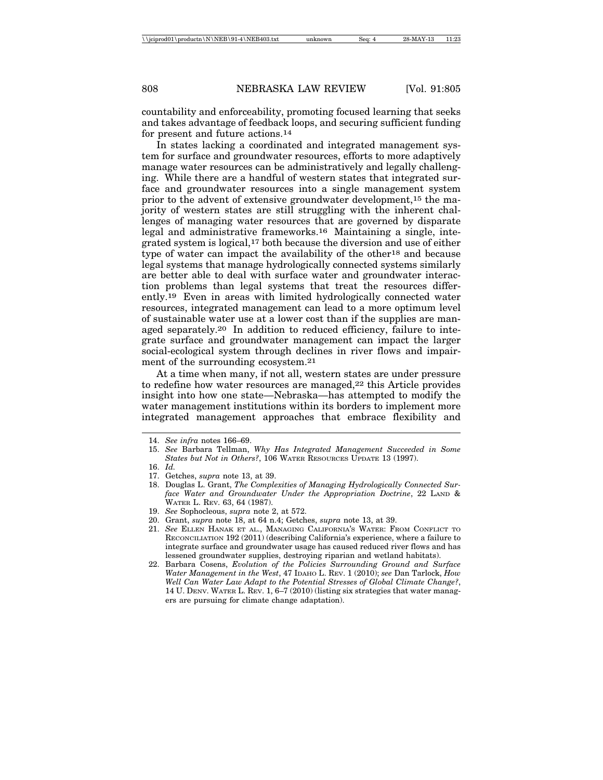countability and enforceability, promoting focused learning that seeks and takes advantage of feedback loops, and securing sufficient funding for present and future actions.14

In states lacking a coordinated and integrated management system for surface and groundwater resources, efforts to more adaptively manage water resources can be administratively and legally challenging. While there are a handful of western states that integrated surface and groundwater resources into a single management system prior to the advent of extensive groundwater development,15 the majority of western states are still struggling with the inherent challenges of managing water resources that are governed by disparate legal and administrative frameworks.16 Maintaining a single, integrated system is logical,17 both because the diversion and use of either type of water can impact the availability of the other18 and because legal systems that manage hydrologically connected systems similarly are better able to deal with surface water and groundwater interaction problems than legal systems that treat the resources differently.19 Even in areas with limited hydrologically connected water resources, integrated management can lead to a more optimum level of sustainable water use at a lower cost than if the supplies are managed separately.20 In addition to reduced efficiency, failure to integrate surface and groundwater management can impact the larger social-ecological system through declines in river flows and impairment of the surrounding ecosystem.21

At a time when many, if not all, western states are under pressure to redefine how water resources are managed,22 this Article provides insight into how one state—Nebraska—has attempted to modify the water management institutions within its borders to implement more integrated management approaches that embrace flexibility and

<sup>14.</sup> *See infra* notes 166–69.

<sup>15.</sup> *See* Barbara Tellman, *Why Has Integrated Management Succeeded in Some States but Not in Others?*, 106 WATER RESOURCES UPDATE 13 (1997).

<sup>16.</sup> *Id.*

<sup>17.</sup> Getches, *supra* note 13, at 39.

<sup>18.</sup> Douglas L. Grant, *The Complexities of Managing Hydrologically Connected Surface Water and Groundwater Under the Appropriation Doctrine*, 22 LAND & WATER L. REV. 63, 64 (1987).

<sup>19.</sup> *See* Sophocleous, *supra* note 2, at 572.

<sup>20.</sup> Grant, *supra* note 18, at 64 n.4; Getches, *supra* note 13, at 39.

<sup>21.</sup> *See* ELLEN HANAK ET AL., MANAGING CALIFORNIA'S WATER: FROM CONFLICT TO RECONCILIATION 192 (2011) (describing California's experience, where a failure to integrate surface and groundwater usage has caused reduced river flows and has lessened groundwater supplies, destroying riparian and wetland habitats).

<sup>22.</sup> Barbara Cosens, *Evolution of the Policies Surrounding Ground and Surface Water Management in the West*, 47 IDAHO L. REV. 1 (2010); *see* Dan Tarlock, *How Well Can Water Law Adapt to the Potential Stresses of Global Climate Change?*, 14 U. DENV. WATER L. REV. 1, 6–7 (2010) (listing six strategies that water managers are pursuing for climate change adaptation).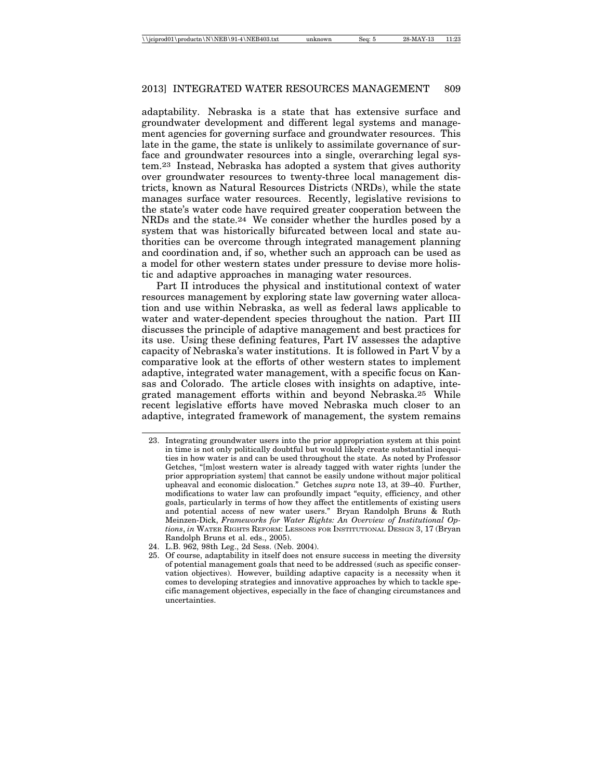adaptability. Nebraska is a state that has extensive surface and groundwater development and different legal systems and management agencies for governing surface and groundwater resources. This late in the game, the state is unlikely to assimilate governance of surface and groundwater resources into a single, overarching legal system.23 Instead, Nebraska has adopted a system that gives authority over groundwater resources to twenty-three local management districts, known as Natural Resources Districts (NRDs), while the state manages surface water resources. Recently, legislative revisions to the state's water code have required greater cooperation between the NRDs and the state.24 We consider whether the hurdles posed by a system that was historically bifurcated between local and state authorities can be overcome through integrated management planning and coordination and, if so, whether such an approach can be used as a model for other western states under pressure to devise more holistic and adaptive approaches in managing water resources.

Part II introduces the physical and institutional context of water resources management by exploring state law governing water allocation and use within Nebraska, as well as federal laws applicable to water and water-dependent species throughout the nation. Part III discusses the principle of adaptive management and best practices for its use. Using these defining features, Part IV assesses the adaptive capacity of Nebraska's water institutions. It is followed in Part V by a comparative look at the efforts of other western states to implement adaptive, integrated water management, with a specific focus on Kansas and Colorado. The article closes with insights on adaptive, integrated management efforts within and beyond Nebraska.25 While recent legislative efforts have moved Nebraska much closer to an adaptive, integrated framework of management, the system remains

- 24. L.B. 962, 98th Leg., 2d Sess. (Neb. 2004).
- 25. Of course, adaptability in itself does not ensure success in meeting the diversity of potential management goals that need to be addressed (such as specific conservation objectives). However, building adaptive capacity is a necessity when it comes to developing strategies and innovative approaches by which to tackle specific management objectives, especially in the face of changing circumstances and uncertainties.

<sup>23.</sup> Integrating groundwater users into the prior appropriation system at this point in time is not only politically doubtful but would likely create substantial inequities in how water is and can be used throughout the state. As noted by Professor Getches, "[m]ost western water is already tagged with water rights [under the prior appropriation system] that cannot be easily undone without major political upheaval and economic dislocation." Getches *supra* note 13, at 39–40. Further, modifications to water law can profoundly impact "equity, efficiency, and other goals, particularly in terms of how they affect the entitlements of existing users and potential access of new water users." Bryan Randolph Bruns & Ruth Meinzen-Dick, *Frameworks for Water Rights: An Overview of Institutional Options*, *in* WATER RIGHTS REFORM: LESSONS FOR INSTITUTIONAL DESIGN 3, 17 (Bryan Randolph Bruns et al. eds., 2005).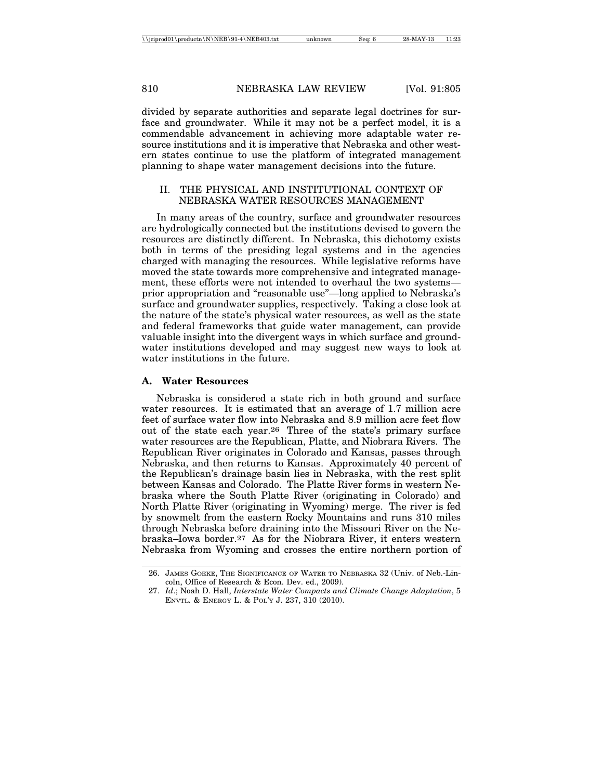divided by separate authorities and separate legal doctrines for surface and groundwater. While it may not be a perfect model, it is a commendable advancement in achieving more adaptable water resource institutions and it is imperative that Nebraska and other western states continue to use the platform of integrated management planning to shape water management decisions into the future.

### II. THE PHYSICAL AND INSTITUTIONAL CONTEXT OF NEBRASKA WATER RESOURCES MANAGEMENT

In many areas of the country, surface and groundwater resources are hydrologically connected but the institutions devised to govern the resources are distinctly different. In Nebraska, this dichotomy exists both in terms of the presiding legal systems and in the agencies charged with managing the resources. While legislative reforms have moved the state towards more comprehensive and integrated management, these efforts were not intended to overhaul the two systems prior appropriation and "reasonable use"—long applied to Nebraska's surface and groundwater supplies, respectively. Taking a close look at the nature of the state's physical water resources, as well as the state and federal frameworks that guide water management, can provide valuable insight into the divergent ways in which surface and groundwater institutions developed and may suggest new ways to look at water institutions in the future.

#### **A. Water Resources**

Nebraska is considered a state rich in both ground and surface water resources. It is estimated that an average of 1.7 million acre feet of surface water flow into Nebraska and 8.9 million acre feet flow out of the state each year.26 Three of the state's primary surface water resources are the Republican, Platte, and Niobrara Rivers. The Republican River originates in Colorado and Kansas, passes through Nebraska, and then returns to Kansas. Approximately 40 percent of the Republican's drainage basin lies in Nebraska, with the rest split between Kansas and Colorado. The Platte River forms in western Nebraska where the South Platte River (originating in Colorado) and North Platte River (originating in Wyoming) merge. The river is fed by snowmelt from the eastern Rocky Mountains and runs 310 miles through Nebraska before draining into the Missouri River on the Nebraska–Iowa border.27 As for the Niobrara River, it enters western Nebraska from Wyoming and crosses the entire northern portion of

<sup>26.</sup> JAMES GOEKE, THE SIGNIFICANCE OF WATER TO NEBRASKA 32 (Univ. of Neb.-Lincoln, Office of Research & Econ. Dev. ed., 2009).

<sup>27.</sup> *Id*.; Noah D. Hall, *Interstate Water Compacts and Climate Change Adaptation*, 5 ENVTL. & ENERGY L. & POL'Y J. 237, 310 (2010).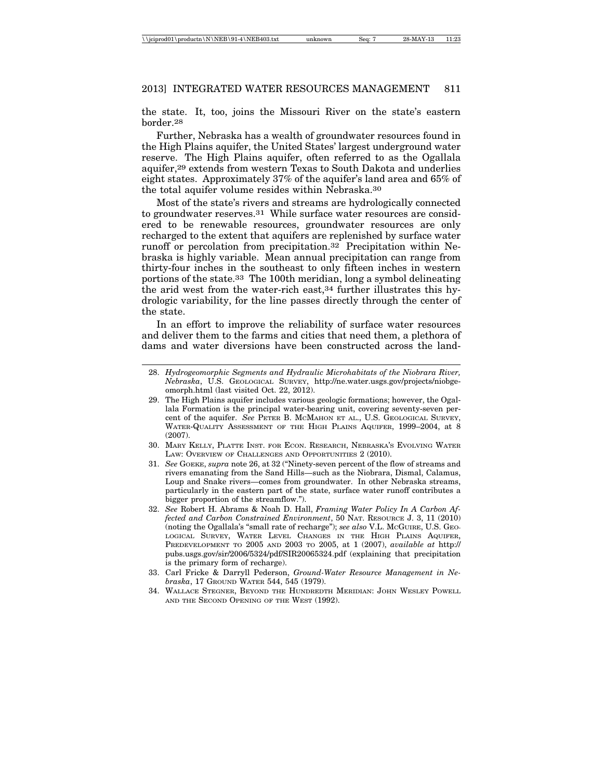the state. It, too, joins the Missouri River on the state's eastern border.28

Further, Nebraska has a wealth of groundwater resources found in the High Plains aquifer, the United States' largest underground water reserve. The High Plains aquifer, often referred to as the Ogallala aquifer,29 extends from western Texas to South Dakota and underlies eight states. Approximately 37% of the aquifer's land area and 65% of the total aquifer volume resides within Nebraska.30

Most of the state's rivers and streams are hydrologically connected to groundwater reserves.31 While surface water resources are considered to be renewable resources, groundwater resources are only recharged to the extent that aquifers are replenished by surface water runoff or percolation from precipitation.32 Precipitation within Nebraska is highly variable. Mean annual precipitation can range from thirty-four inches in the southeast to only fifteen inches in western portions of the state.33 The 100th meridian, long a symbol delineating the arid west from the water-rich east,34 further illustrates this hydrologic variability, for the line passes directly through the center of the state.

In an effort to improve the reliability of surface water resources and deliver them to the farms and cities that need them, a plethora of dams and water diversions have been constructed across the land-

- 28. *Hydrogeomorphic Segments and Hydraulic Microhabitats of the Niobrara River, Nebraska*, U.S. GEOLOGICAL SURVEY, http://ne.water.usgs.gov/projects/niobgeomorph.html (last visited Oct. 22, 2012).
- 29. The High Plains aquifer includes various geologic formations; however, the Ogallala Formation is the principal water-bearing unit, covering seventy-seven percent of the aquifer. *See* PETER B. MCMAHON ET AL., U.S. GEOLOGICAL SURVEY, WATER-QUALITY ASSESSMENT OF THE HIGH PLAINS AQUIFER, 1999–2004, at 8 (2007).
- 30. MARY KELLY, PLATTE INST. FOR ECON. RESEARCH, NEBRASKA'S EVOLVING WATER LAW: OVERVIEW OF CHALLENGES AND OPPORTUNITIES 2 (2010).
- 31. *See* GOEKE, *supra* note 26, at 32 ("Ninety-seven percent of the flow of streams and rivers emanating from the Sand Hills—such as the Niobrara, Dismal, Calamus, Loup and Snake rivers—comes from groundwater. In other Nebraska streams, particularly in the eastern part of the state, surface water runoff contributes a bigger proportion of the streamflow.").
- 32. *See* Robert H. Abrams & Noah D. Hall, *Framing Water Policy In A Carbon Affected and Carbon Constrained Environment*, 50 NAT. RESOURCE J. 3, 11 (2010) (noting the Ogallala's "small rate of recharge"); *see also* V.L. MCGUIRE, U.S. GEO-LOGICAL SURVEY, WATER LEVEL CHANGES IN THE HIGH PLAINS AQUIFER, PREDEVELOPMENT TO 2005 AND 2003 TO 2005, at 1 (2007), *available at* http:// pubs.usgs.gov/sir/2006/5324/pdf/SIR20065324.pdf (explaining that precipitation is the primary form of recharge).
- 33. Carl Fricke & Darryll Pederson, *Ground-Water Resource Management in Nebraska*, 17 GROUND WATER 544, 545 (1979).
- 34. WALLACE STEGNER, BEYOND THE HUNDREDTH MERIDIAN: JOHN WESLEY POWELL AND THE SECOND OPENING OF THE WEST (1992).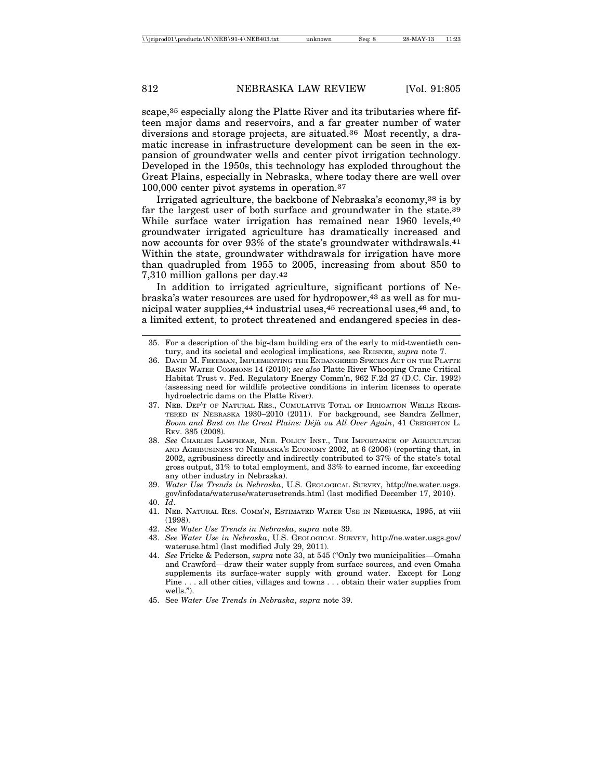scape,35 especially along the Platte River and its tributaries where fifteen major dams and reservoirs, and a far greater number of water diversions and storage projects, are situated.36 Most recently, a dramatic increase in infrastructure development can be seen in the expansion of groundwater wells and center pivot irrigation technology. Developed in the 1950s, this technology has exploded throughout the Great Plains, especially in Nebraska, where today there are well over 100,000 center pivot systems in operation.37

Irrigated agriculture, the backbone of Nebraska's economy,38 is by far the largest user of both surface and groundwater in the state.<sup>39</sup> While surface water irrigation has remained near 1960 levels, 40 groundwater irrigated agriculture has dramatically increased and now accounts for over 93% of the state's groundwater withdrawals.41 Within the state, groundwater withdrawals for irrigation have more than quadrupled from 1955 to 2005, increasing from about 850 to 7,310 million gallons per day.42

In addition to irrigated agriculture, significant portions of Nebraska's water resources are used for hydropower,43 as well as for municipal water supplies,44 industrial uses,45 recreational uses,46 and, to a limited extent, to protect threatened and endangered species in des-

- 37. NEB. DEP'T OF NATURAL RES., CUMULATIVE TOTAL OF IRRIGATION WELLS REGIS-TERED IN NEBRASKA 1930–2010 (2011). For background, see Sandra Zellmer, *Boom and Bust on the Great Plains: D´ej`a vu All Over Again*, 41 CREIGHTON L. REV. 385 (2008)*.*
- 38. *See* CHARLES LAMPHEAR, NEB. POLICY INST., THE IMPORTANCE OF AGRICULTURE AND AGRIBUSINESS TO NEBRASKA'S ECONOMY 2002, at 6 (2006) (reporting that, in 2002, agribusiness directly and indirectly contributed to 37% of the state's total gross output, 31% to total employment, and 33% to earned income, far exceeding any other industry in Nebraska).
- 39. *Water Use Trends in Nebraska*, U.S. GEOLOGICAL SURVEY, http://ne.water.usgs. gov/infodata/wateruse/waterusetrends.html (last modified December 17, 2010). 40. *Id*.
- 41. NEB. NATURAL RES. COMM'N, ESTIMATED WATER USE IN NEBRASKA, 1995, at viii (1998).
- 42. *See Water Use Trends in Nebraska*, *supra* note 39.
- 43. *See Water Use in Nebraska*, U.S. GEOLOGICAL SURVEY, http://ne.water.usgs.gov/ wateruse.html (last modified July 29, 2011).
- 44. *See* Fricke & Pederson, *supra* note 33, at 545 ("Only two municipalities—Omaha and Crawford—draw their water supply from surface sources, and even Omaha supplements its surface-water supply with ground water. Except for Long Pine . . . all other cities, villages and towns . . . obtain their water supplies from wells.").
- 45. See *Water Use Trends in Nebraska*, *supra* note 39.

<sup>35.</sup> For a description of the big-dam building era of the early to mid-twentieth century, and its societal and ecological implications, see REISNER, *supra* note 7.

<sup>36.</sup> DAVID M. FREEMAN, IMPLEMENTING THE ENDANGERED SPECIES ACT ON THE PLATTE BASIN WATER COMMONS 14 (2010); *see also* Platte River Whooping Crane Critical Habitat Trust v. Fed. Regulatory Energy Comm'n, 962 F.2d 27 (D.C. Cir. 1992) (assessing need for wildlife protective conditions in interim licenses to operate hydroelectric dams on the Platte River).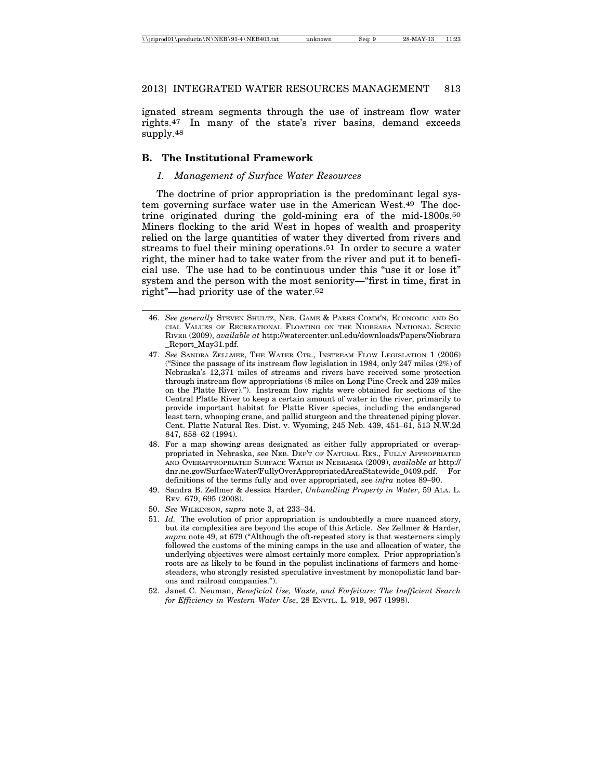ignated stream segments through the use of instream flow water rights.47 In many of the state's river basins, demand exceeds supply.48

## **B. The Institutional Framework**

## *1. Management of Surface Water Resources*

The doctrine of prior appropriation is the predominant legal system governing surface water use in the American West.49 The doctrine originated during the gold-mining era of the mid-1800s.50 Miners flocking to the arid West in hopes of wealth and prosperity relied on the large quantities of water they diverted from rivers and streams to fuel their mining operations.51 In order to secure a water right, the miner had to take water from the river and put it to beneficial use. The use had to be continuous under this "use it or lose it" system and the person with the most seniority—"first in time, first in right"—had priority use of the water.52

- 46. *See generally* STEVEN SHULTZ, NEB. GAME & PARKS COMM'N, ECONOMIC AND SO-CIAL VALUES OF RECREATIONAL FLOATING ON THE NIOBRARA NATIONAL SCENIC RIVER (2009), *available at* http://watercenter.unl.edu/downloads/Papers/Niobrara \_Report\_May31.pdf.
- 47. *See* SANDRA ZELLMER, THE WATER CTR., INSTREAM FLOW LEGISLATION 1 (2006) ("Since the passage of its instream flow legislation in 1984, only 247 miles (2%) of Nebraska's 12,371 miles of streams and rivers have received some protection through instream flow appropriations (8 miles on Long Pine Creek and 239 miles on the Platte River)."). Instream flow rights were obtained for sections of the Central Platte River to keep a certain amount of water in the river, primarily to provide important habitat for Platte River species, including the endangered least tern, whooping crane, and pallid sturgeon and the threatened piping plover. Cent. Platte Natural Res. Dist. v. Wyoming, 245 Neb. 439, 451–61, 513 N.W.2d 847, 858–62 (1994).
- 48. For a map showing areas designated as either fully appropriated or overappropriated in Nebraska, see NEB. DEP'T OF NATURAL RES., FULLY APPROPRIATED AND OVERAPPROPRIATED SURFACE WATER IN NEBRASKA (2009), *available at* http:// dnr.ne.gov/SurfaceWater/FullyOverAppropriatedAreaStatewide\_0409.pdf. For definitions of the terms fully and over appropriated, see *infra* notes 89–90.
- 49. Sandra B. Zellmer & Jessica Harder, *Unbundling Property in Water*, 59 ALA. L. REV. 679, 695 (2008).
- 50. *See* WILKINSON, *supra* note 3, at 233–34.
- 51. *Id.* The evolution of prior appropriation is undoubtedly a more nuanced story, but its complexities are beyond the scope of this Article. *See* Zellmer & Harder, *supra* note 49, at 679 ("Although the oft-repeated story is that westerners simply followed the customs of the mining camps in the use and allocation of water, the underlying objectives were almost certainly more complex. Prior appropriation's roots are as likely to be found in the populist inclinations of farmers and homesteaders, who strongly resisted speculative investment by monopolistic land barons and railroad companies.").
- 52. Janet C. Neuman, *Beneficial Use, Waste, and Forfeiture: The Inefficient Search for Efficiency in Western Water Use*, 28 ENVTL. L. 919, 967 (1998).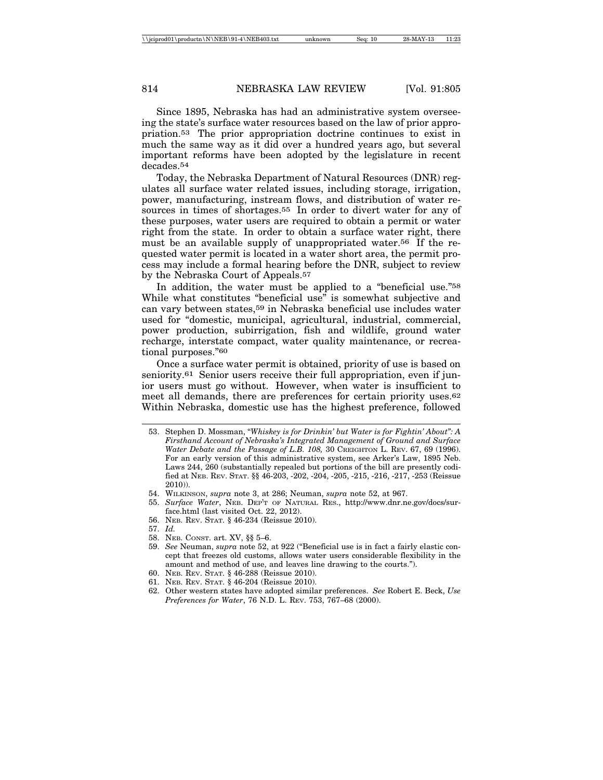Since 1895, Nebraska has had an administrative system overseeing the state's surface water resources based on the law of prior appropriation.53 The prior appropriation doctrine continues to exist in much the same way as it did over a hundred years ago, but several important reforms have been adopted by the legislature in recent decades.54

Today, the Nebraska Department of Natural Resources (DNR) regulates all surface water related issues, including storage, irrigation, power, manufacturing, instream flows, and distribution of water resources in times of shortages.55 In order to divert water for any of these purposes, water users are required to obtain a permit or water right from the state. In order to obtain a surface water right, there must be an available supply of unappropriated water.56 If the requested water permit is located in a water short area, the permit process may include a formal hearing before the DNR, subject to review by the Nebraska Court of Appeals.57

In addition, the water must be applied to a "beneficial use."<sup>58</sup> While what constitutes "beneficial use" is somewhat subjective and can vary between states,59 in Nebraska beneficial use includes water used for "domestic, municipal, agricultural, industrial, commercial, power production, subirrigation, fish and wildlife, ground water recharge, interstate compact, water quality maintenance, or recreational purposes."60

Once a surface water permit is obtained, priority of use is based on seniority.61 Senior users receive their full appropriation, even if junior users must go without. However, when water is insufficient to meet all demands, there are preferences for certain priority uses.<sup>62</sup> Within Nebraska, domestic use has the highest preference, followed

- 55. *Surface Water*, NEB. DEP'T OF NATURAL RES., http://www.dnr.ne.gov/docs/surface.html (last visited Oct. 22, 2012).
- 56. NEB. REV. STAT. § 46-234 (Reissue 2010).
- 57. *Id.*
- 58. NEB. CONST. art. XV, §§ 5–6.
- 59. *See* Neuman, *supra* note 52, at 922 ("Beneficial use is in fact a fairly elastic concept that freezes old customs, allows water users considerable flexibility in the amount and method of use, and leaves line drawing to the courts.").
- 60. NEB. REV. STAT. § 46-288 (Reissue 2010).
- 61. NEB. REV. STAT. § 46-204 (Reissue 2010).
- 62. Other western states have adopted similar preferences. *See* Robert E. Beck, *Use Preferences for Water*, 76 N.D. L. REV. 753, 767–68 (2000).

<sup>53.</sup> Stephen D. Mossman, "*Whiskey is for Drinkin' but Water is for Fightin' About": A Firsthand Account of Nebraska's Integrated Management of Ground and Surface Water Debate and the Passage of L.B. 108,* 30 CREIGHTON L. REV. 67, 69 (1996). For an early version of this administrative system, see Arker's Law, 1895 Neb. Laws 244, 260 (substantially repealed but portions of the bill are presently codified at NEB. REV. STAT. §§ 46-203, -202, -204, -205, -215, -216, -217, -253 (Reissue 2010)).

<sup>54.</sup> WILKINSON, *supra* note 3, at 286; Neuman, *supra* note 52, at 967.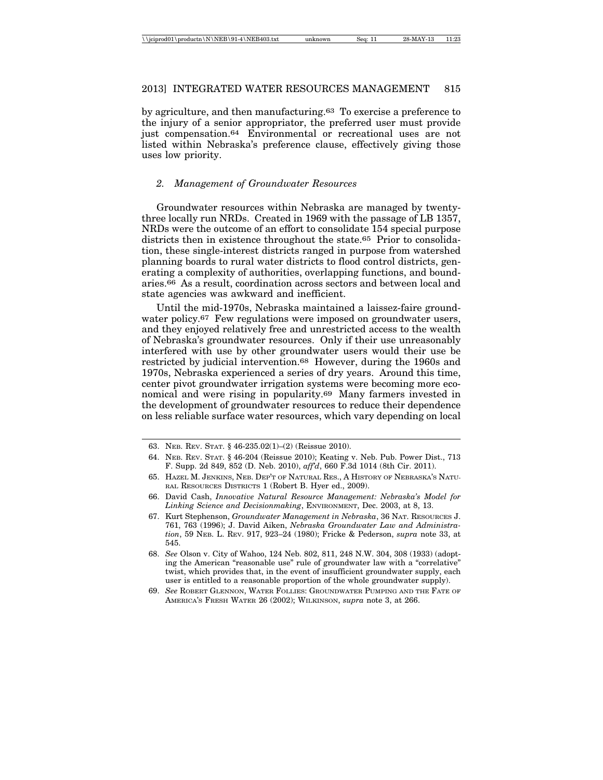by agriculture, and then manufacturing.63 To exercise a preference to the injury of a senior appropriator, the preferred user must provide just compensation.64 Environmental or recreational uses are not listed within Nebraska's preference clause, effectively giving those uses low priority.

## *2. Management of Groundwater Resources*

Groundwater resources within Nebraska are managed by twentythree locally run NRDs. Created in 1969 with the passage of LB 1357, NRDs were the outcome of an effort to consolidate 154 special purpose districts then in existence throughout the state.65 Prior to consolidation, these single-interest districts ranged in purpose from watershed planning boards to rural water districts to flood control districts, generating a complexity of authorities, overlapping functions, and boundaries.66 As a result, coordination across sectors and between local and state agencies was awkward and inefficient.

Until the mid-1970s, Nebraska maintained a laissez-faire groundwater policy.<sup>67</sup> Few regulations were imposed on groundwater users, and they enjoyed relatively free and unrestricted access to the wealth of Nebraska's groundwater resources. Only if their use unreasonably interfered with use by other groundwater users would their use be restricted by judicial intervention.68 However, during the 1960s and 1970s, Nebraska experienced a series of dry years. Around this time, center pivot groundwater irrigation systems were becoming more economical and were rising in popularity.69 Many farmers invested in the development of groundwater resources to reduce their dependence on less reliable surface water resources, which vary depending on local

<sup>63.</sup> NEB. REV. STAT. § 46-235.02(1)–(2) (Reissue 2010).

<sup>64.</sup> NEB. REV. STAT. § 46-204 (Reissue 2010); Keating v. Neb. Pub. Power Dist., 713 F. Supp. 2d 849, 852 (D. Neb. 2010), *aff'd*, 660 F.3d 1014 (8th Cir. 2011).

<sup>65.</sup> HAZEL M. JENKINS, NEB. DEP'T OF NATURAL RES., A HISTORY OF NEBRASKA'S NATU-RAL RESOURCES DISTRICTS 1 (Robert B. Hyer ed., 2009).

<sup>66.</sup> David Cash, *Innovative Natural Resource Management: Nebraska's Model for Linking Science and Decisionmaking*, ENVIRONMENT, Dec. 2003, at 8, 13.

<sup>67.</sup> Kurt Stephenson, *Groundwater Management in Nebraska*, 36 NAT. RESOURCES J. 761, 763 (1996); J. David Aiken, *Nebraska Groundwater Law and Administration*, 59 NEB. L. REV. 917, 923–24 (1980); Fricke & Pederson, *supra* note 33, at 545.

<sup>68.</sup> *See* Olson v. City of Wahoo, 124 Neb. 802, 811, 248 N.W. 304, 308 (1933) (adopting the American "reasonable use" rule of groundwater law with a "correlative" twist, which provides that, in the event of insufficient groundwater supply, each user is entitled to a reasonable proportion of the whole groundwater supply).

<sup>69.</sup> *See* ROBERT GLENNON, WATER FOLLIES: GROUNDWATER PUMPING AND THE FATE OF AMERICA'S FRESH WATER 26 (2002); WILKINSON, *supra* note 3, at 266.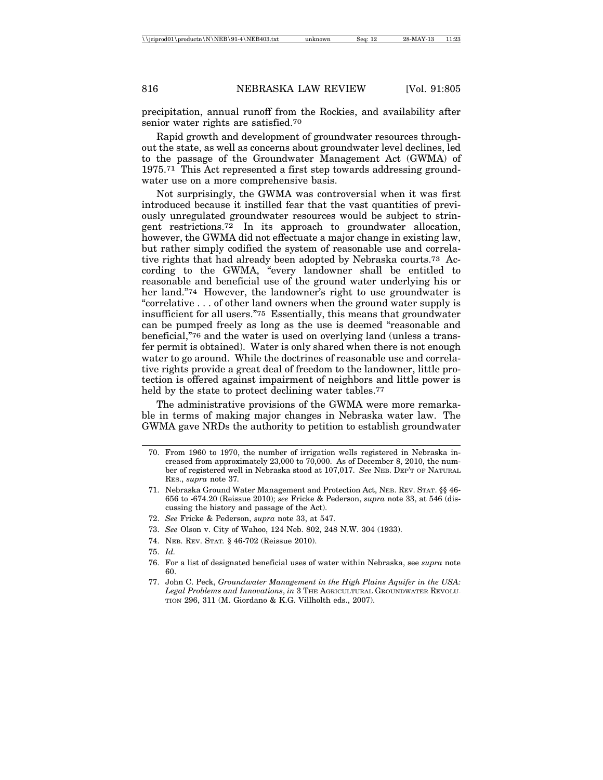precipitation, annual runoff from the Rockies, and availability after senior water rights are satisfied.70

Rapid growth and development of groundwater resources throughout the state, as well as concerns about groundwater level declines, led to the passage of the Groundwater Management Act (GWMA) of 1975.71 This Act represented a first step towards addressing groundwater use on a more comprehensive basis.

Not surprisingly, the GWMA was controversial when it was first introduced because it instilled fear that the vast quantities of previously unregulated groundwater resources would be subject to stringent restrictions.72 In its approach to groundwater allocation, however, the GWMA did not effectuate a major change in existing law, but rather simply codified the system of reasonable use and correlative rights that had already been adopted by Nebraska courts.73 According to the GWMA, "every landowner shall be entitled to reasonable and beneficial use of the ground water underlying his or her land."<sup>74</sup> However, the landowner's right to use groundwater is "correlative . . . of other land owners when the ground water supply is insufficient for all users."75 Essentially, this means that groundwater can be pumped freely as long as the use is deemed "reasonable and beneficial,"76 and the water is used on overlying land (unless a transfer permit is obtained). Water is only shared when there is not enough water to go around. While the doctrines of reasonable use and correlative rights provide a great deal of freedom to the landowner, little protection is offered against impairment of neighbors and little power is held by the state to protect declining water tables.<sup>77</sup>

The administrative provisions of the GWMA were more remarkable in terms of making major changes in Nebraska water law. The GWMA gave NRDs the authority to petition to establish groundwater

- 72. *See* Fricke & Pederson, *supra* note 33, at 547.
- 73. *See* Olson v. City of Wahoo, 124 Neb. 802, 248 N.W. 304 (1933).
- 74. NEB. REV. STAT*.* § 46-702 (Reissue 2010).
- 75. *Id.*
- 76. For a list of designated beneficial uses of water within Nebraska, see *supra* note 60.
- 77. John C. Peck, *Groundwater Management in the High Plains Aquifer in the USA: Legal Problems and Innovations*, *in* 3 THE AGRICULTURAL GROUNDWATER REVOLU-TION 296, 311 (M. Giordano & K.G. Villholth eds., 2007).

<sup>70.</sup> From 1960 to 1970, the number of irrigation wells registered in Nebraska increased from approximately 23,000 to 70,000. As of December 8, 2010, the number of registered well in Nebraska stood at 107,017. *See* NEB. DEP'T OF NATURAL RES., *supra* note 37*.*

<sup>71.</sup> Nebraska Ground Water Management and Protection Act, NEB. REV. STAT. §§ 46- 656 to -674.20 (Reissue 2010); *see* Fricke & Pederson, *supra* note 33, at 546 (discussing the history and passage of the Act).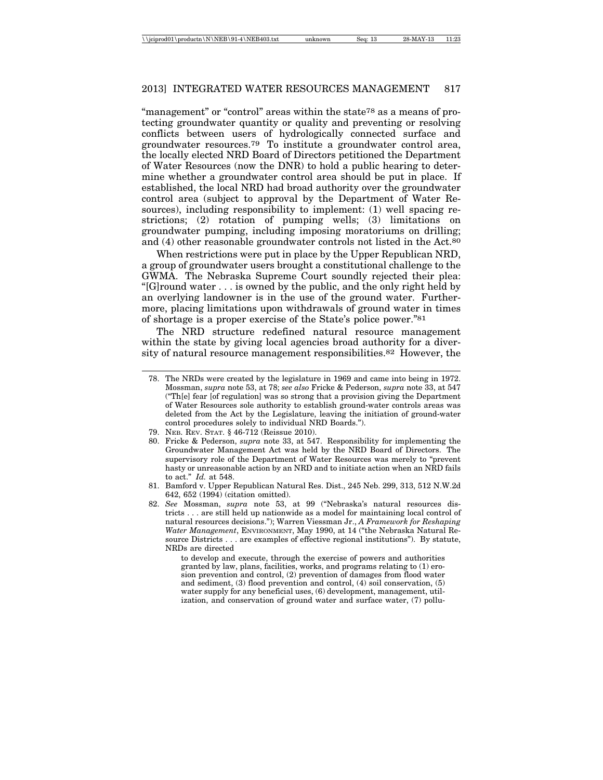"management" or "control" areas within the state<sup>78</sup> as a means of protecting groundwater quantity or quality and preventing or resolving conflicts between users of hydrologically connected surface and groundwater resources.79 To institute a groundwater control area, the locally elected NRD Board of Directors petitioned the Department of Water Resources (now the DNR) to hold a public hearing to determine whether a groundwater control area should be put in place. If established, the local NRD had broad authority over the groundwater control area (subject to approval by the Department of Water Resources), including responsibility to implement: (1) well spacing restrictions; (2) rotation of pumping wells; (3) limitations on groundwater pumping, including imposing moratoriums on drilling; and (4) other reasonable groundwater controls not listed in the Act.80

When restrictions were put in place by the Upper Republican NRD, a group of groundwater users brought a constitutional challenge to the GWMA. The Nebraska Supreme Court soundly rejected their plea: "[G]round water . . . is owned by the public, and the only right held by an overlying landowner is in the use of the ground water. Furthermore, placing limitations upon withdrawals of ground water in times of shortage is a proper exercise of the State's police power."81

The NRD structure redefined natural resource management within the state by giving local agencies broad authority for a diversity of natural resource management responsibilities.82 However, the

- 80. Fricke & Pederson, *supra* note 33, at 547. Responsibility for implementing the Groundwater Management Act was held by the NRD Board of Directors. The supervisory role of the Department of Water Resources was merely to "prevent hasty or unreasonable action by an NRD and to initiate action when an NRD fails to act." *Id.* at 548.
- 81. Bamford v. Upper Republican Natural Res. Dist., 245 Neb. 299, 313, 512 N.W.2d 642, 652 (1994) (citation omitted).
- 82. *See* Mossman, *supra* note 53, at 99 ("Nebraska's natural resources districts . . . are still held up nationwide as a model for maintaining local control of natural resources decisions."); Warren Viessman Jr., *A Framework for Reshaping Water Management*, ENVIRONMENT, May 1990, at 14 ("the Nebraska Natural Resource Districts . . . are examples of effective regional institutions"). By statute, NRDs are directed

to develop and execute, through the exercise of powers and authorities granted by law, plans, facilities, works, and programs relating to (1) erosion prevention and control, (2) prevention of damages from flood water and sediment, (3) flood prevention and control, (4) soil conservation, (5) water supply for any beneficial uses, (6) development, management, utilization, and conservation of ground water and surface water, (7) pollu-

<sup>78.</sup> The NRDs were created by the legislature in 1969 and came into being in 1972. Mossman, *supra* note 53, at 78; *see also* Fricke & Pederson, *supra* note 33, at 547 ("Th[e] fear [of regulation] was so strong that a provision giving the Department of Water Resources sole authority to establish ground-water controls areas was deleted from the Act by the Legislature, leaving the initiation of ground-water control procedures solely to individual NRD Boards.").

<sup>79.</sup> NEB. REV. STAT. § 46-712 (Reissue 2010).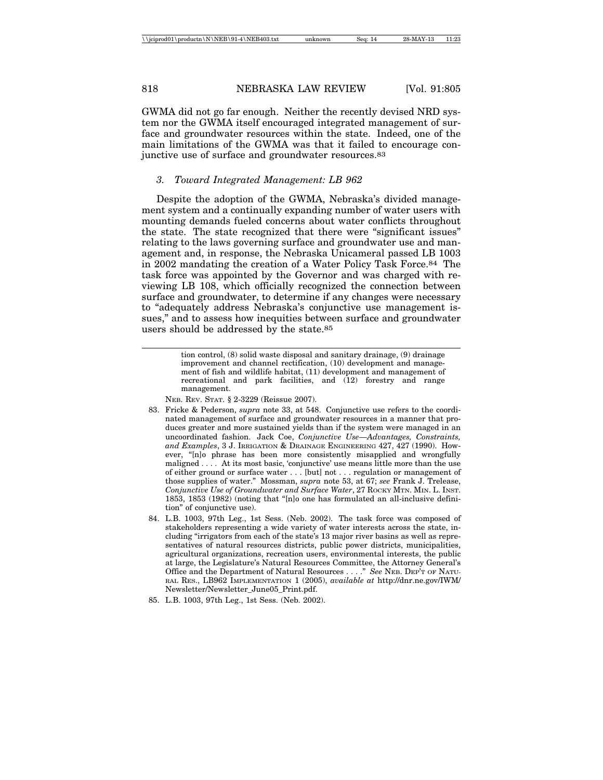GWMA did not go far enough. Neither the recently devised NRD system nor the GWMA itself encouraged integrated management of surface and groundwater resources within the state. Indeed, one of the main limitations of the GWMA was that it failed to encourage conjunctive use of surface and groundwater resources.83

#### *3. Toward Integrated Management: LB 962*

Despite the adoption of the GWMA, Nebraska's divided management system and a continually expanding number of water users with mounting demands fueled concerns about water conflicts throughout the state. The state recognized that there were "significant issues" relating to the laws governing surface and groundwater use and management and, in response, the Nebraska Unicameral passed LB 1003 in 2002 mandating the creation of a Water Policy Task Force.84 The task force was appointed by the Governor and was charged with reviewing LB 108, which officially recognized the connection between surface and groundwater, to determine if any changes were necessary to "adequately address Nebraska's conjunctive use management issues," and to assess how inequities between surface and groundwater users should be addressed by the state.85

> tion control, (8) solid waste disposal and sanitary drainage, (9) drainage improvement and channel rectification, (10) development and management of fish and wildlife habitat, (11) development and management of recreational and park facilities, and  $(12)$  forestry and range management.

NEB. REV. STAT. § 2-3229 (Reissue 2007).

- 83. Fricke & Pederson, *supra* note 33, at 548. Conjunctive use refers to the coordinated management of surface and groundwater resources in a manner that produces greater and more sustained yields than if the system were managed in an uncoordinated fashion. Jack Coe, *Conjunctive Use—Advantages, Constraints, and Examples*, 3 J. IRRIGATION & DRAINAGE ENGINEERING 427, 427 (1990). However, "[n]o phrase has been more consistently misapplied and wrongfully maligned . . . . At its most basic, 'conjunctive' use means little more than the use of either ground or surface water . . . [but] not . . . regulation or management of those supplies of water." Mossman, *supra* note 53, at 67; *see* Frank J. Trelease, *Conjunctive Use of Groundwater and Surface Water*, 27 ROCKY MTN. MIN. L. INST. 1853, 1853 (1982) (noting that "[n]o one has formulated an all-inclusive definition" of conjunctive use).
- 84. L.B. 1003, 97th Leg., 1st Sess. (Neb. 2002). The task force was composed of stakeholders representing a wide variety of water interests across the state, including "irrigators from each of the state's 13 major river basins as well as representatives of natural resources districts, public power districts, municipalities, agricultural organizations, recreation users, environmental interests, the public at large, the Legislature's Natural Resources Committee, the Attorney General's Office and the Department of Natural Resources . . . ." *See* NEB. DEP'T OF NATU-RAL RES., LB962 IMPLEMENTATION 1 (2005), *available at* http://dnr.ne.gov/IWM/ Newsletter/Newsletter\_June05\_Print.pdf.
- 85. L.B. 1003, 97th Leg., 1st Sess. (Neb. 2002).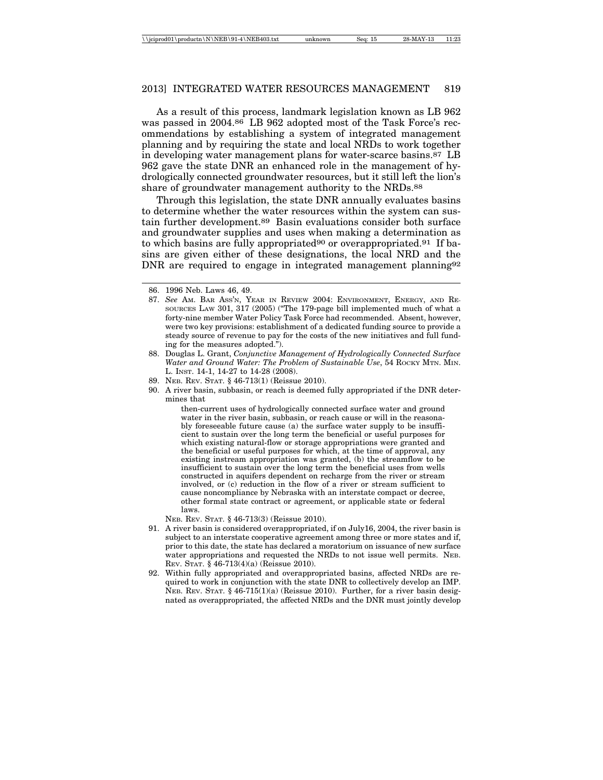As a result of this process, landmark legislation known as LB 962 was passed in 2004.86 LB 962 adopted most of the Task Force's recommendations by establishing a system of integrated management planning and by requiring the state and local NRDs to work together in developing water management plans for water-scarce basins.87 LB 962 gave the state DNR an enhanced role in the management of hydrologically connected groundwater resources, but it still left the lion's share of groundwater management authority to the NRDs.88

Through this legislation, the state DNR annually evaluates basins to determine whether the water resources within the system can sustain further development.89 Basin evaluations consider both surface and groundwater supplies and uses when making a determination as to which basins are fully appropriated<sup>90</sup> or overappropriated.<sup>91</sup> If basins are given either of these designations, the local NRD and the DNR are required to engage in integrated management planning<sup>92</sup>

90. A river basin, subbasin, or reach is deemed fully appropriated if the DNR determines that

> then-current uses of hydrologically connected surface water and ground water in the river basin, subbasin, or reach cause or will in the reasonably foreseeable future cause (a) the surface water supply to be insufficient to sustain over the long term the beneficial or useful purposes for which existing natural-flow or storage appropriations were granted and the beneficial or useful purposes for which, at the time of approval, any existing instream appropriation was granted, (b) the streamflow to be insufficient to sustain over the long term the beneficial uses from wells constructed in aquifers dependent on recharge from the river or stream involved, or (c) reduction in the flow of a river or stream sufficient to cause noncompliance by Nebraska with an interstate compact or decree, other formal state contract or agreement, or applicable state or federal laws.

NEB. REV. STAT. § 46-713(3) (Reissue 2010).

- 91. A river basin is considered overappropriated, if on July16, 2004, the river basin is subject to an interstate cooperative agreement among three or more states and if, prior to this date, the state has declared a moratorium on issuance of new surface water appropriations and requested the NRDs to not issue well permits. NEB. REV. STAT. § 46-713(4)(a) (Reissue 2010).
- 92. Within fully appropriated and overappropriated basins, affected NRDs are required to work in conjunction with the state DNR to collectively develop an IMP. NEB. REV. STAT.  $§$  46-715(1)(a) (Reissue 2010). Further, for a river basin designated as overappropriated, the affected NRDs and the DNR must jointly develop

<sup>86. 1996</sup> Neb. Laws 46, 49.

<sup>87.</sup> *See* AM. BAR ASS'N, YEAR IN REVIEW 2004: ENVIRONMENT, ENERGY, AND RE-SOURCES LAW 301, 317 (2005) ("The 179-page bill implemented much of what a forty-nine member Water Policy Task Force had recommended. Absent, however, were two key provisions: establishment of a dedicated funding source to provide a steady source of revenue to pay for the costs of the new initiatives and full funding for the measures adopted.").

<sup>88.</sup> Douglas L. Grant, *Conjunctive Management of Hydrologically Connected Surface Water and Ground Water: The Problem of Sustainable Use*, 54 ROCKY MTN. MIN. L. INST. 14-1, 14-27 to 14-28 (2008).

<sup>89.</sup> NEB. REV. STAT. § 46-713(1) (Reissue 2010).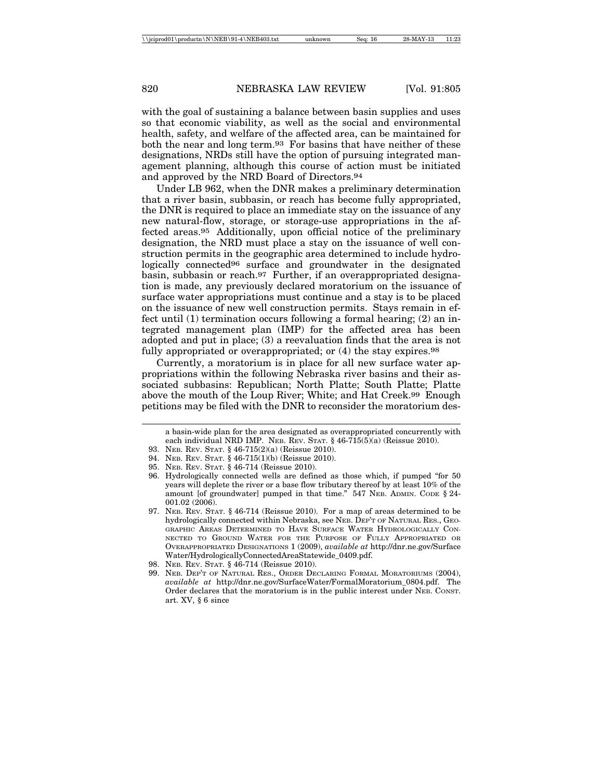with the goal of sustaining a balance between basin supplies and uses so that economic viability, as well as the social and environmental health, safety, and welfare of the affected area, can be maintained for both the near and long term.93 For basins that have neither of these designations, NRDs still have the option of pursuing integrated management planning, although this course of action must be initiated and approved by the NRD Board of Directors.94

Under LB 962, when the DNR makes a preliminary determination that a river basin, subbasin, or reach has become fully appropriated, the DNR is required to place an immediate stay on the issuance of any new natural-flow, storage, or storage-use appropriations in the affected areas.95 Additionally, upon official notice of the preliminary designation, the NRD must place a stay on the issuance of well construction permits in the geographic area determined to include hydrologically connected96 surface and groundwater in the designated basin, subbasin or reach.97 Further, if an overappropriated designation is made, any previously declared moratorium on the issuance of surface water appropriations must continue and a stay is to be placed on the issuance of new well construction permits. Stays remain in effect until (1) termination occurs following a formal hearing; (2) an integrated management plan (IMP) for the affected area has been adopted and put in place; (3) a reevaluation finds that the area is not fully appropriated or overappropriated; or  $(4)$  the stay expires.<sup>98</sup>

Currently, a moratorium is in place for all new surface water appropriations within the following Nebraska river basins and their associated subbasins: Republican; North Platte; South Platte; Platte above the mouth of the Loup River; White; and Hat Creek.99 Enough petitions may be filed with the DNR to reconsider the moratorium des-

93. NEB. REV. STAT. § 46-715(2)(a) (Reissue 2010).

95. NEB. REV. STAT. § 46-714 (Reissue 2010).

a basin-wide plan for the area designated as overappropriated concurrently with each individual NRD IMP. NEB. REV. STAT. § 46-715(5)(a) (Reissue 2010).

<sup>94.</sup> NEB. REV. STAT. § 46-715(1)(b) (Reissue 2010).

<sup>96.</sup> Hydrologically connected wells are defined as those which, if pumped "for 50 years will deplete the river or a base flow tributary thereof by at least 10% of the amount [of groundwater] pumped in that time." 547 NEB. ADMIN. CODE § 24- 001.02 (2006).

<sup>97.</sup> NEB. REV. STAT. § 46-714 (Reissue 2010). For a map of areas determined to be hydrologically connected within Nebraska, see NEB. DEP'T OF NATURAL RES., GEO-GRAPHIC AREAS DETERMINED TO HAVE SURFACE WATER HYDROLOGICALLY CON-NECTED TO GROUND WATER FOR THE PURPOSE OF FULLY APPROPRIATED OR OVERAPPROPRIATED DESIGNATIONS 1 (2009), *available at* http://dnr.ne.gov/Surface Water/HydrologicallyConnectedAreaStatewide\_0409.pdf.

<sup>98.</sup> NEB. REV. STAT. § 46-714 (Reissue 2010).

<sup>99.</sup> NEB. DEP'T OF NATURAL RES., ORDER DECLARING FORMAL MORATORIUMS (2004), *available at* http://dnr.ne.gov/SurfaceWater/FormalMoratorium\_0804.pdf. The Order declares that the moratorium is in the public interest under NEB. CONST. art. XV, § 6 since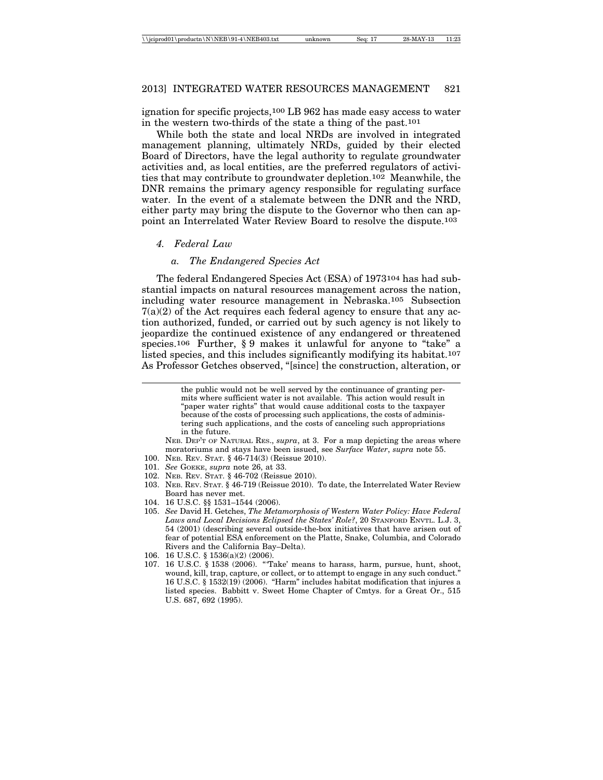ignation for specific projects,100 LB 962 has made easy access to water in the western two-thirds of the state a thing of the past.101

While both the state and local NRDs are involved in integrated management planning, ultimately NRDs, guided by their elected Board of Directors, have the legal authority to regulate groundwater activities and, as local entities, are the preferred regulators of activities that may contribute to groundwater depletion.102 Meanwhile, the DNR remains the primary agency responsible for regulating surface water. In the event of a stalemate between the DNR and the NRD, either party may bring the dispute to the Governor who then can appoint an Interrelated Water Review Board to resolve the dispute.103

#### *4. Federal Law*

## *a. The Endangered Species Act*

The federal Endangered Species Act (ESA) of 1973104 has had substantial impacts on natural resources management across the nation, including water resource management in Nebraska.105 Subsection  $7(a)(2)$  of the Act requires each federal agency to ensure that any action authorized, funded, or carried out by such agency is not likely to jeopardize the continued existence of any endangered or threatened species.106 Further, § 9 makes it unlawful for anyone to "take" a listed species, and this includes significantly modifying its habitat.107 As Professor Getches observed, "[since] the construction, alteration, or

> the public would not be well served by the continuance of granting permits where sufficient water is not available. This action would result in "paper water rights" that would cause additional costs to the taxpayer because of the costs of processing such applications, the costs of administering such applications, and the costs of canceling such appropriations in the future.

NEB. DEP'T OF NATURAL RES., *supra*, at 3. For a map depicting the areas where moratoriums and stays have been issued, see *Surface Water*, *supra* note 55.

- 100. NEB. REV. STAT. § 46-714(3) (Reissue 2010).
- 101. *See* GOEKE, *supra* note 26, at 33.
- 102. NEB. REV. STAT. § 46-702 (Reissue 2010).
- 103. NEB. REV. STAT. § 46-719 (Reissue 2010). To date, the Interrelated Water Review Board has never met.
- 104. 16 U.S.C. §§ 1531–1544 (2006).
- 105. *See* David H. Getches, *The Metamorphosis of Western Water Policy: Have Federal Laws and Local Decisions Eclipsed the States' Role?*, 20 STANFORD ENVTL. L.J. 3, 54 (2001) (describing several outside-the-box initiatives that have arisen out of fear of potential ESA enforcement on the Platte, Snake, Columbia, and Colorado Rivers and the California Bay–Delta).
- 106. 16 U.S.C. § 1536(a)(2) (2006).
- 107. 16 U.S.C. § 1538 (2006). "'Take' means to harass, harm, pursue, hunt, shoot, wound, kill, trap, capture, or collect, or to attempt to engage in any such conduct." 16 U.S.C. § 1532(19) (2006). "Harm" includes habitat modification that injures a listed species. Babbitt v. Sweet Home Chapter of Cmtys. for a Great Or., 515 U.S. 687, 692 (1995).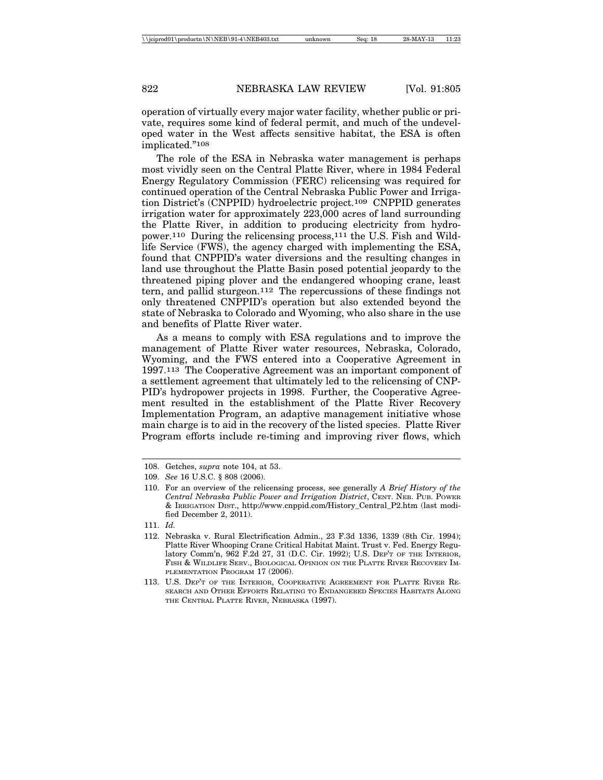operation of virtually every major water facility, whether public or private, requires some kind of federal permit, and much of the undeveloped water in the West affects sensitive habitat, the ESA is often implicated."108

The role of the ESA in Nebraska water management is perhaps most vividly seen on the Central Platte River, where in 1984 Federal Energy Regulatory Commission (FERC) relicensing was required for continued operation of the Central Nebraska Public Power and Irrigation District's (CNPPID) hydroelectric project.109 CNPPID generates irrigation water for approximately 223,000 acres of land surrounding the Platte River, in addition to producing electricity from hydropower.110 During the relicensing process,111 the U.S. Fish and Wildlife Service (FWS), the agency charged with implementing the ESA, found that CNPPID's water diversions and the resulting changes in land use throughout the Platte Basin posed potential jeopardy to the threatened piping plover and the endangered whooping crane, least tern, and pallid sturgeon.112 The repercussions of these findings not only threatened CNPPID's operation but also extended beyond the state of Nebraska to Colorado and Wyoming, who also share in the use and benefits of Platte River water.

As a means to comply with ESA regulations and to improve the management of Platte River water resources, Nebraska, Colorado, Wyoming, and the FWS entered into a Cooperative Agreement in 1997.113 The Cooperative Agreement was an important component of a settlement agreement that ultimately led to the relicensing of CNP-PID's hydropower projects in 1998. Further, the Cooperative Agreement resulted in the establishment of the Platte River Recovery Implementation Program, an adaptive management initiative whose main charge is to aid in the recovery of the listed species. Platte River Program efforts include re-timing and improving river flows, which

111. *Id.*

<sup>108.</sup> Getches, *supra* note 104, at 53.

<sup>109.</sup> *See* 16 U.S.C. § 808 (2006).

<sup>110.</sup> For an overview of the relicensing process, see generally *A Brief History of the Central Nebraska Public Power and Irrigation District*, CENT. NEB. PUB. POWER & IRRIGATION DIST., http://www.cnppid.com/History\_Central\_P2.htm (last modified December 2, 2011).

<sup>112.</sup> Nebraska v. Rural Electrification Admin., 23 F.3d 1336, 1339 (8th Cir. 1994); Platte River Whooping Crane Critical Habitat Maint. Trust v. Fed. Energy Regulatory Comm'n, 962 F.2d 27, 31 (D.C. Cir. 1992); U.S. DEP'T OF THE INTERIOR, FISH & WILDLIFE SERV., BIOLOGICAL OPINION ON THE PLATTE RIVER RECOVERY IM-PLEMENTATION PROGRAM 17 (2006).

<sup>113.</sup> U.S. DEP'T OF THE INTERIOR, COOPERATIVE AGREEMENT FOR PLATTE RIVER RE-SEARCH AND OTHER EFFORTS RELATING TO ENDANGERED SPECIES HABITATS ALONG THE CENTRAL PLATTE RIVER, NEBRASKA (1997).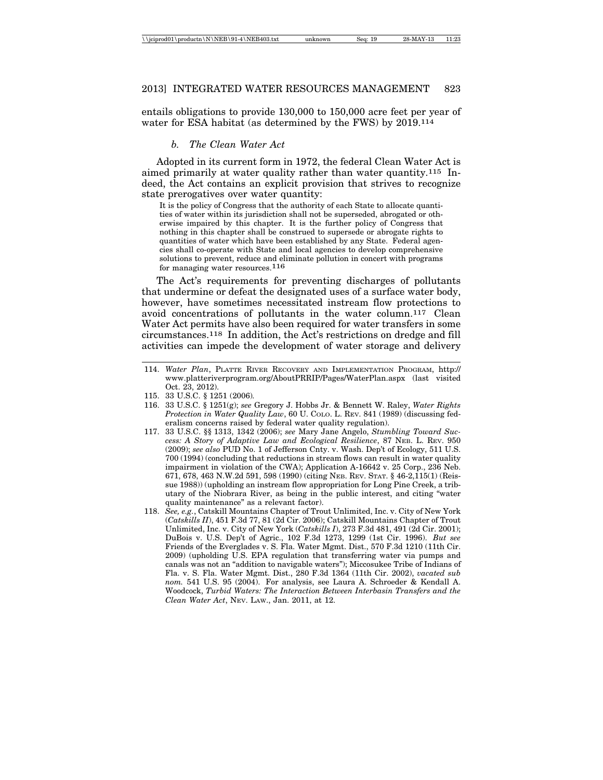entails obligations to provide 130,000 to 150,000 acre feet per year of water for ESA habitat (as determined by the FWS) by 2019.114

## *b. The Clean Water Act*

Adopted in its current form in 1972, the federal Clean Water Act is aimed primarily at water quality rather than water quantity.115 Indeed, the Act contains an explicit provision that strives to recognize state prerogatives over water quantity:

It is the policy of Congress that the authority of each State to allocate quantities of water within its jurisdiction shall not be superseded, abrogated or otherwise impaired by this chapter. It is the further policy of Congress that nothing in this chapter shall be construed to supersede or abrogate rights to quantities of water which have been established by any State. Federal agencies shall co-operate with State and local agencies to develop comprehensive solutions to prevent, reduce and eliminate pollution in concert with programs for managing water resources.116

The Act's requirements for preventing discharges of pollutants that undermine or defeat the designated uses of a surface water body, however, have sometimes necessitated instream flow protections to avoid concentrations of pollutants in the water column.117 Clean Water Act permits have also been required for water transfers in some circumstances.118 In addition, the Act's restrictions on dredge and fill activities can impede the development of water storage and delivery

- 115. 33 U.S.C. § 1251 (2006)*.*
- 116. 33 U.S.C. § 1251(g); *see* Gregory J. Hobbs Jr. & Bennett W. Raley, *Water Rights Protection in Water Quality Law*, 60 U. COLO. L. REV. 841 (1989) (discussing federalism concerns raised by federal water quality regulation).
- 117. 33 U.S.C. §§ 1313, 1342 (2006); *see* Mary Jane Angelo, *Stumbling Toward Success: A Story of Adaptive Law and Ecological Resilience*, 87 NEB. L. REV. 950 (2009); *see also* PUD No. 1 of Jefferson Cnty. v. Wash. Dep't of Ecology, 511 U.S. 700 (1994) (concluding that reductions in stream flows can result in water quality impairment in violation of the CWA); Application A-16642 v. 25 Corp., 236 Neb. 671, 678, 463 N.W.2d 591, 598 (1990) (citing NEB. REV. STAT. § 46-2,115(1) (Reissue 1988)) (upholding an instream flow appropriation for Long Pine Creek, a tributary of the Niobrara River, as being in the public interest, and citing "water quality maintenance" as a relevant factor).
- 118. *See, e.g.*, Catskill Mountains Chapter of Trout Unlimited, Inc. v. City of New York (*Catskills II*), 451 F.3d 77, 81 (2d Cir. 2006); Catskill Mountains Chapter of Trout Unlimited, Inc. v. City of New York (*Catskills I*), 273 F.3d 481, 491 (2d Cir. 2001); DuBois v. U.S. Dep't of Agric., 102 F.3d 1273, 1299 (1st Cir. 1996). *But see* Friends of the Everglades v. S. Fla. Water Mgmt. Dist., 570 F.3d 1210 (11th Cir. 2009) (upholding U.S. EPA regulation that transferring water via pumps and canals was not an "addition to navigable waters"); Miccosukee Tribe of Indians of Fla. v. S. Fla. Water Mgmt. Dist., 280 F.3d 1364 (11th Cir. 2002), *vacated sub nom.* 541 U.S. 95 (2004). For analysis, see Laura A. Schroeder & Kendall A. Woodcock, *Turbid Waters: The Interaction Between Interbasin Transfers and the Clean Water Act*, NEV. LAW., Jan. 2011, at 12.

<sup>114.</sup> *Water Plan*, PLATTE RIVER RECOVERY AND IMPLEMENTATION PROGRAM, http:// www.platteriverprogram.org/AboutPRRIP/Pages/WaterPlan.aspx (last visited Oct. 23, 2012).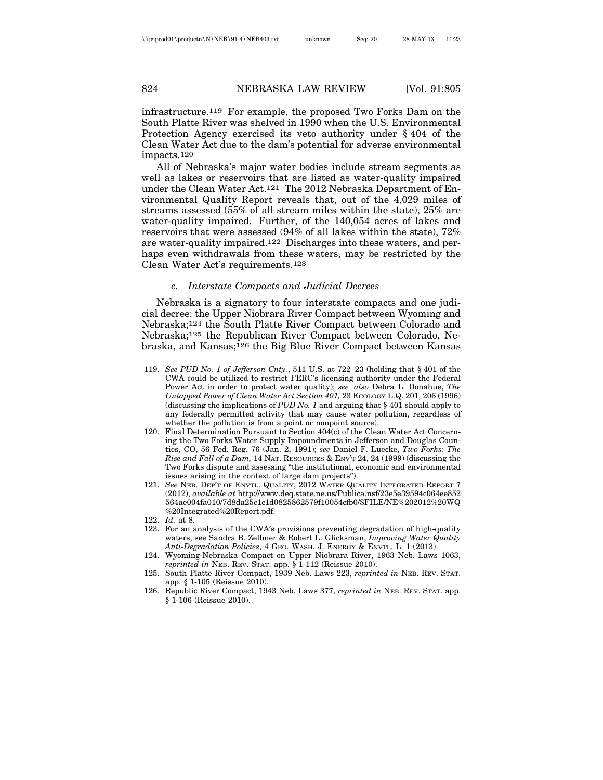infrastructure.119 For example, the proposed Two Forks Dam on the South Platte River was shelved in 1990 when the U.S. Environmental Protection Agency exercised its veto authority under § 404 of the Clean Water Act due to the dam's potential for adverse environmental impacts.120

All of Nebraska's major water bodies include stream segments as well as lakes or reservoirs that are listed as water-quality impaired under the Clean Water Act.121 The 2012 Nebraska Department of Environmental Quality Report reveals that, out of the 4,029 miles of streams assessed (55% of all stream miles within the state), 25% are water-quality impaired. Further, of the 140,054 acres of lakes and reservoirs that were assessed (94% of all lakes within the state), 72% are water-quality impaired.122 Discharges into these waters, and perhaps even withdrawals from these waters, may be restricted by the Clean Water Act's requirements.123

#### *c. Interstate Compacts and Judicial Decrees*

Nebraska is a signatory to four interstate compacts and one judicial decree: the Upper Niobrara River Compact between Wyoming and Nebraska;124 the South Platte River Compact between Colorado and Nebraska;125 the Republican River Compact between Colorado, Nebraska, and Kansas;126 the Big Blue River Compact between Kansas

- 120. Final Determination Pursuant to Section 404(c) of the Clean Water Act Concerning the Two Forks Water Supply Impoundments in Jefferson and Douglas Counties, CO, 56 Fed. Reg. 76 (Jan. 2, 1991); *see* Daniel F. Luecke, *Two Forks: The Rise and Fall of a Dam,* 14 NAT. RESOURCES & ENV'T 24, 24 (1999) (discussing the Two Forks dispute and assessing "the institutional, economic and environmental issues arising in the context of large dam projects").
- 121. *See* NEB. DEP'T OF ENVTL. QUALITY, 2012 WATER QUALITY INTEGRATED REPORT 7 (2012), *available at* http://www.deq.state.ne.us/Publica.nsf/23e5e39594c064ee852 564ae004fa010/7d8da25c1c1d0825862579f10054cfb0/\$FILE/NE%202012%20WQ %20Integrated%20Report.pdf.
- 122. *Id.* at 8.
- 123. For an analysis of the CWA's provisions preventing degradation of high-quality waters, see Sandra B. Zellmer & Robert L. Glicksman, *Improving Water Quality Anti-Degradation Policies*, 4 GEO. WASH. J. ENERGY & ENVTL. L. 1 (2013).
- 124. Wyoming-Nebraska Compact on Upper Niobrara River, 1963 Neb. Laws 1063, *reprinted in* NEB. REV. STAT. app.  $\S$  1-112 (Reissue 2010).
- 125. South Platte River Compact, 1939 Neb. Laws 223, *reprinted in* NEB. REV. STAT. app. § 1-105 (Reissue 2010).
- 126. Republic River Compact, 1943 Neb. Laws 377, *reprinted in* NEB. REV. STAT. app. § 1-106 (Reissue 2010).

<sup>119.</sup> *See PUD No. 1 of Jefferson Cnty.*, 511 U.S. at 722–23 (holding that § 401 of the CWA could be utilized to restrict FERC's licensing authority under the Federal Power Act in order to protect water quality); *see also* Debra L. Donahue, *The Untapped Power of Clean Water Act Section 401,* 23 ECOLOGY L.Q. 201, 206 (1996) (discussing the implications of *PUD No. 1* and arguing that § 401 should apply to any federally permitted activity that may cause water pollution, regardless of whether the pollution is from a point or nonpoint source).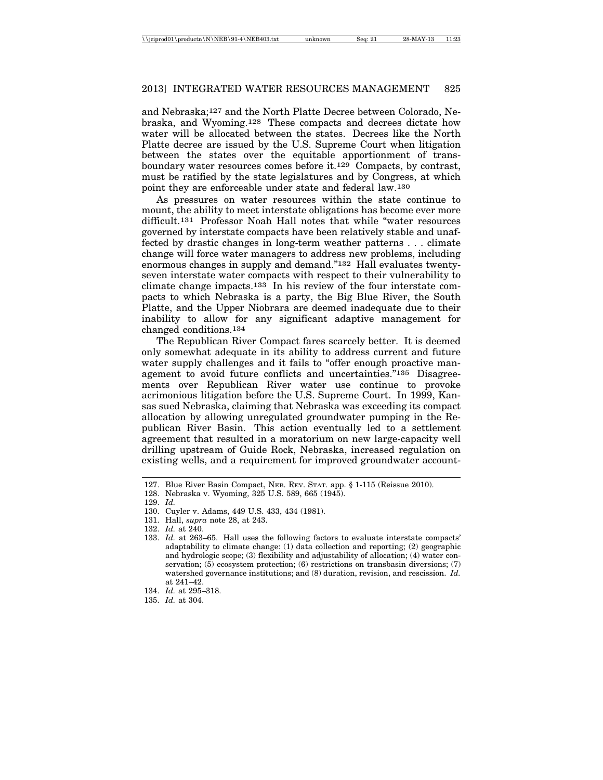and Nebraska;127 and the North Platte Decree between Colorado, Nebraska, and Wyoming.128 These compacts and decrees dictate how water will be allocated between the states. Decrees like the North Platte decree are issued by the U.S. Supreme Court when litigation between the states over the equitable apportionment of transboundary water resources comes before it.129 Compacts, by contrast, must be ratified by the state legislatures and by Congress, at which point they are enforceable under state and federal law.130

As pressures on water resources within the state continue to mount, the ability to meet interstate obligations has become ever more difficult.131 Professor Noah Hall notes that while "water resources governed by interstate compacts have been relatively stable and unaffected by drastic changes in long-term weather patterns . . . climate change will force water managers to address new problems, including enormous changes in supply and demand."132 Hall evaluates twentyseven interstate water compacts with respect to their vulnerability to climate change impacts.133 In his review of the four interstate compacts to which Nebraska is a party, the Big Blue River, the South Platte, and the Upper Niobrara are deemed inadequate due to their inability to allow for any significant adaptive management for changed conditions.134

The Republican River Compact fares scarcely better. It is deemed only somewhat adequate in its ability to address current and future water supply challenges and it fails to "offer enough proactive management to avoid future conflicts and uncertainties."135 Disagreements over Republican River water use continue to provoke acrimonious litigation before the U.S. Supreme Court. In 1999, Kansas sued Nebraska, claiming that Nebraska was exceeding its compact allocation by allowing unregulated groundwater pumping in the Republican River Basin. This action eventually led to a settlement agreement that resulted in a moratorium on new large-capacity well drilling upstream of Guide Rock, Nebraska, increased regulation on existing wells, and a requirement for improved groundwater account-

<sup>127.</sup> Blue River Basin Compact, NEB. REV. STAT. app. § 1-115 (Reissue 2010).

<sup>128.</sup> Nebraska v. Wyoming, 325 U.S. 589, 665 (1945).

<sup>129.</sup> *Id.*

<sup>130.</sup> Cuyler v. Adams, 449 U.S. 433, 434 (1981).

<sup>131.</sup> Hall, *supra* note 28, at 243.

<sup>132.</sup> *Id.* at 240.

<sup>133.</sup> *Id.* at 263–65. Hall uses the following factors to evaluate interstate compacts' adaptability to climate change: (1) data collection and reporting; (2) geographic and hydrologic scope; (3) flexibility and adjustability of allocation; (4) water conservation; (5) ecosystem protection; (6) restrictions on transbasin diversions; (7) watershed governance institutions; and (8) duration, revision, and rescission. *Id.* at 241–42.

<sup>134.</sup> *Id.* at 295–318.

<sup>135.</sup> *Id.* at 304.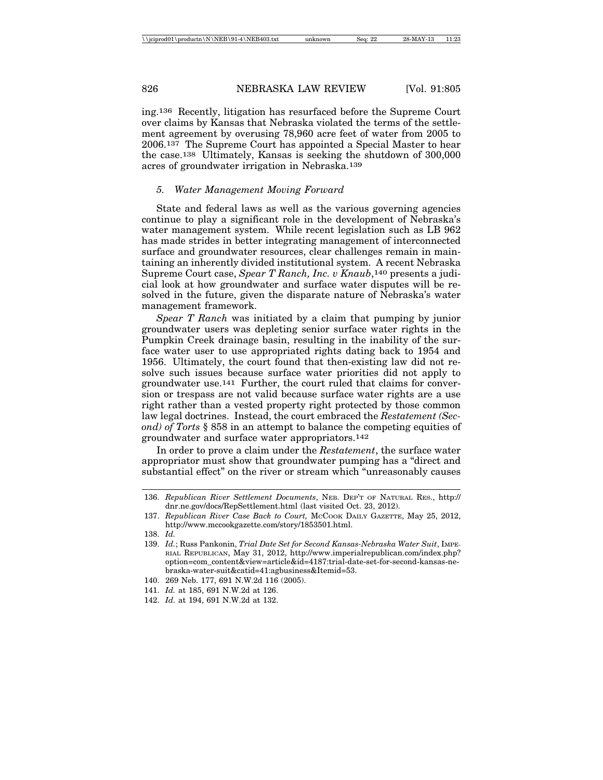ing.136 Recently, litigation has resurfaced before the Supreme Court over claims by Kansas that Nebraska violated the terms of the settlement agreement by overusing 78,960 acre feet of water from 2005 to 2006.137 The Supreme Court has appointed a Special Master to hear the case.138 Ultimately, Kansas is seeking the shutdown of 300,000 acres of groundwater irrigation in Nebraska.139

#### *5. Water Management Moving Forward*

State and federal laws as well as the various governing agencies continue to play a significant role in the development of Nebraska's water management system. While recent legislation such as LB 962 has made strides in better integrating management of interconnected surface and groundwater resources, clear challenges remain in maintaining an inherently divided institutional system. A recent Nebraska Supreme Court case, *Spear T Ranch, Inc. v Knaub*,140 presents a judicial look at how groundwater and surface water disputes will be resolved in the future, given the disparate nature of Nebraska's water management framework.

*Spear T Ranch* was initiated by a claim that pumping by junior groundwater users was depleting senior surface water rights in the Pumpkin Creek drainage basin, resulting in the inability of the surface water user to use appropriated rights dating back to 1954 and 1956. Ultimately, the court found that then-existing law did not resolve such issues because surface water priorities did not apply to groundwater use.141 Further, the court ruled that claims for conversion or trespass are not valid because surface water rights are a use right rather than a vested property right protected by those common law legal doctrines. Instead, the court embraced the *Restatement (Second) of Torts* § 858 in an attempt to balance the competing equities of groundwater and surface water appropriators.142

In order to prove a claim under the *Restatement*, the surface water appropriator must show that groundwater pumping has a "direct and substantial effect" on the river or stream which "unreasonably causes

<sup>136.</sup> *Republican River Settlement Documents*, NEB. DEP'T OF NATURAL RES., http:// dnr.ne.gov/docs/RepSettlement.html (last visited Oct. 23, 2012).

<sup>137.</sup> *Republican River Case Back to Court,* MCCOOK DAILY GAZETTE, May 25, 2012, http://www.mccookgazette.com/story/1853501.html.

<sup>138.</sup> *Id.*

<sup>139.</sup> *Id.*; Russ Pankonin, *Trial Date Set for Second Kansas-Nebraska Water Suit*, IMPE-RIAL REPUBLICAN, May 31, 2012, http://www.imperialrepublican.com/index.php? option=com\_content&view=article&id=4187:trial-date-set-for-second-kansas-nebraska-water-suit&catid=41:agbusiness&Itemid=53.

<sup>140. 269</sup> Neb. 177, 691 N.W.2d 116 (2005).

<sup>141.</sup> *Id.* at 185, 691 N.W.2d at 126.

<sup>142.</sup> *Id.* at 194, 691 N.W.2d at 132.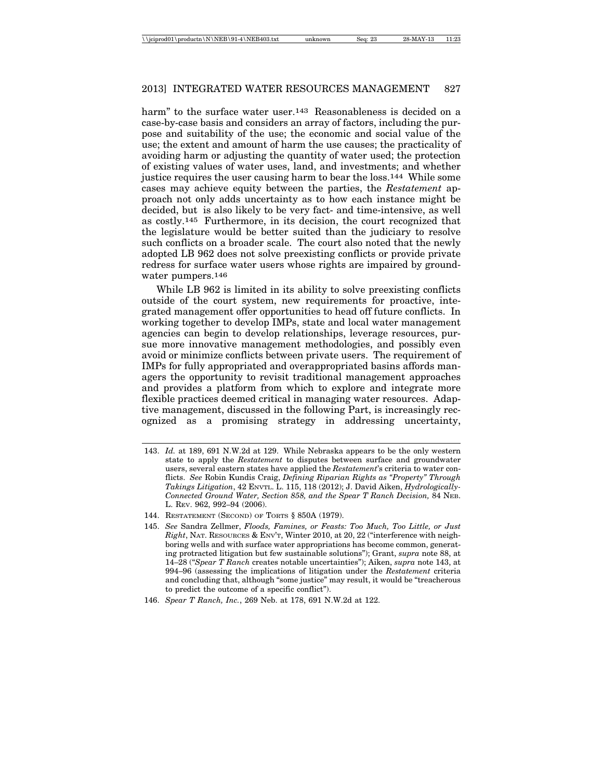harm" to the surface water user.<sup>143</sup> Reasonableness is decided on a case-by-case basis and considers an array of factors, including the purpose and suitability of the use; the economic and social value of the use; the extent and amount of harm the use causes; the practicality of avoiding harm or adjusting the quantity of water used; the protection of existing values of water uses, land, and investments; and whether justice requires the user causing harm to bear the loss.144 While some cases may achieve equity between the parties, the *Restatement* approach not only adds uncertainty as to how each instance might be decided, but is also likely to be very fact- and time-intensive, as well as costly.145 Furthermore, in its decision, the court recognized that the legislature would be better suited than the judiciary to resolve such conflicts on a broader scale. The court also noted that the newly adopted LB 962 does not solve preexisting conflicts or provide private redress for surface water users whose rights are impaired by groundwater pumpers.146

While LB 962 is limited in its ability to solve preexisting conflicts outside of the court system, new requirements for proactive, integrated management offer opportunities to head off future conflicts. In working together to develop IMPs, state and local water management agencies can begin to develop relationships, leverage resources, pursue more innovative management methodologies, and possibly even avoid or minimize conflicts between private users. The requirement of IMPs for fully appropriated and overappropriated basins affords managers the opportunity to revisit traditional management approaches and provides a platform from which to explore and integrate more flexible practices deemed critical in managing water resources. Adaptive management, discussed in the following Part, is increasingly recognized as a promising strategy in addressing uncertainty,

- 143. *Id.* at 189, 691 N.W.2d at 129. While Nebraska appears to be the only western state to apply the *Restatement* to disputes between surface and groundwater users, several eastern states have applied the *Restatement*'s criteria to water conflicts. *See* Robin Kundis Craig, *Defining Riparian Rights as "Property" Through Takings Litigation*, 42 ENVTL. L. 115, 118 (2012); J. David Aiken, *Hydrologically-Connected Ground Water, Section 858, and the Spear T Ranch Decision,* 84 NEB. L. REV. 962, 992–94 (2006).
- 144. RESTATEMENT (SECOND) OF TORTS § 850A (1979).
- 145. *See* Sandra Zellmer, *Floods, Famines, or Feasts: Too Much, Too Little, or Just Right*, NAT. RESOURCES & ENV'T, Winter 2010, at 20, 22 ("interference with neighboring wells and with surface water appropriations has become common, generating protracted litigation but few sustainable solutions"); Grant, *supra* note 88, at 14–28 ("*Spear T Ranch* creates notable uncertainties"); Aiken, *supra* note 143, at 994–96 (assessing the implications of litigation under the *Restatement* criteria and concluding that, although "some justice" may result, it would be "treacherous to predict the outcome of a specific conflict").
- 146. *Spear T Ranch, Inc.*, 269 Neb. at 178, 691 N.W.2d at 122.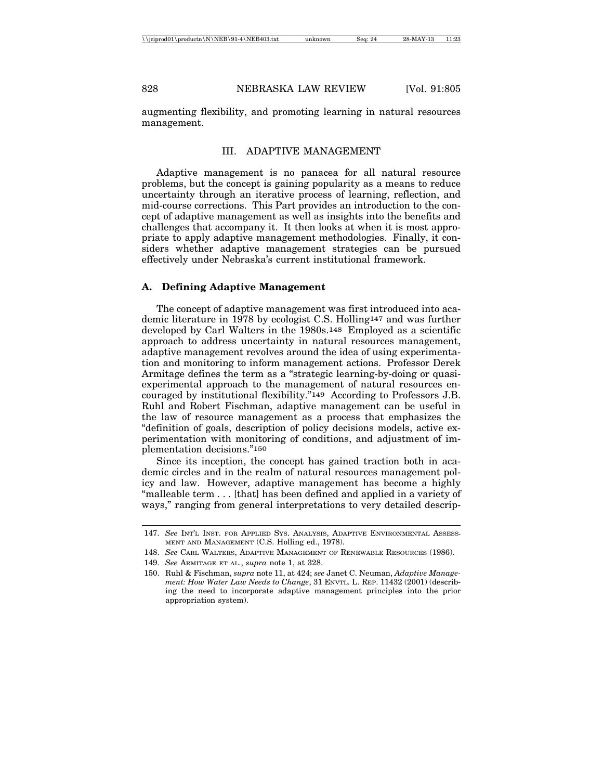augmenting flexibility, and promoting learning in natural resources management.

#### III. ADAPTIVE MANAGEMENT

Adaptive management is no panacea for all natural resource problems, but the concept is gaining popularity as a means to reduce uncertainty through an iterative process of learning, reflection, and mid-course corrections. This Part provides an introduction to the concept of adaptive management as well as insights into the benefits and challenges that accompany it. It then looks at when it is most appropriate to apply adaptive management methodologies. Finally, it considers whether adaptive management strategies can be pursued effectively under Nebraska's current institutional framework.

#### **A. Defining Adaptive Management**

The concept of adaptive management was first introduced into academic literature in 1978 by ecologist C.S. Holling147 and was further developed by Carl Walters in the 1980s.148 Employed as a scientific approach to address uncertainty in natural resources management, adaptive management revolves around the idea of using experimentation and monitoring to inform management actions. Professor Derek Armitage defines the term as a "strategic learning-by-doing or quasiexperimental approach to the management of natural resources encouraged by institutional flexibility."149 According to Professors J.B. Ruhl and Robert Fischman, adaptive management can be useful in the law of resource management as a process that emphasizes the "definition of goals, description of policy decisions models, active experimentation with monitoring of conditions, and adjustment of implementation decisions."150

Since its inception, the concept has gained traction both in academic circles and in the realm of natural resources management policy and law. However, adaptive management has become a highly "malleable term . . . [that] has been defined and applied in a variety of ways," ranging from general interpretations to very detailed descrip-

<sup>147.</sup> *See* INT'L INST. FOR APPLIED SYS. ANALYSIS, ADAPTIVE ENVIRONMENTAL ASSESS-MENT AND MANAGEMENT (C.S. Holling ed., 1978).

<sup>148.</sup> *See* CARL WALTERS, ADAPTIVE MANAGEMENT OF RENEWABLE RESOURCES (1986).

<sup>149.</sup> *See* ARMITAGE ET AL., *supra* note 1, at 328.

<sup>150.</sup> Ruhl & Fischman, *supra* note 11, at 424; *see* Janet C. Neuman, *Adaptive Management: How Water Law Needs to Change*, 31 ENVTL. L. REP. 11432 (2001) (describing the need to incorporate adaptive management principles into the prior appropriation system).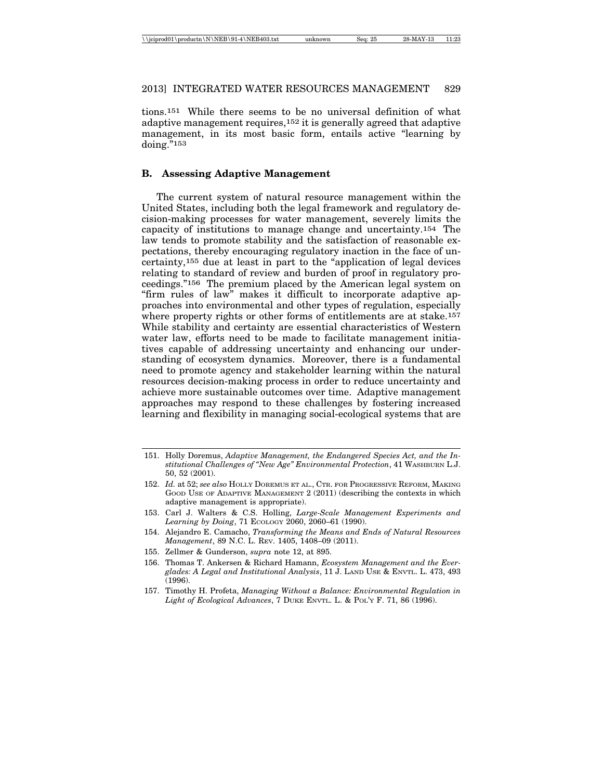tions.151 While there seems to be no universal definition of what adaptive management requires,152 it is generally agreed that adaptive management, in its most basic form, entails active "learning by doing."153

## **B. Assessing Adaptive Management**

The current system of natural resource management within the United States, including both the legal framework and regulatory decision-making processes for water management, severely limits the capacity of institutions to manage change and uncertainty.154 The law tends to promote stability and the satisfaction of reasonable expectations, thereby encouraging regulatory inaction in the face of uncertainty,155 due at least in part to the "application of legal devices relating to standard of review and burden of proof in regulatory proceedings."156 The premium placed by the American legal system on "firm rules of law" makes it difficult to incorporate adaptive approaches into environmental and other types of regulation, especially where property rights or other forms of entitlements are at stake.<sup>157</sup> While stability and certainty are essential characteristics of Western water law, efforts need to be made to facilitate management initiatives capable of addressing uncertainty and enhancing our understanding of ecosystem dynamics. Moreover, there is a fundamental need to promote agency and stakeholder learning within the natural resources decision-making process in order to reduce uncertainty and achieve more sustainable outcomes over time. Adaptive management approaches may respond to these challenges by fostering increased learning and flexibility in managing social-ecological systems that are

- 155. Zellmer & Gunderson, *supra* note 12, at 895.
- 156. Thomas T. Ankersen & Richard Hamann, *Ecosystem Management and the Everglades: A Legal and Institutional Analysis*, 11 J. LAND USE & ENVTL. L. 473, 493  $(1996)$ .
- 157. Timothy H. Profeta, *Managing Without a Balance: Environmental Regulation in Light of Ecological Advances*, 7 DUKE ENVTL. L. & POL'Y F. 71, 86 (1996).

<sup>151.</sup> Holly Doremus, *Adaptive Management, the Endangered Species Act, and the Institutional Challenges of "New Age" Environmental Protection*, 41 WASHBURN L.J. 50, 52 (2001).

<sup>152.</sup> *Id.* at 52; *see also* HOLLY DOREMUS ET AL., CTR. FOR PROGRESSIVE REFORM, MAKING GOOD USE OF ADAPTIVE MANAGEMENT 2 (2011) (describing the contexts in which adaptive management is appropriate).

<sup>153.</sup> Carl J. Walters & C.S. Holling, *Large-Scale Management Experiments and Learning by Doing*, 71 ECOLOGY 2060, 2060–61 (1990).

<sup>154.</sup> Alejandro E. Camacho, *Transforming the Means and Ends of Natural Resources Management*, 89 N.C. L. REV. 1405, 1408–09 (2011).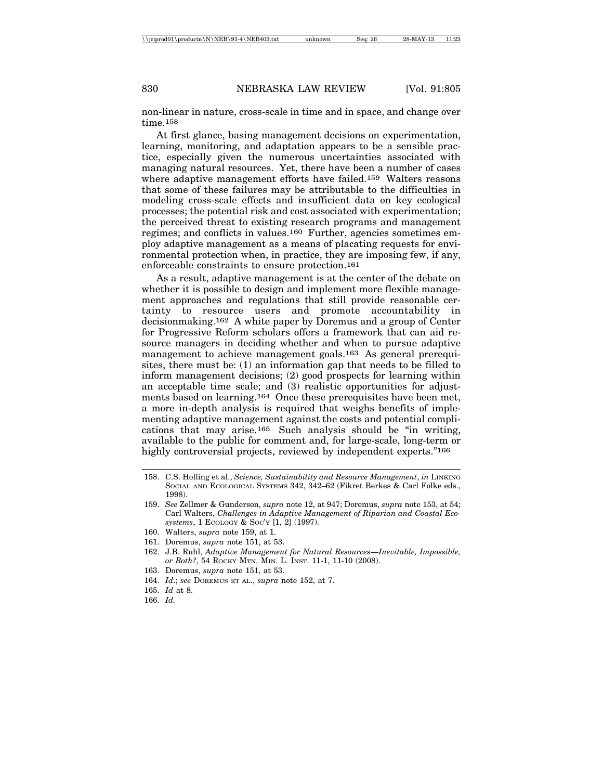non-linear in nature, cross-scale in time and in space, and change over time.158

At first glance, basing management decisions on experimentation, learning, monitoring, and adaptation appears to be a sensible practice, especially given the numerous uncertainties associated with managing natural resources. Yet, there have been a number of cases where adaptive management efforts have failed.159 Walters reasons that some of these failures may be attributable to the difficulties in modeling cross-scale effects and insufficient data on key ecological processes; the potential risk and cost associated with experimentation; the perceived threat to existing research programs and management regimes; and conflicts in values.160 Further, agencies sometimes employ adaptive management as a means of placating requests for environmental protection when, in practice, they are imposing few, if any, enforceable constraints to ensure protection.161

As a result, adaptive management is at the center of the debate on whether it is possible to design and implement more flexible management approaches and regulations that still provide reasonable certainty to resource users and promote accountability in decisionmaking.162 A white paper by Doremus and a group of Center for Progressive Reform scholars offers a framework that can aid resource managers in deciding whether and when to pursue adaptive management to achieve management goals.163 As general prerequisites, there must be: (1) an information gap that needs to be filled to inform management decisions; (2) good prospects for learning within an acceptable time scale; and (3) realistic opportunities for adjustments based on learning.164 Once these prerequisites have been met, a more in-depth analysis is required that weighs benefits of implementing adaptive management against the costs and potential complications that may arise.165 Such analysis should be "in writing, available to the public for comment and, for large-scale, long-term or highly controversial projects, reviewed by independent experts."<sup>166</sup>

- 160. Walters, *supra* note 159, at 1.
- 161. Doremus, *supra* note 151, at 53.
- 162. J.B. Ruhl, *Adaptive Management for Natural Resources—Inevitable, Impossible, or Both?*, 54 ROCKY MTN. MIN. L. INST. 11-1, 11-10 (2008).
- 163. Doremus, *supra* note 151, at 53.
- 164. *Id*.; *see* DOREMUS ET AL., *supra* note 152, at 7.
- 165. *Id* at 8.
- 166. *Id.*

<sup>158.</sup> C.S. Holling et al., *Science, Sustainability and Resource Management*, *in* LINKING SOCIAL AND ECOLOGICAL SYSTEMS 342, 342–62 (Fikret Berkes & Carl Folke eds., 1998).

<sup>159.</sup> *See* Zellmer & Gunderson, *supra* note 12, at 947; Doremus, *supra* note 153, at 54; Carl Walters, *Challenges in Adaptive Management of Riparian and Coastal Ecosystems*, 1 ECOLOGY & SOC'Y [1, 2] (1997).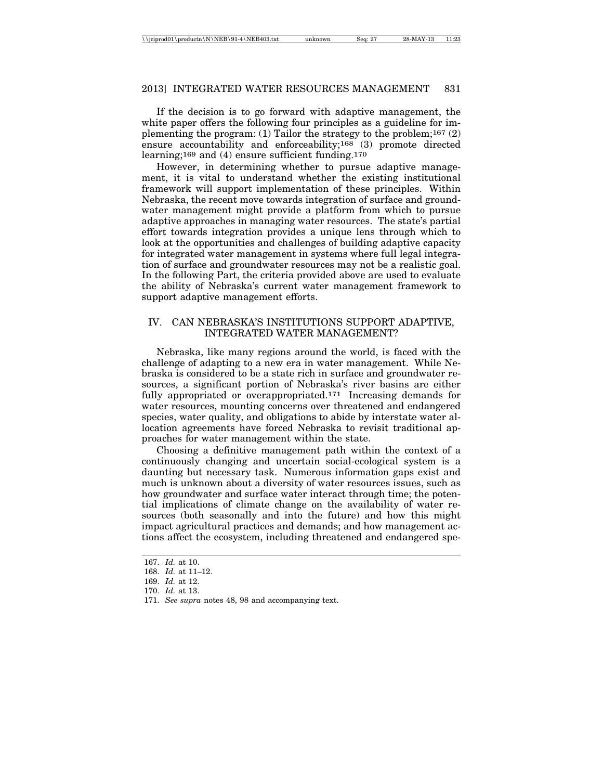If the decision is to go forward with adaptive management, the white paper offers the following four principles as a guideline for implementing the program: (1) Tailor the strategy to the problem;<sup>167</sup>  $(2)$ ensure accountability and enforceability;168 (3) promote directed learning;169 and (4) ensure sufficient funding.170

However, in determining whether to pursue adaptive management, it is vital to understand whether the existing institutional framework will support implementation of these principles. Within Nebraska, the recent move towards integration of surface and groundwater management might provide a platform from which to pursue adaptive approaches in managing water resources. The state's partial effort towards integration provides a unique lens through which to look at the opportunities and challenges of building adaptive capacity for integrated water management in systems where full legal integration of surface and groundwater resources may not be a realistic goal. In the following Part, the criteria provided above are used to evaluate the ability of Nebraska's current water management framework to support adaptive management efforts.

## IV. CAN NEBRASKA'S INSTITUTIONS SUPPORT ADAPTIVE, INTEGRATED WATER MANAGEMENT?

Nebraska, like many regions around the world, is faced with the challenge of adapting to a new era in water management. While Nebraska is considered to be a state rich in surface and groundwater resources, a significant portion of Nebraska's river basins are either fully appropriated or overappropriated.171 Increasing demands for water resources, mounting concerns over threatened and endangered species, water quality, and obligations to abide by interstate water allocation agreements have forced Nebraska to revisit traditional approaches for water management within the state.

Choosing a definitive management path within the context of a continuously changing and uncertain social-ecological system is a daunting but necessary task. Numerous information gaps exist and much is unknown about a diversity of water resources issues, such as how groundwater and surface water interact through time; the potential implications of climate change on the availability of water resources (both seasonally and into the future) and how this might impact agricultural practices and demands; and how management actions affect the ecosystem, including threatened and endangered spe-

<sup>167.</sup> *Id.* at 10.

<sup>168.</sup> *Id.* at 11–12.

<sup>169.</sup> *Id.* at 12.

<sup>170.</sup> *Id.* at 13.

<sup>171.</sup> *See supra* notes 48, 98 and accompanying text.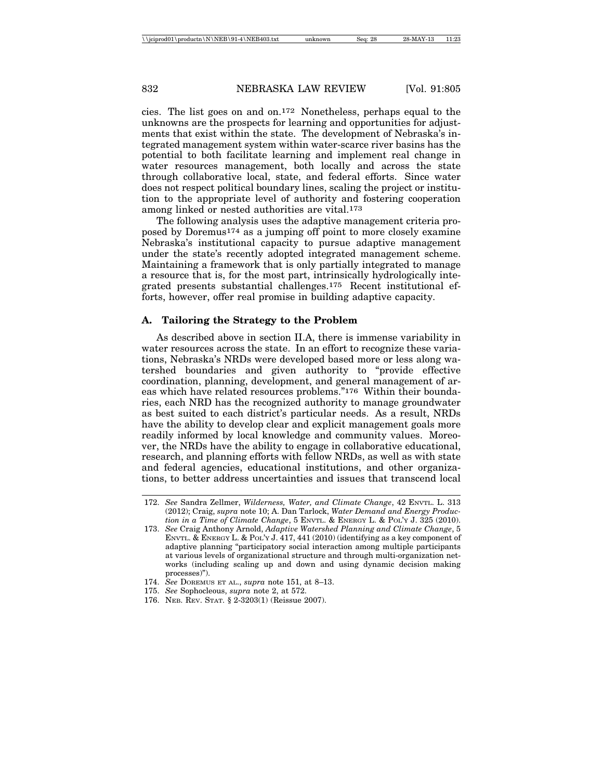cies. The list goes on and on.172 Nonetheless, perhaps equal to the unknowns are the prospects for learning and opportunities for adjustments that exist within the state. The development of Nebraska's integrated management system within water-scarce river basins has the potential to both facilitate learning and implement real change in water resources management, both locally and across the state through collaborative local, state, and federal efforts. Since water does not respect political boundary lines, scaling the project or institution to the appropriate level of authority and fostering cooperation among linked or nested authorities are vital.173

The following analysis uses the adaptive management criteria proposed by Doremus174 as a jumping off point to more closely examine Nebraska's institutional capacity to pursue adaptive management under the state's recently adopted integrated management scheme. Maintaining a framework that is only partially integrated to manage a resource that is, for the most part, intrinsically hydrologically integrated presents substantial challenges.175 Recent institutional efforts, however, offer real promise in building adaptive capacity.

#### **A. Tailoring the Strategy to the Problem**

As described above in section II.A, there is immense variability in water resources across the state. In an effort to recognize these variations, Nebraska's NRDs were developed based more or less along watershed boundaries and given authority to "provide effective coordination, planning, development, and general management of areas which have related resources problems."176 Within their boundaries, each NRD has the recognized authority to manage groundwater as best suited to each district's particular needs. As a result, NRDs have the ability to develop clear and explicit management goals more readily informed by local knowledge and community values. Moreover, the NRDs have the ability to engage in collaborative educational, research, and planning efforts with fellow NRDs, as well as with state and federal agencies, educational institutions, and other organizations, to better address uncertainties and issues that transcend local

- 175. *See* Sophocleous, *supra* note 2, at 572.
- 176. NEB. REV. STAT. § 2-3203(1) (Reissue 2007).

<sup>172.</sup> *See* Sandra Zellmer, *Wilderness, Water, and Climate Change*, 42 ENVTL. L. 313 (2012); Craig, *supra* note 10; A. Dan Tarlock, *Water Demand and Energy Production in a Time of Climate Change*, 5 ENVTL. & ENERGY L. & POL'Y J. 325 (2010).

<sup>173.</sup> *See* Craig Anthony Arnold, *Adaptive Watershed Planning and Climate Change*, 5 ENVTL. & ENERGY L. & POL'Y J. 417, 441 (2010) (identifying as a key component of adaptive planning "participatory social interaction among multiple participants at various levels of organizational structure and through multi-organization networks (including scaling up and down and using dynamic decision making processes)").

<sup>174.</sup> *See* DOREMUS ET AL., *supra* note 151, at 8–13.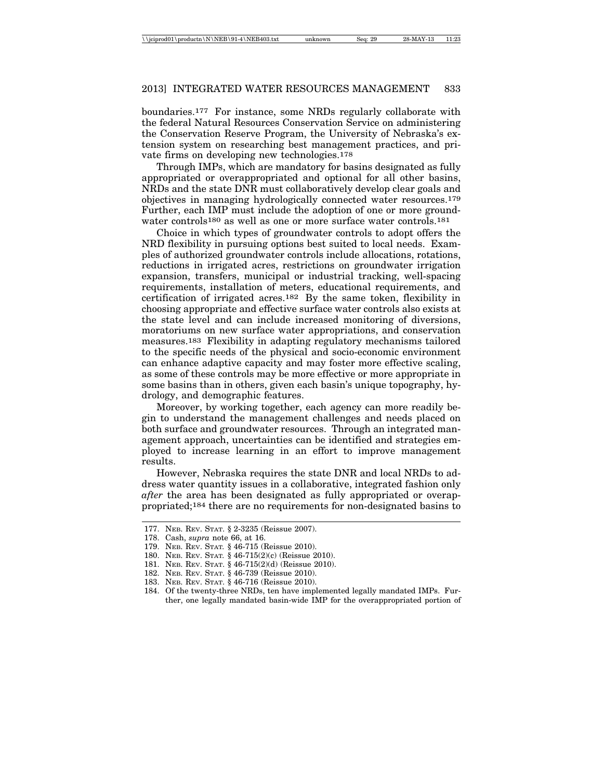boundaries.177 For instance, some NRDs regularly collaborate with the federal Natural Resources Conservation Service on administering the Conservation Reserve Program, the University of Nebraska's extension system on researching best management practices, and private firms on developing new technologies.178

Through IMPs, which are mandatory for basins designated as fully appropriated or overappropriated and optional for all other basins, NRDs and the state DNR must collaboratively develop clear goals and objectives in managing hydrologically connected water resources.179 Further, each IMP must include the adoption of one or more groundwater controls<sup>180</sup> as well as one or more surface water controls.<sup>181</sup>

Choice in which types of groundwater controls to adopt offers the NRD flexibility in pursuing options best suited to local needs. Examples of authorized groundwater controls include allocations, rotations, reductions in irrigated acres, restrictions on groundwater irrigation expansion, transfers, municipal or industrial tracking, well-spacing requirements, installation of meters, educational requirements, and certification of irrigated acres.182 By the same token, flexibility in choosing appropriate and effective surface water controls also exists at the state level and can include increased monitoring of diversions, moratoriums on new surface water appropriations, and conservation measures.183 Flexibility in adapting regulatory mechanisms tailored to the specific needs of the physical and socio-economic environment can enhance adaptive capacity and may foster more effective scaling, as some of these controls may be more effective or more appropriate in some basins than in others, given each basin's unique topography, hydrology, and demographic features.

Moreover, by working together, each agency can more readily begin to understand the management challenges and needs placed on both surface and groundwater resources. Through an integrated management approach, uncertainties can be identified and strategies employed to increase learning in an effort to improve management results.

However, Nebraska requires the state DNR and local NRDs to address water quantity issues in a collaborative, integrated fashion only *after* the area has been designated as fully appropriated or overappropriated;184 there are no requirements for non-designated basins to

182. NEB. REV. STAT. § 46-739 (Reissue 2010).

<sup>177.</sup> NEB. REV. STAT. § 2-3235 (Reissue 2007).

<sup>178.</sup> Cash, *supra* note 66, at 16.

<sup>179.</sup> NEB. REV. STAT*.* § 46-715 (Reissue 2010).

<sup>180.</sup> NEB. REV. STAT*.* § 46-715(2)(c) (Reissue 2010).

<sup>181.</sup> NEB. REV. STAT. § 46-715(2)(d) (Reissue 2010).

<sup>183.</sup> NEB. REV. STAT. § 46-716 (Reissue 2010).

<sup>184.</sup> Of the twenty-three NRDs, ten have implemented legally mandated IMPs. Further, one legally mandated basin-wide IMP for the overappropriated portion of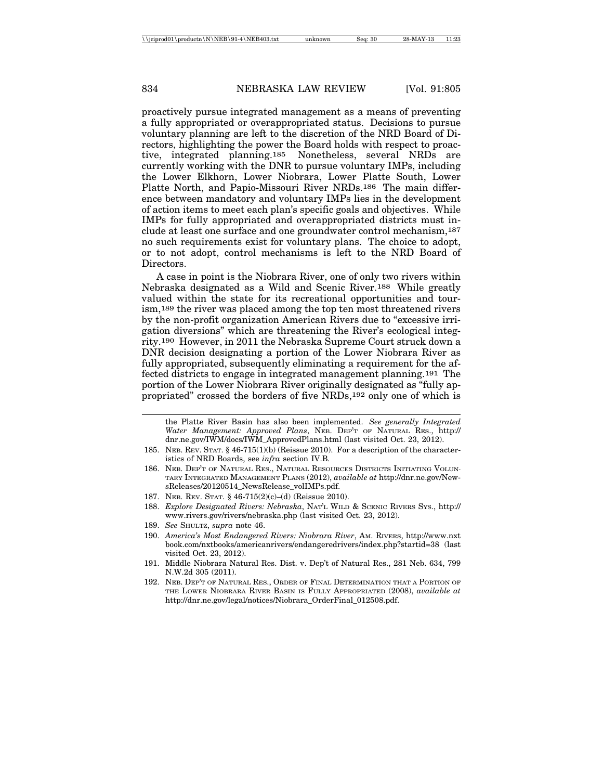proactively pursue integrated management as a means of preventing a fully appropriated or overappropriated status. Decisions to pursue voluntary planning are left to the discretion of the NRD Board of Directors, highlighting the power the Board holds with respect to proactive, integrated planning.185 Nonetheless, several NRDs are currently working with the DNR to pursue voluntary IMPs, including the Lower Elkhorn, Lower Niobrara, Lower Platte South, Lower Platte North, and Papio-Missouri River NRDs.186 The main difference between mandatory and voluntary IMPs lies in the development of action items to meet each plan's specific goals and objectives. While IMPs for fully appropriated and overappropriated districts must include at least one surface and one groundwater control mechanism,187 no such requirements exist for voluntary plans. The choice to adopt, or to not adopt, control mechanisms is left to the NRD Board of Directors.

A case in point is the Niobrara River, one of only two rivers within Nebraska designated as a Wild and Scenic River.188 While greatly valued within the state for its recreational opportunities and tourism,189 the river was placed among the top ten most threatened rivers by the non-profit organization American Rivers due to "excessive irrigation diversions" which are threatening the River's ecological integrity.190 However, in 2011 the Nebraska Supreme Court struck down a DNR decision designating a portion of the Lower Niobrara River as fully appropriated, subsequently eliminating a requirement for the affected districts to engage in integrated management planning.191 The portion of the Lower Niobrara River originally designated as "fully appropriated" crossed the borders of five NRDs,192 only one of which is

the Platte River Basin has also been implemented. *See generally Integrated Water Management: Approved Plans*, NEB. DEP'T OF NATURAL RES., http:// dnr.ne.gov/IWM/docs/IWM\_ApprovedPlans.html (last visited Oct. 23, 2012).

- 185. NEB. REV. STAT. § 46-715(1)(b) (Reissue 2010). For a description of the characteristics of NRD Boards, see *infra* section IV.B*.*
- 186. NEB. DEP'T OF NATURAL RES., NATURAL RESOURCES DISTRICTS INITIATING VOLUN-TARY INTEGRATED MANAGEMENT PLANS (2012), *available at* http://dnr.ne.gov/NewsReleases/20120514\_NewsRelease\_volIMPs.pdf.
- 187. NEB. REV. STAT. § 46-715(2)(c)–(d) (Reissue 2010).
- 188. *Explore Designated Rivers: Nebraska*, NAT'L WILD & SCENIC RIVERS SYS., http:// www.rivers.gov/rivers/nebraska.php (last visited Oct. 23, 2012).
- 189. *See* SHULTZ, *supra* note 46.
- 190. *America's Most Endangered Rivers: Niobrara River*, AM. RIVERS, http://www.nxt book.com/nxtbooks/americanrivers/endangeredrivers/index.php?startid=38 (last visited Oct. 23, 2012).
- 191. Middle Niobrara Natural Res. Dist. v. Dep't of Natural Res., 281 Neb. 634, 799 N.W.2d 305 (2011).
- 192. NEB. DEP'T OF NATURAL RES., ORDER OF FINAL DETERMINATION THAT A PORTION OF THE LOWER NIOBRARA RIVER BASIN IS FULLY APPROPRIATED (2008), *available at* http://dnr.ne.gov/legal/notices/Niobrara\_OrderFinal\_012508.pdf.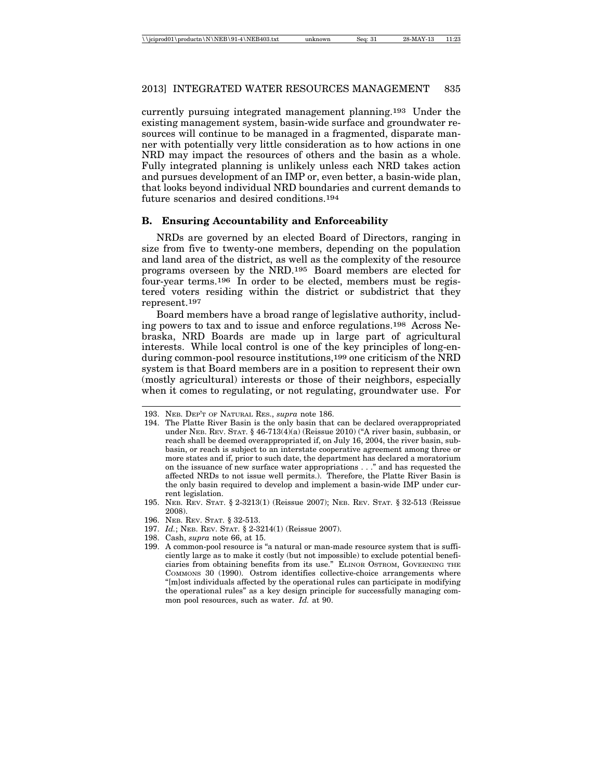currently pursuing integrated management planning.193 Under the existing management system, basin-wide surface and groundwater resources will continue to be managed in a fragmented, disparate manner with potentially very little consideration as to how actions in one NRD may impact the resources of others and the basin as a whole. Fully integrated planning is unlikely unless each NRD takes action and pursues development of an IMP or, even better, a basin-wide plan, that looks beyond individual NRD boundaries and current demands to future scenarios and desired conditions.194

## **B. Ensuring Accountability and Enforceability**

NRDs are governed by an elected Board of Directors, ranging in size from five to twenty-one members, depending on the population and land area of the district, as well as the complexity of the resource programs overseen by the NRD.195 Board members are elected for four-year terms.196 In order to be elected, members must be registered voters residing within the district or subdistrict that they represent.197

Board members have a broad range of legislative authority, including powers to tax and to issue and enforce regulations.198 Across Nebraska, NRD Boards are made up in large part of agricultural interests. While local control is one of the key principles of long-enduring common-pool resource institutions,199 one criticism of the NRD system is that Board members are in a position to represent their own (mostly agricultural) interests or those of their neighbors, especially when it comes to regulating, or not regulating, groundwater use. For

<sup>193.</sup> NEB. DEP'T OF NATURAL RES., *supra* note 186.

<sup>194.</sup> The Platte River Basin is the only basin that can be declared overappropriated under NEB. REV. STAT. § 46-713(4)(a) (Reissue 2010) ("A river basin, subbasin, or reach shall be deemed overappropriated if, on July 16, 2004, the river basin, subbasin, or reach is subject to an interstate cooperative agreement among three or more states and if, prior to such date, the department has declared a moratorium on the issuance of new surface water appropriations . . ." and has requested the affected NRDs to not issue well permits.). Therefore, the Platte River Basin is the only basin required to develop and implement a basin-wide IMP under current legislation.

<sup>195.</sup> NEB. REV. STAT. § 2-3213(1) (Reissue 2007); NEB. REV. STAT. § 32-513 (Reissue 2008).

<sup>196.</sup> NEB. REV. STAT. § 32-513.

<sup>197.</sup> *Id.*; NEB. REV. STAT. § 2-3214(1) (Reissue 2007).

<sup>198.</sup> Cash, *supra* note 66, at 15.

<sup>199.</sup> A common-pool resource is "a natural or man-made resource system that is sufficiently large as to make it costly (but not impossible) to exclude potential beneficiaries from obtaining benefits from its use." ELINOR OSTROM, GOVERNING THE COMMONS 30 (1990). Ostrom identifies collective-choice arrangements where "[m]ost individuals affected by the operational rules can participate in modifying the operational rules" as a key design principle for successfully managing common pool resources, such as water. *Id.* at 90.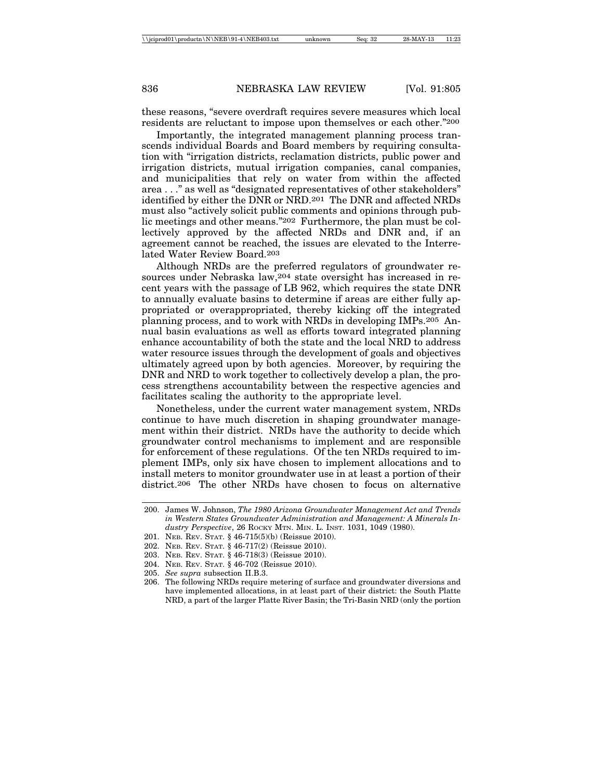these reasons, "severe overdraft requires severe measures which local residents are reluctant to impose upon themselves or each other."200

Importantly, the integrated management planning process transcends individual Boards and Board members by requiring consultation with "irrigation districts, reclamation districts, public power and irrigation districts, mutual irrigation companies, canal companies, and municipalities that rely on water from within the affected area . . ." as well as "designated representatives of other stakeholders" identified by either the DNR or NRD.201 The DNR and affected NRDs must also "actively solicit public comments and opinions through public meetings and other means."202 Furthermore, the plan must be collectively approved by the affected NRDs and DNR and, if an agreement cannot be reached, the issues are elevated to the Interrelated Water Review Board.203

Although NRDs are the preferred regulators of groundwater resources under Nebraska law,204 state oversight has increased in recent years with the passage of LB 962, which requires the state DNR to annually evaluate basins to determine if areas are either fully appropriated or overappropriated, thereby kicking off the integrated planning process, and to work with NRDs in developing IMPs.205 Annual basin evaluations as well as efforts toward integrated planning enhance accountability of both the state and the local NRD to address water resource issues through the development of goals and objectives ultimately agreed upon by both agencies. Moreover, by requiring the DNR and NRD to work together to collectively develop a plan, the process strengthens accountability between the respective agencies and facilitates scaling the authority to the appropriate level.

Nonetheless, under the current water management system, NRDs continue to have much discretion in shaping groundwater management within their district. NRDs have the authority to decide which groundwater control mechanisms to implement and are responsible for enforcement of these regulations. Of the ten NRDs required to implement IMPs, only six have chosen to implement allocations and to install meters to monitor groundwater use in at least a portion of their district.206 The other NRDs have chosen to focus on alternative

<sup>200.</sup> James W. Johnson, *The 1980 Arizona Groundwater Management Act and Trends in Western States Groundwater Administration and Management: A Minerals Industry Perspective*, 26 ROCKY MTN. MIN. L. INST. 1031, 1049 (1980).

<sup>201.</sup> NEB. REV. STAT. § 46-715(5)(b) (Reissue 2010).

<sup>202.</sup> NEB. REV. STAT. § 46-717(2) (Reissue 2010).

<sup>203.</sup> NEB. REV. STAT. § 46-718(3) (Reissue 2010).

<sup>204.</sup> NEB. REV. STAT. § 46-702 (Reissue 2010).

<sup>205.</sup> *See supra* subsection II.B.3.

<sup>206.</sup> The following NRDs require metering of surface and groundwater diversions and have implemented allocations, in at least part of their district: the South Platte NRD, a part of the larger Platte River Basin; the Tri-Basin NRD (only the portion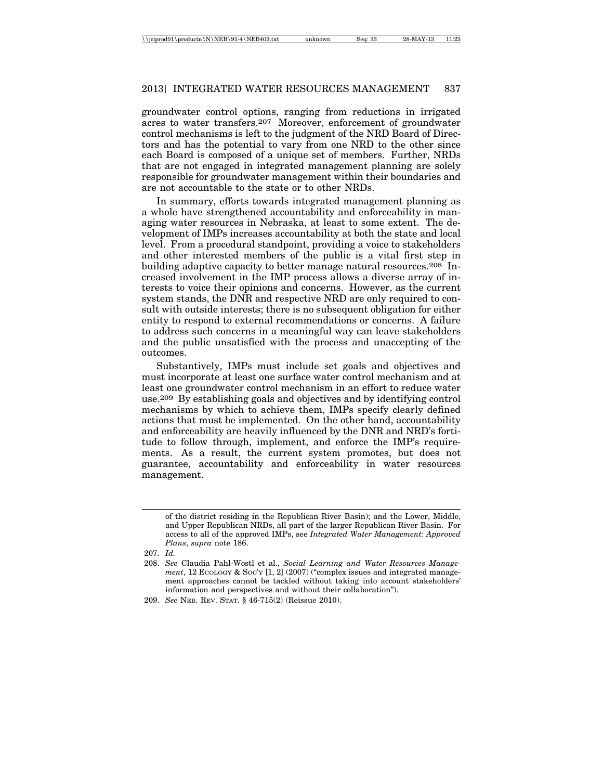groundwater control options, ranging from reductions in irrigated acres to water transfers.207 Moreover, enforcement of groundwater control mechanisms is left to the judgment of the NRD Board of Directors and has the potential to vary from one NRD to the other since each Board is composed of a unique set of members. Further, NRDs that are not engaged in integrated management planning are solely responsible for groundwater management within their boundaries and are not accountable to the state or to other NRDs.

In summary, efforts towards integrated management planning as a whole have strengthened accountability and enforceability in managing water resources in Nebraska, at least to some extent. The development of IMPs increases accountability at both the state and local level. From a procedural standpoint, providing a voice to stakeholders and other interested members of the public is a vital first step in building adaptive capacity to better manage natural resources.<sup>208</sup> Increased involvement in the IMP process allows a diverse array of interests to voice their opinions and concerns. However, as the current system stands, the DNR and respective NRD are only required to consult with outside interests; there is no subsequent obligation for either entity to respond to external recommendations or concerns. A failure to address such concerns in a meaningful way can leave stakeholders and the public unsatisfied with the process and unaccepting of the outcomes.

Substantively, IMPs must include set goals and objectives and must incorporate at least one surface water control mechanism and at least one groundwater control mechanism in an effort to reduce water use.209 By establishing goals and objectives and by identifying control mechanisms by which to achieve them, IMPs specify clearly defined actions that must be implemented. On the other hand, accountability and enforceability are heavily influenced by the DNR and NRD's fortitude to follow through, implement, and enforce the IMP's requirements. As a result, the current system promotes, but does not guarantee, accountability and enforceability in water resources management.

of the district residing in the Republican River Basin); and the Lower, Middle, and Upper Republican NRDs, all part of the larger Republican River Basin. For access to all of the approved IMPs, see *Integrated Water Management: Approved Plans*, *supra* note 186.

<sup>207.</sup> *Id.*

<sup>208.</sup> *See* Claudia Pahl-Wostl et al., *Social Learning and Water Resources Management*, 12 ECOLOGY & SOC'Y [1, 2] (2007) ("complex issues and integrated management approaches cannot be tackled without taking into account stakeholders' information and perspectives and without their collaboration").

<sup>209.</sup> *See* NEB. REV. STAT. § 46-715(2) (Reissue 2010).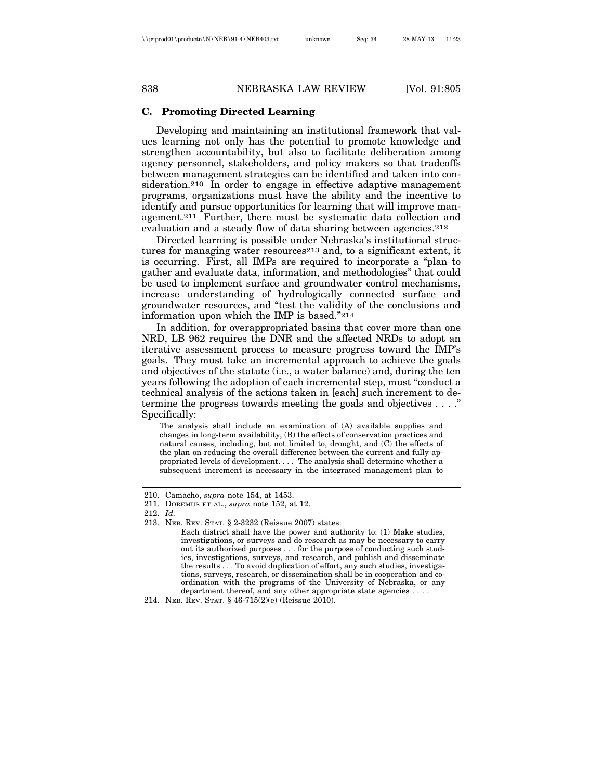## **C. Promoting Directed Learning**

Developing and maintaining an institutional framework that values learning not only has the potential to promote knowledge and strengthen accountability, but also to facilitate deliberation among agency personnel, stakeholders, and policy makers so that tradeoffs between management strategies can be identified and taken into consideration.210 In order to engage in effective adaptive management programs, organizations must have the ability and the incentive to identify and pursue opportunities for learning that will improve management.211 Further, there must be systematic data collection and evaluation and a steady flow of data sharing between agencies.212

Directed learning is possible under Nebraska's institutional structures for managing water resources213 and, to a significant extent, it is occurring. First, all IMPs are required to incorporate a "plan to gather and evaluate data, information, and methodologies" that could be used to implement surface and groundwater control mechanisms, increase understanding of hydrologically connected surface and groundwater resources, and "test the validity of the conclusions and information upon which the IMP is based."214

In addition, for overappropriated basins that cover more than one NRD, LB 962 requires the DNR and the affected NRDs to adopt an iterative assessment process to measure progress toward the IMP's goals. They must take an incremental approach to achieve the goals and objectives of the statute (i.e., a water balance) and, during the ten years following the adoption of each incremental step, must "conduct a technical analysis of the actions taken in [each] such increment to determine the progress towards meeting the goals and objectives . . . ." Specifically:

The analysis shall include an examination of (A) available supplies and changes in long-term availability, (B) the effects of conservation practices and natural causes, including, but not limited to, drought, and (C) the effects of the plan on reducing the overall difference between the current and fully appropriated levels of development. . . . The analysis shall determine whether a subsequent increment is necessary in the integrated management plan to

<sup>210.</sup> Camacho, *supra* note 154, at 1453.

<sup>211.</sup> DOREMUS ET AL., *supra* note 152, at 12.

<sup>212.</sup> *Id.*

<sup>213.</sup> NEB. REV. STAT. § 2-3232 (Reissue 2007) states:

Each district shall have the power and authority to: (1) Make studies, investigations, or surveys and do research as may be necessary to carry out its authorized purposes . . . for the purpose of conducting such studies, investigations, surveys, and research, and publish and disseminate the results . . . To avoid duplication of effort, any such studies, investigations, surveys, research, or dissemination shall be in cooperation and coordination with the programs of the University of Nebraska, or any department thereof, and any other appropriate state agencies . . . .

<sup>214.</sup> NEB. REV. STAT. § 46-715(2)(e) (Reissue 2010).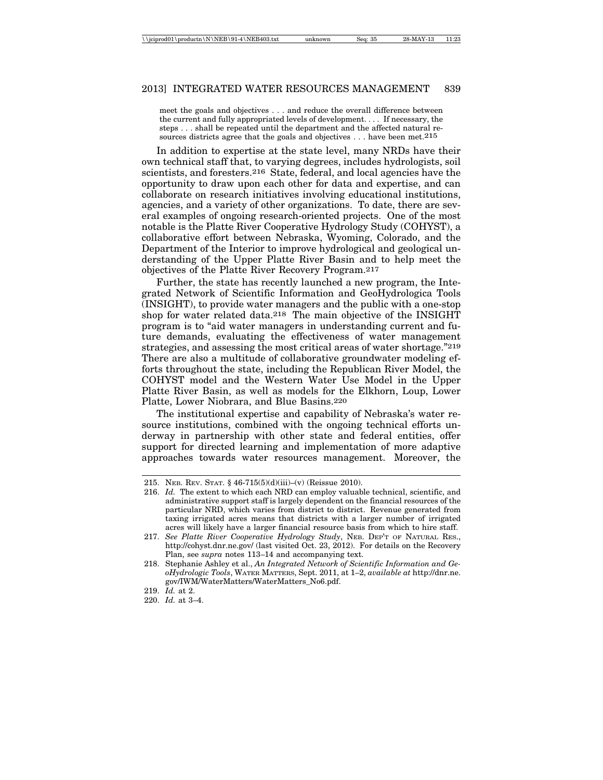meet the goals and objectives . . . and reduce the overall difference between the current and fully appropriated levels of development. . . . If necessary, the steps . . . shall be repeated until the department and the affected natural resources districts agree that the goals and objectives ... have been met.  $215$ 

In addition to expertise at the state level, many NRDs have their own technical staff that, to varying degrees, includes hydrologists, soil scientists, and foresters.216 State, federal, and local agencies have the opportunity to draw upon each other for data and expertise, and can collaborate on research initiatives involving educational institutions, agencies, and a variety of other organizations. To date, there are several examples of ongoing research-oriented projects. One of the most notable is the Platte River Cooperative Hydrology Study (COHYST), a collaborative effort between Nebraska, Wyoming, Colorado, and the Department of the Interior to improve hydrological and geological understanding of the Upper Platte River Basin and to help meet the objectives of the Platte River Recovery Program.217

Further, the state has recently launched a new program, the Integrated Network of Scientific Information and GeoHydrologica Tools (INSIGHT), to provide water managers and the public with a one-stop shop for water related data.218 The main objective of the INSIGHT program is to "aid water managers in understanding current and future demands, evaluating the effectiveness of water management strategies, and assessing the most critical areas of water shortage."219 There are also a multitude of collaborative groundwater modeling efforts throughout the state, including the Republican River Model, the COHYST model and the Western Water Use Model in the Upper Platte River Basin, as well as models for the Elkhorn, Loup, Lower Platte, Lower Niobrara, and Blue Basins.220

The institutional expertise and capability of Nebraska's water resource institutions, combined with the ongoing technical efforts underway in partnership with other state and federal entities, offer support for directed learning and implementation of more adaptive approaches towards water resources management. Moreover, the

<sup>215.</sup> NEB. REV. STAT. § 46-715(5)(d)(iii)–(v) (Reissue 2010).

<sup>216.</sup> *Id.* The extent to which each NRD can employ valuable technical, scientific, and administrative support staff is largely dependent on the financial resources of the particular NRD, which varies from district to district. Revenue generated from taxing irrigated acres means that districts with a larger number of irrigated acres will likely have a larger financial resource basis from which to hire staff.

<sup>217.</sup> *See Platte River Cooperative Hydrology Study*, NEB. DEP'T OF NATURAL RES., http://cohyst.dnr.ne.gov/ (last visited Oct. 23, 2012). For details on the Recovery Plan, see *supra* notes 113–14 and accompanying text.

<sup>218.</sup> Stephanie Ashley et al., *An Integrated Network of Scientific Information and GeoHydrologic Tools*, WATER MATTERS, Sept. 2011, at 1–2, *available at* http://dnr.ne. gov/IWM/WaterMatters/WaterMatters\_No6.pdf.

<sup>219.</sup> *Id.* at 2.

<sup>220.</sup> *Id.* at 3–4.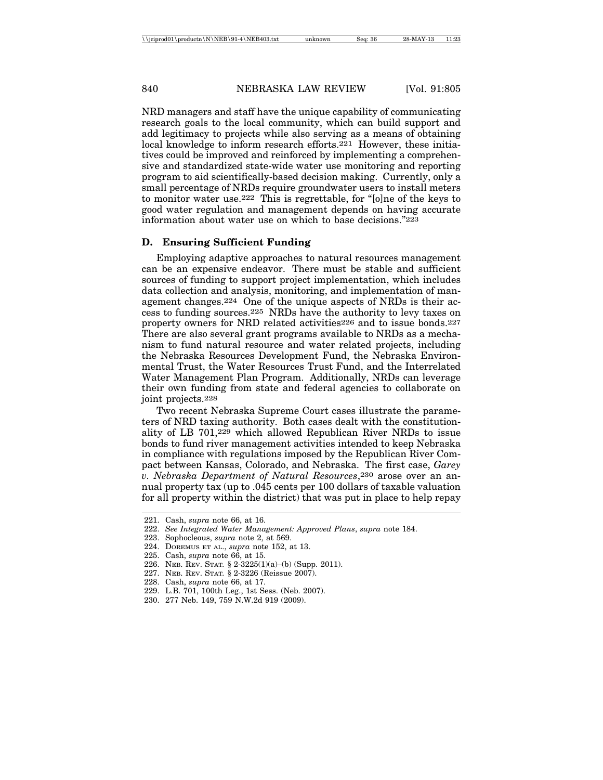NRD managers and staff have the unique capability of communicating research goals to the local community, which can build support and add legitimacy to projects while also serving as a means of obtaining local knowledge to inform research efforts.221 However, these initiatives could be improved and reinforced by implementing a comprehensive and standardized state-wide water use monitoring and reporting program to aid scientifically-based decision making. Currently, only a small percentage of NRDs require groundwater users to install meters to monitor water use.222 This is regrettable, for "[o]ne of the keys to good water regulation and management depends on having accurate information about water use on which to base decisions."223

#### **D. Ensuring Sufficient Funding**

Employing adaptive approaches to natural resources management can be an expensive endeavor. There must be stable and sufficient sources of funding to support project implementation, which includes data collection and analysis, monitoring, and implementation of management changes.224 One of the unique aspects of NRDs is their access to funding sources.225 NRDs have the authority to levy taxes on property owners for NRD related activities226 and to issue bonds.227 There are also several grant programs available to NRDs as a mechanism to fund natural resource and water related projects, including the Nebraska Resources Development Fund, the Nebraska Environmental Trust, the Water Resources Trust Fund, and the Interrelated Water Management Plan Program. Additionally, NRDs can leverage their own funding from state and federal agencies to collaborate on joint projects.228

Two recent Nebraska Supreme Court cases illustrate the parameters of NRD taxing authority. Both cases dealt with the constitutionality of LB 701,229 which allowed Republican River NRDs to issue bonds to fund river management activities intended to keep Nebraska in compliance with regulations imposed by the Republican River Compact between Kansas, Colorado, and Nebraska. The first case, *Garey v. Nebraska Department of Natural Resources*,230 arose over an annual property tax (up to .045 cents per 100 dollars of taxable valuation for all property within the district) that was put in place to help repay

227. NEB. REV. STAT*.* § 2-3226 (Reissue 2007).

229. L.B. 701, 100th Leg., 1st Sess. (Neb. 2007).

<sup>221.</sup> Cash, *supra* note 66, at 16.

<sup>222.</sup> *See Integrated Water Management: Approved Plans*, *supra* note 184.

<sup>223.</sup> Sophocleous, *supra* note 2, at 569.

<sup>224.</sup> DOREMUS ET AL., *supra* note 152, at 13.

<sup>225.</sup> Cash, *supra* note 66, at 15.

<sup>226.</sup> NEB. REV. STAT*.* § 2-3225(1)(a)–(b) (Supp. 2011).

<sup>228.</sup> Cash, *supra* note 66, at 17.

<sup>230. 277</sup> Neb. 149, 759 N.W.2d 919 (2009).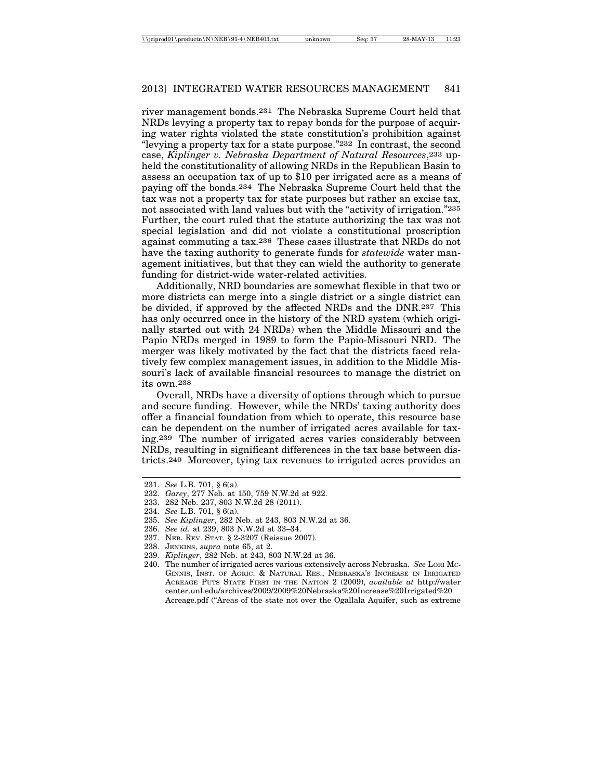river management bonds.231 The Nebraska Supreme Court held that NRDs levying a property tax to repay bonds for the purpose of acquiring water rights violated the state constitution's prohibition against "levying a property tax for a state purpose."232 In contrast, the second case, *Kiplinger v. Nebraska Department of Natural Resources*,233 upheld the constitutionality of allowing NRDs in the Republican Basin to assess an occupation tax of up to \$10 per irrigated acre as a means of paying off the bonds.234 The Nebraska Supreme Court held that the tax was not a property tax for state purposes but rather an excise tax, not associated with land values but with the "activity of irrigation."235 Further, the court ruled that the statute authorizing the tax was not special legislation and did not violate a constitutional proscription against commuting a tax.236 These cases illustrate that NRDs do not have the taxing authority to generate funds for *statewide* water management initiatives, but that they can wield the authority to generate funding for district-wide water-related activities.

Additionally, NRD boundaries are somewhat flexible in that two or more districts can merge into a single district or a single district can be divided, if approved by the affected NRDs and the DNR.237 This has only occurred once in the history of the NRD system (which originally started out with 24 NRDs) when the Middle Missouri and the Papio NRDs merged in 1989 to form the Papio-Missouri NRD. The merger was likely motivated by the fact that the districts faced relatively few complex management issues, in addition to the Middle Missouri's lack of available financial resources to manage the district on its own.238

Overall, NRDs have a diversity of options through which to pursue and secure funding. However, while the NRDs' taxing authority does offer a financial foundation from which to operate, this resource base can be dependent on the number of irrigated acres available for taxing.239 The number of irrigated acres varies considerably between NRDs, resulting in significant differences in the tax base between districts.240 Moreover, tying tax revenues to irrigated acres provides an

- 233. 282 Neb. 237, 803 N.W.2d 28 (2011).
- 234. *See* L.B. 701, § 6(a).
- 235. *See Kiplinger*, 282 Neb. at 243, 803 N.W.2d at 36.
- 236. *See id.* at 239, 803 N.W.2d at 33–34.
- 237. NEB. REV. STAT*.* § 2-3207 (Reissue 2007).
- 238. JENKINS, *supra* note 65, at 2.
- 239. *Kiplinger*, 282 Neb. at 243, 803 N.W.2d at 36.
- 240. The number of irrigated acres various extensively across Nebraska. *See* LORI MC-GINNIS, INST. OF AGRIC. & NATURAL RES., NEBRASKA'S INCREASE IN IRRIGATED ACREAGE PUTS STATE FIRST IN THE NATION 2 (2009), *available at* http://water center.unl.edu/archives/2009/2009%20Nebraska%20Increase%20Irrigated%20 Acreage.pdf ("Areas of the state not over the Ogallala Aquifer, such as extreme

<sup>231.</sup> *See* L.B. 701, § 6(a).

<sup>232.</sup> *Garey*, 277 Neb. at 150, 759 N.W.2d at 922.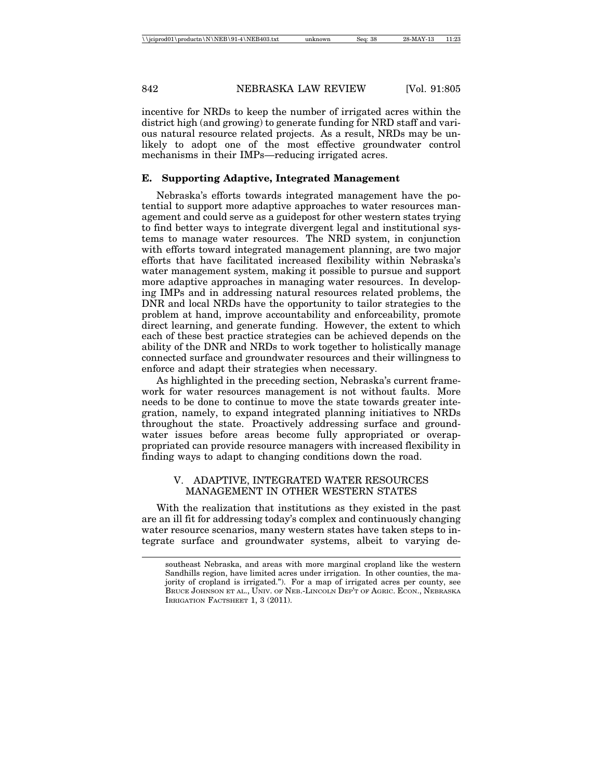incentive for NRDs to keep the number of irrigated acres within the district high (and growing) to generate funding for NRD staff and various natural resource related projects. As a result, NRDs may be unlikely to adopt one of the most effective groundwater control mechanisms in their IMPs—reducing irrigated acres.

#### **E. Supporting Adaptive, Integrated Management**

Nebraska's efforts towards integrated management have the potential to support more adaptive approaches to water resources management and could serve as a guidepost for other western states trying to find better ways to integrate divergent legal and institutional systems to manage water resources. The NRD system, in conjunction with efforts toward integrated management planning, are two major efforts that have facilitated increased flexibility within Nebraska's water management system, making it possible to pursue and support more adaptive approaches in managing water resources. In developing IMPs and in addressing natural resources related problems, the DNR and local NRDs have the opportunity to tailor strategies to the problem at hand, improve accountability and enforceability, promote direct learning, and generate funding. However, the extent to which each of these best practice strategies can be achieved depends on the ability of the DNR and NRDs to work together to holistically manage connected surface and groundwater resources and their willingness to enforce and adapt their strategies when necessary.

As highlighted in the preceding section, Nebraska's current framework for water resources management is not without faults. More needs to be done to continue to move the state towards greater integration, namely, to expand integrated planning initiatives to NRDs throughout the state. Proactively addressing surface and groundwater issues before areas become fully appropriated or overappropriated can provide resource managers with increased flexibility in finding ways to adapt to changing conditions down the road.

### V. ADAPTIVE, INTEGRATED WATER RESOURCES MANAGEMENT IN OTHER WESTERN STATES

With the realization that institutions as they existed in the past are an ill fit for addressing today's complex and continuously changing water resource scenarios, many western states have taken steps to integrate surface and groundwater systems, albeit to varying de-

southeast Nebraska, and areas with more marginal cropland like the western Sandhills region, have limited acres under irrigation. In other counties, the majority of cropland is irrigated."). For a map of irrigated acres per county, see BRUCE JOHNSON ET AL., UNIV. OF NEB.-LINCOLN DEP'T OF AGRIC. ECON., NEBRASKA IRRIGATION FACTSHEET 1, 3 (2011).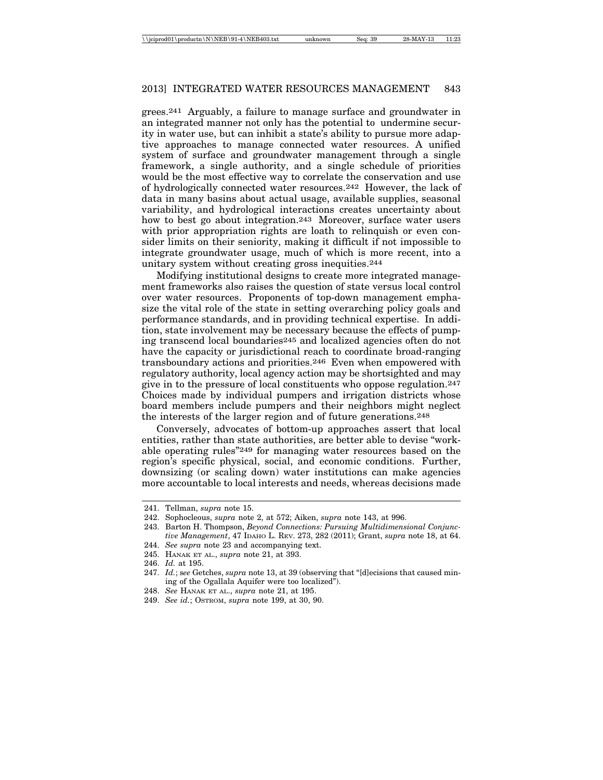grees.241 Arguably, a failure to manage surface and groundwater in an integrated manner not only has the potential to undermine security in water use, but can inhibit a state's ability to pursue more adaptive approaches to manage connected water resources. A unified system of surface and groundwater management through a single framework, a single authority, and a single schedule of priorities would be the most effective way to correlate the conservation and use of hydrologically connected water resources.242 However, the lack of data in many basins about actual usage, available supplies, seasonal variability, and hydrological interactions creates uncertainty about how to best go about integration.243 Moreover, surface water users with prior appropriation rights are loath to relinquish or even consider limits on their seniority, making it difficult if not impossible to integrate groundwater usage, much of which is more recent, into a unitary system without creating gross inequities.244

Modifying institutional designs to create more integrated management frameworks also raises the question of state versus local control over water resources. Proponents of top-down management emphasize the vital role of the state in setting overarching policy goals and performance standards, and in providing technical expertise. In addition, state involvement may be necessary because the effects of pumping transcend local boundaries245 and localized agencies often do not have the capacity or jurisdictional reach to coordinate broad-ranging transboundary actions and priorities.246 Even when empowered with regulatory authority, local agency action may be shortsighted and may give in to the pressure of local constituents who oppose regulation.247 Choices made by individual pumpers and irrigation districts whose board members include pumpers and their neighbors might neglect the interests of the larger region and of future generations.248

Conversely, advocates of bottom-up approaches assert that local entities, rather than state authorities, are better able to devise "workable operating rules"249 for managing water resources based on the region's specific physical, social, and economic conditions. Further, downsizing (or scaling down) water institutions can make agencies more accountable to local interests and needs, whereas decisions made

245. HANAK ET AL., *supra* note 21, at 393.

<sup>241.</sup> Tellman, *supra* note 15.

<sup>242.</sup> Sophocleous, *supra* note 2, at 572; Aiken, *supra* note 143, at 996.

<sup>243.</sup> Barton H. Thompson, *Beyond Connections: Pursuing Multidimensional Conjunctive Management*, 47 IDAHO L. REV. 273, 282 (2011); Grant, *supra* note 18, at 64.

<sup>244.</sup> *See supra* note 23 and accompanying text.

<sup>246.</sup> *Id.* at 195.

<sup>247.</sup> *Id.*; s*ee* Getches, *supra* note 13, at 39 (observing that "[d]ecisions that caused mining of the Ogallala Aquifer were too localized").

<sup>248.</sup> *See* HANAK ET AL., *supra* note 21, at 195.

<sup>249.</sup> *See id.*; OSTROM, *supra* note 199, at 30, 90.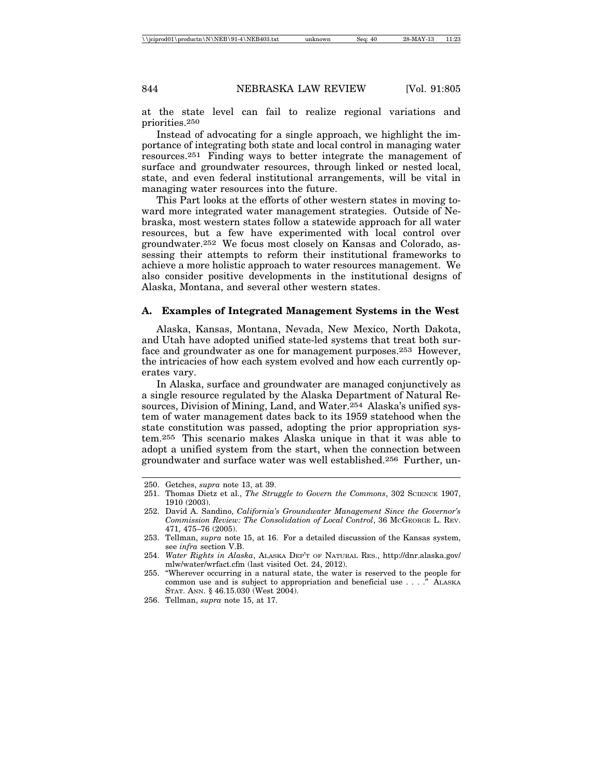at the state level can fail to realize regional variations and priorities.250

Instead of advocating for a single approach, we highlight the importance of integrating both state and local control in managing water resources.251 Finding ways to better integrate the management of surface and groundwater resources, through linked or nested local, state, and even federal institutional arrangements, will be vital in managing water resources into the future.

This Part looks at the efforts of other western states in moving toward more integrated water management strategies. Outside of Nebraska, most western states follow a statewide approach for all water resources, but a few have experimented with local control over groundwater.252 We focus most closely on Kansas and Colorado, assessing their attempts to reform their institutional frameworks to achieve a more holistic approach to water resources management. We also consider positive developments in the institutional designs of Alaska, Montana, and several other western states.

#### **A. Examples of Integrated Management Systems in the West**

Alaska, Kansas, Montana, Nevada, New Mexico, North Dakota, and Utah have adopted unified state-led systems that treat both surface and groundwater as one for management purposes.253 However, the intricacies of how each system evolved and how each currently operates vary.

In Alaska, surface and groundwater are managed conjunctively as a single resource regulated by the Alaska Department of Natural Resources, Division of Mining, Land, and Water.254 Alaska's unified system of water management dates back to its 1959 statehood when the state constitution was passed, adopting the prior appropriation system.255 This scenario makes Alaska unique in that it was able to adopt a unified system from the start, when the connection between groundwater and surface water was well established.256 Further, un-

<sup>250.</sup> Getches, *supra* note 13, at 39.

<sup>251.</sup> Thomas Dietz et al., *The Struggle to Govern the Commons*, 302 SCIENCE 1907, 1910 (2003).

<sup>252.</sup> David A. Sandino, *California's Groundwater Management Since the Governor's Commission Review: The Consolidation of Local Control*, 36 MCGEORGE L. REV. 471, 475–76 (2005).

<sup>253.</sup> Tellman, *supra* note 15, at 16. For a detailed discussion of the Kansas system, see *infra* section V.B.

<sup>254.</sup> *Water Rights in Alaska*, ALASKA DEP'T OF NATURAL RES., http://dnr.alaska.gov/ mlw/water/wrfact.cfm (last visited Oct. 24, 2012).

<sup>255. &</sup>quot;Wherever occurring in a natural state, the water is reserved to the people for common use and is subject to appropriation and beneficial use . . . ." ALASKA STAT. ANN. § 46.15.030 (West 2004).

<sup>256.</sup> Tellman, *supra* note 15, at 17.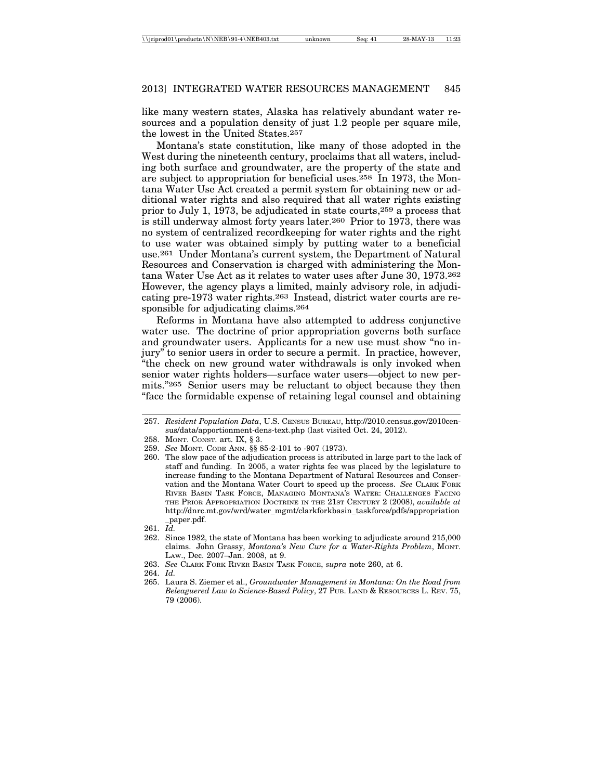like many western states, Alaska has relatively abundant water resources and a population density of just 1.2 people per square mile, the lowest in the United States.257

Montana's state constitution, like many of those adopted in the West during the nineteenth century, proclaims that all waters, including both surface and groundwater, are the property of the state and are subject to appropriation for beneficial uses.258 In 1973, the Montana Water Use Act created a permit system for obtaining new or additional water rights and also required that all water rights existing prior to July 1, 1973, be adjudicated in state courts,259 a process that is still underway almost forty years later.260 Prior to 1973, there was no system of centralized recordkeeping for water rights and the right to use water was obtained simply by putting water to a beneficial use.261 Under Montana's current system, the Department of Natural Resources and Conservation is charged with administering the Montana Water Use Act as it relates to water uses after June 30, 1973.262 However, the agency plays a limited, mainly advisory role, in adjudicating pre-1973 water rights.263 Instead, district water courts are responsible for adjudicating claims.<sup>264</sup>

Reforms in Montana have also attempted to address conjunctive water use. The doctrine of prior appropriation governs both surface and groundwater users. Applicants for a new use must show "no injury" to senior users in order to secure a permit. In practice, however, "the check on new ground water withdrawals is only invoked when senior water rights holders—surface water users—object to new permits."265 Senior users may be reluctant to object because they then "face the formidable expense of retaining legal counsel and obtaining

<sup>257.</sup> *Resident Population Data*, U.S. CENSUS BUREAU, http://2010.census.gov/2010census/data/apportionment-dens-text.php (last visited Oct. 24, 2012).

<sup>258.</sup> MONT. CONST. art. IX, § 3.

<sup>259.</sup> *See* MONT. CODE ANN. §§ 85-2-101 to -907 (1973).

<sup>260.</sup> The slow pace of the adjudication process is attributed in large part to the lack of staff and funding. In 2005, a water rights fee was placed by the legislature to increase funding to the Montana Department of Natural Resources and Conservation and the Montana Water Court to speed up the process. *See* CLARK FORK RIVER BASIN TASK FORCE, MANAGING MONTANA'S WATER: CHALLENGES FACING THE PRIOR APPROPRIATION DOCTRINE IN THE 21ST CENTURY 2 (2008), *available at* http://dnrc.mt.gov/wrd/water\_mgmt/clarkforkbasin\_taskforce/pdfs/appropriation \_paper.pdf.

<sup>261.</sup> *Id.*

<sup>262.</sup> Since 1982, the state of Montana has been working to adjudicate around 215,000 claims. John Grassy, *Montana's New Cure for a Water-Rights Problem*, MONT. LAW., Dec. 2007–Jan. 2008, at 9.

<sup>263.</sup> *See* CLARK FORK RIVER BASIN TASK FORCE, *supra* note 260, at 6.

<sup>264.</sup> *Id.*

<sup>265.</sup> Laura S. Ziemer et al., *Groundwater Management in Montana: On the Road from Beleaguered Law to Science-Based Policy*, 27 PUB. LAND & RESOURCES L. REV. 75, 79 (2006).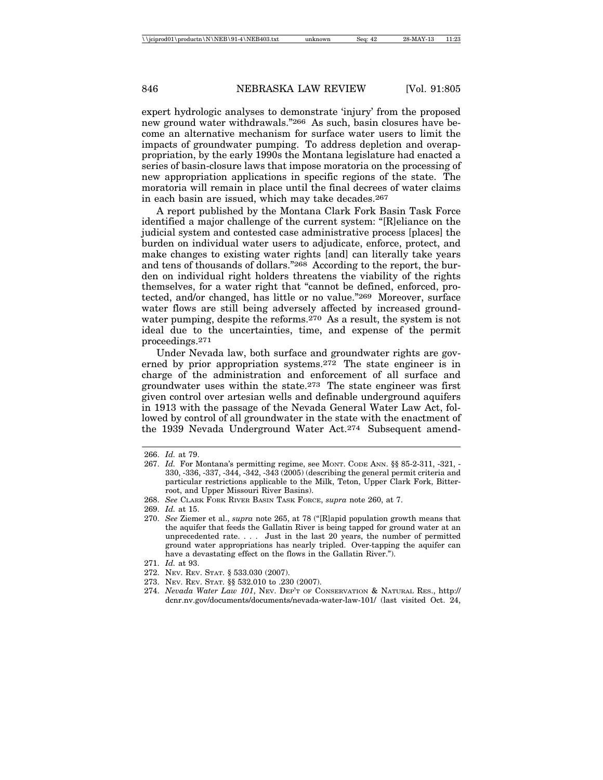expert hydrologic analyses to demonstrate 'injury' from the proposed new ground water withdrawals."266 As such, basin closures have become an alternative mechanism for surface water users to limit the impacts of groundwater pumping. To address depletion and overappropriation, by the early 1990s the Montana legislature had enacted a series of basin-closure laws that impose moratoria on the processing of new appropriation applications in specific regions of the state. The moratoria will remain in place until the final decrees of water claims in each basin are issued, which may take decades.267

A report published by the Montana Clark Fork Basin Task Force identified a major challenge of the current system: "[R]eliance on the judicial system and contested case administrative process [places] the burden on individual water users to adjudicate, enforce, protect, and make changes to existing water rights [and] can literally take years and tens of thousands of dollars."268 According to the report, the burden on individual right holders threatens the viability of the rights themselves, for a water right that "cannot be defined, enforced, protected, and/or changed, has little or no value."269 Moreover, surface water flows are still being adversely affected by increased groundwater pumping, despite the reforms.270 As a result, the system is not ideal due to the uncertainties, time, and expense of the permit proceedings.271

Under Nevada law, both surface and groundwater rights are governed by prior appropriation systems.272 The state engineer is in charge of the administration and enforcement of all surface and groundwater uses within the state.273 The state engineer was first given control over artesian wells and definable underground aquifers in 1913 with the passage of the Nevada General Water Law Act, followed by control of all groundwater in the state with the enactment of the 1939 Nevada Underground Water Act.274 Subsequent amend-

271. *Id.* at 93.

273. NEV. REV. STAT. §§ 532.010 to .230 (2007).

<sup>266.</sup> *Id.* at 79.

<sup>267.</sup> *Id.* For Montana's permitting regime, see MONT. CODE ANN. §§ 85-2-311, -321, - 330, -336, -337, -344, -342, -343 (2005) (describing the general permit criteria and particular restrictions applicable to the Milk, Teton, Upper Clark Fork, Bitterroot, and Upper Missouri River Basins).

<sup>268.</sup> *See* CLARK FORK RIVER BASIN TASK FORCE, *supra* note 260, at 7.

<sup>269.</sup> *Id.* at 15.

<sup>270.</sup> *See* Ziemer et al., *supra* note 265, at 78 ("[R]apid population growth means that the aquifer that feeds the Gallatin River is being tapped for ground water at an unprecedented rate. . . . Just in the last 20 years, the number of permitted ground water appropriations has nearly tripled. Over-tapping the aquifer can have a devastating effect on the flows in the Gallatin River.").

<sup>272.</sup> NEV. REV. STAT. § 533.030 (2007).

<sup>274.</sup> *Nevada Water Law 101*, NEV. DEP'T OF CONSERVATION & NATURAL RES., http:// dcnr.nv.gov/documents/documents/nevada-water-law-101/ (last visited Oct. 24,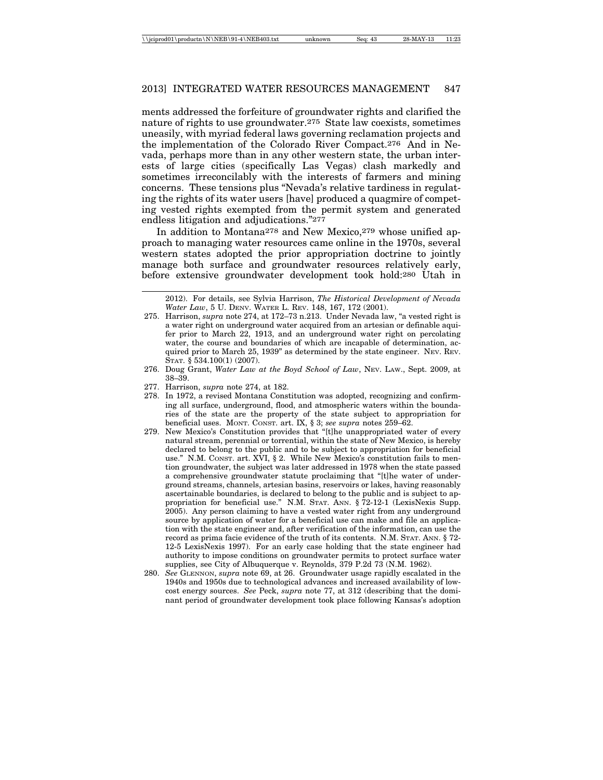ments addressed the forfeiture of groundwater rights and clarified the nature of rights to use groundwater.275 State law coexists, sometimes uneasily, with myriad federal laws governing reclamation projects and the implementation of the Colorado River Compact.276 And in Nevada, perhaps more than in any other western state, the urban interests of large cities (specifically Las Vegas) clash markedly and sometimes irreconcilably with the interests of farmers and mining concerns. These tensions plus "Nevada's relative tardiness in regulating the rights of its water users [have] produced a quagmire of competing vested rights exempted from the permit system and generated endless litigation and adjudications."277

In addition to Montana278 and New Mexico,279 whose unified approach to managing water resources came online in the 1970s, several western states adopted the prior appropriation doctrine to jointly manage both surface and groundwater resources relatively early, before extensive groundwater development took hold:280 Utah in

- 276. Doug Grant, *Water Law at the Boyd School of Law*, NEV. LAW., Sept. 2009, at 38–39.
- 277. Harrison, *supra* note 274, at 182.
- 278. In 1972, a revised Montana Constitution was adopted, recognizing and confirming all surface, underground, flood, and atmospheric waters within the boundaries of the state are the property of the state subject to appropriation for beneficial uses. MONT. CONST. art. IX, § 3; *see supra* notes 259–62.
- 279. New Mexico's Constitution provides that "[t]he unappropriated water of every natural stream, perennial or torrential, within the state of New Mexico, is hereby declared to belong to the public and to be subject to appropriation for beneficial use." N.M. CONST. art. XVI, § 2. While New Mexico's constitution fails to mention groundwater, the subject was later addressed in 1978 when the state passed a comprehensive groundwater statute proclaiming that "[t]he water of underground streams, channels, artesian basins, reservoirs or lakes, having reasonably ascertainable boundaries, is declared to belong to the public and is subject to appropriation for beneficial use." N.M. STAT. ANN. § 72-12-1 (LexisNexis Supp. 2005). Any person claiming to have a vested water right from any underground source by application of water for a beneficial use can make and file an application with the state engineer and, after verification of the information, can use the record as prima facie evidence of the truth of its contents. N.M. STAT. ANN. § 72- 12-5 LexisNexis 1997). For an early case holding that the state engineer had authority to impose conditions on groundwater permits to protect surface water supplies, see City of Albuquerque v. Reynolds, 379 P.2d 73 (N.M. 1962).
- 280. *See* GLENNON, *supra* note 69, at 26. Groundwater usage rapidly escalated in the 1940s and 1950s due to technological advances and increased availability of lowcost energy sources. *See* Peck, *supra* note 77, at 312 (describing that the dominant period of groundwater development took place following Kansas's adoption

<sup>2012).</sup> For details, see Sylvia Harrison, *The Historical Development of Nevada Water Law*, 5 U. DENV. WATER L. REV. 148, 167, 172 (2001).

<sup>275.</sup> Harrison, *supra* note 274, at 172–73 n.213. Under Nevada law, "a vested right is a water right on underground water acquired from an artesian or definable aquifer prior to March 22, 1913, and an underground water right on percolating water, the course and boundaries of which are incapable of determination, acquired prior to March 25, 1939" as determined by the state engineer. NEV. REV. STAT. § 534.100(1) (2007).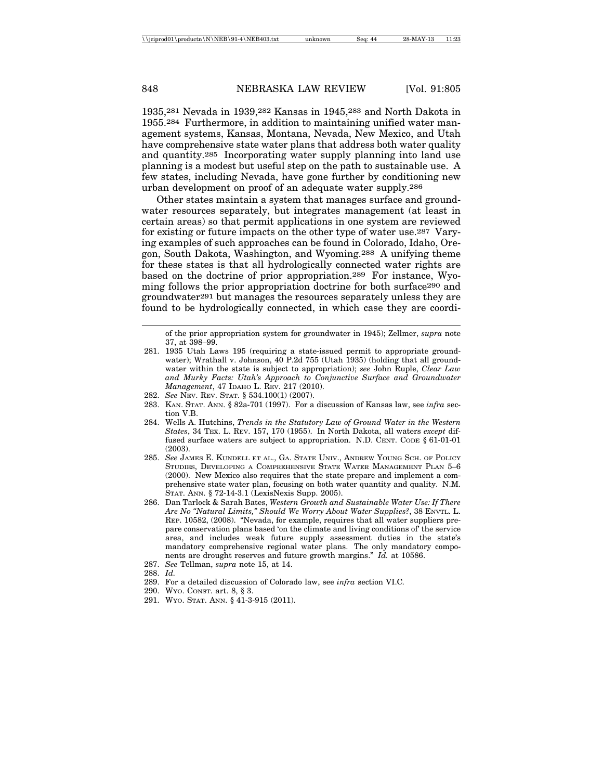1935,281 Nevada in 1939,282 Kansas in 1945,283 and North Dakota in 1955.284 Furthermore, in addition to maintaining unified water management systems, Kansas, Montana, Nevada, New Mexico, and Utah have comprehensive state water plans that address both water quality and quantity.285 Incorporating water supply planning into land use planning is a modest but useful step on the path to sustainable use. A few states, including Nevada, have gone further by conditioning new urban development on proof of an adequate water supply.286

Other states maintain a system that manages surface and groundwater resources separately, but integrates management (at least in certain areas) so that permit applications in one system are reviewed for existing or future impacts on the other type of water use.287 Varying examples of such approaches can be found in Colorado, Idaho, Oregon, South Dakota, Washington, and Wyoming.288 A unifying theme for these states is that all hydrologically connected water rights are based on the doctrine of prior appropriation.289 For instance, Wyoming follows the prior appropriation doctrine for both surface290 and groundwater291 but manages the resources separately unless they are found to be hydrologically connected, in which case they are coordi-

of the prior appropriation system for groundwater in 1945); Zellmer, *supra* note 37, at 398–99.

- 281. 1935 Utah Laws 195 (requiring a state-issued permit to appropriate groundwater); Wrathall v. Johnson, 40 P.2d 755 (Utah 1935) (holding that all groundwater within the state is subject to appropriation); *see* John Ruple, *Clear Law and Murky Facts: Utah's Approach to Conjunctive Surface and Groundwater Management*, 47 IDAHO L. REV. 217 (2010).
- 282. *See* NEV. REV. STAT. § 534.100(1) (2007).
- 283. KAN. STAT. ANN. § 82a-701 (1997). For a discussion of Kansas law, see *infra* section V.B.
- 284. Wells A. Hutchins, *Trends in the Statutory Law of Ground Water in the Western States*, 34 TEX. L. REV. 157, 170 (1955). In North Dakota, all waters *except* diffused surface waters are subject to appropriation. N.D. CENT. CODE § 61-01-01 (2003).
- 285. *See* JAMES E. KUNDELL ET AL., GA. STATE UNIV., ANDREW YOUNG SCH. OF POLICY STUDIES, DEVELOPING A COMPREHENSIVE STATE WATER MANAGEMENT PLAN 5–6 (2000). New Mexico also requires that the state prepare and implement a comprehensive state water plan, focusing on both water quantity and quality. N.M. STAT. ANN. § 72-14-3.1 (LexisNexis Supp. 2005).
- 286. Dan Tarlock & Sarah Bates, *Western Growth and Sustainable Water Use: If There Are No "Natural Limits," Should We Worry About Water Supplies?*, 38 ENVTL. L. REP. 10582, (2008). "Nevada, for example, requires that all water suppliers prepare conservation plans based 'on the climate and living conditions of' the service area, and includes weak future supply assessment duties in the state's mandatory comprehensive regional water plans. The only mandatory components are drought reserves and future growth margins." *Id.* at 10586.
- 287. *See* Tellman, *supra* note 15, at 14.
- 288. *Id.*
- 289. For a detailed discussion of Colorado law, see *infra* section VI.C*.*
- 290. WYO. CONST. art. 8, § 3.
- 291. WYO. STAT. ANN. § 41-3-915 (2011).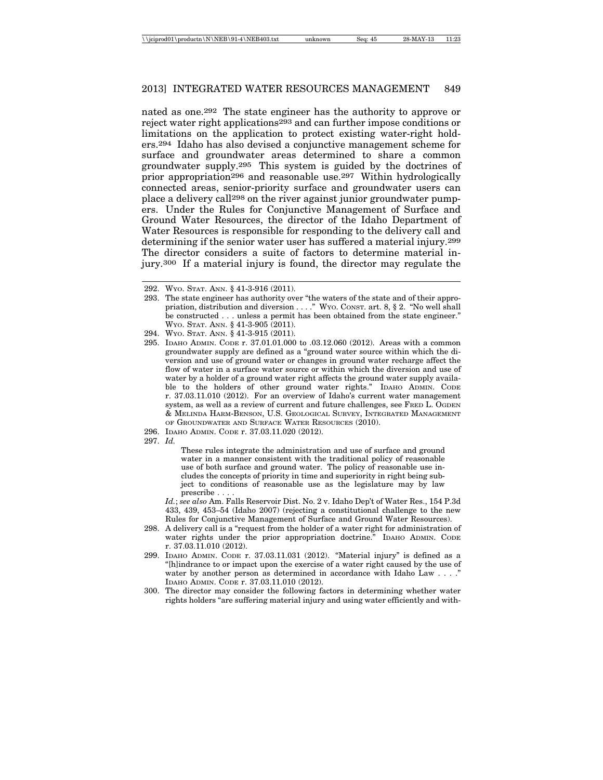nated as one.292 The state engineer has the authority to approve or reject water right applications293 and can further impose conditions or limitations on the application to protect existing water-right holders.294 Idaho has also devised a conjunctive management scheme for surface and groundwater areas determined to share a common groundwater supply.295 This system is guided by the doctrines of prior appropriation296 and reasonable use.297 Within hydrologically connected areas, senior-priority surface and groundwater users can place a delivery call298 on the river against junior groundwater pumpers. Under the Rules for Conjunctive Management of Surface and Ground Water Resources, the director of the Idaho Department of Water Resources is responsible for responding to the delivery call and determining if the senior water user has suffered a material injury.299 The director considers a suite of factors to determine material injury.300 If a material injury is found, the director may regulate the

297. *Id.*

These rules integrate the administration and use of surface and ground water in a manner consistent with the traditional policy of reasonable use of both surface and ground water. The policy of reasonable use includes the concepts of priority in time and superiority in right being subject to conditions of reasonable use as the legislature may by law prescribe . . . .

*Id.*; *see also* Am. Falls Reservoir Dist. No. 2 v. Idaho Dep't of Water Res., 154 P.3d 433, 439, 453–54 (Idaho 2007) (rejecting a constitutional challenge to the new Rules for Conjunctive Management of Surface and Ground Water Resources).

- 298. A delivery call is a "request from the holder of a water right for administration of water rights under the prior appropriation doctrine." IDAHO ADMIN. CODE r. 37.03.11.010 (2012).
- 299. IDAHO ADMIN. CODE r. 37.03.11.031 (2012). "Material injury" is defined as a "[h]indrance to or impact upon the exercise of a water right caused by the use of water by another person as determined in accordance with Idaho Law . . . ." IDAHO ADMIN. CODE r. 37.03.11.010 (2012).
- 300. The director may consider the following factors in determining whether water rights holders "are suffering material injury and using water efficiently and with-

<sup>292.</sup> WYO. STAT. ANN. § 41-3-916 (2011).

<sup>293.</sup> The state engineer has authority over "the waters of the state and of their appropriation, distribution and diversion . . . ." WYO. CONST. art. 8, § 2. "No well shall be constructed . . . unless a permit has been obtained from the state engineer." WYO. STAT. ANN. § 41-3-905 (2011).

<sup>294.</sup> WYO. STAT. ANN. § 41-3-915 (2011).

<sup>295.</sup> IDAHO ADMIN. CODE r. 37.01.01.000 to .03.12.060 (2012). Areas with a common groundwater supply are defined as a "ground water source within which the diversion and use of ground water or changes in ground water recharge affect the flow of water in a surface water source or within which the diversion and use of water by a holder of a ground water right affects the ground water supply available to the holders of other ground water rights." IDAHO ADMIN. CODE r. 37.03.11.010 (2012). For an overview of Idaho's current water management system, as well as a review of current and future challenges, see FRED L. OGDEN & MELINDA HARM-BENSON, U.S. GEOLOGICAL SURVEY, INTEGRATED MANAGEMENT OF GROUNDWATER AND SURFACE WATER RESOURCES (2010).

<sup>296.</sup> IDAHO ADMIN. CODE r. 37.03.11.020 (2012).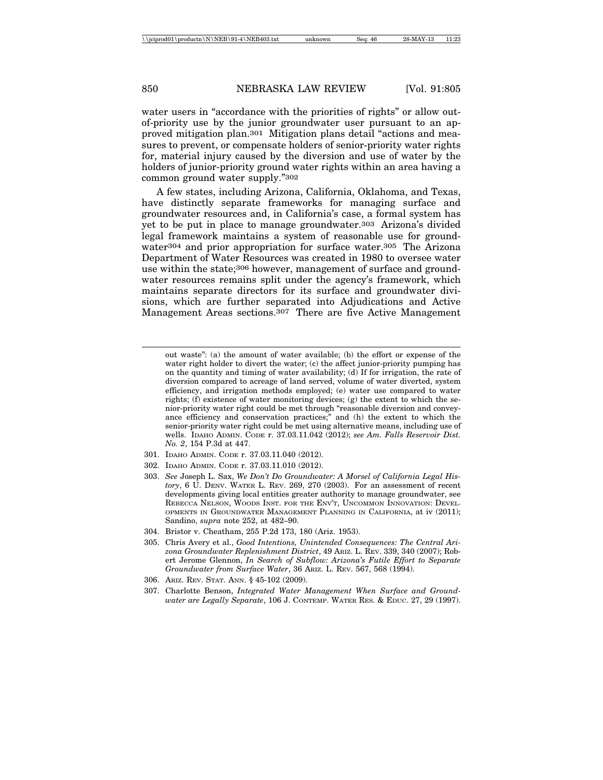water users in "accordance with the priorities of rights" or allow outof-priority use by the junior groundwater user pursuant to an approved mitigation plan.301 Mitigation plans detail "actions and measures to prevent, or compensate holders of senior-priority water rights for, material injury caused by the diversion and use of water by the holders of junior-priority ground water rights within an area having a common ground water supply."302

A few states, including Arizona, California, Oklahoma, and Texas, have distinctly separate frameworks for managing surface and groundwater resources and, in California's case, a formal system has yet to be put in place to manage groundwater.303 Arizona's divided legal framework maintains a system of reasonable use for groundwater<sup>304</sup> and prior appropriation for surface water.<sup>305</sup> The Arizona Department of Water Resources was created in 1980 to oversee water use within the state;306 however, management of surface and groundwater resources remains split under the agency's framework, which maintains separate directors for its surface and groundwater divisions, which are further separated into Adjudications and Active Management Areas sections.307 There are five Active Management

- 301. IDAHO ADMIN. CODE r. 37.03.11.040 (2012).
- 302. IDAHO ADMIN. CODE r. 37.03.11.010 (2012).
- 303. *See* Joseph L. Sax, *We Don't Do Groundwater: A Morsel of California Legal History*, 6 U. DENV. WATER L. REV. 269, 270 (2003). For an assessment of recent developments giving local entities greater authority to manage groundwater, see REBECCA NELSON, WOODS INST. FOR THE ENV'T, UNCOMMON INNOVATION: DEVEL-OPMENTS IN GROUNDWATER MANAGEMENT PLANNING IN CALIFORNIA, at iv (2011); Sandino, *supra* note 252, at 482–90.
- 304. Bristor v. Cheatham, 255 P.2d 173, 180 (Ariz. 1953).
- 305. Chris Avery et al., *Good Intentions, Unintended Consequences: The Central Arizona Groundwater Replenishment District*, 49 ARIZ. L. REV. 339, 340 (2007); Robert Jerome Glennon, *In Search of Subflow: Arizona's Futile Effort to Separate Groundwater from Surface Water*, 36 ARIZ. L. REV. 567, 568 (1994).
- 306. ARIZ. REV. STAT. ANN. § 45-102 (2009).
- 307. Charlotte Benson, *Integrated Water Management When Surface and Groundwater are Legally Separate*, 106 J. CONTEMP. WATER RES. & EDUC. 27, 29 (1997).

out waste": (a) the amount of water available; (b) the effort or expense of the water right holder to divert the water; (c) the affect junior-priority pumping has on the quantity and timing of water availability; (d) If for irrigation, the rate of diversion compared to acreage of land served, volume of water diverted, system efficiency, and irrigation methods employed; (e) water use compared to water rights; (f) existence of water monitoring devices; (g) the extent to which the senior-priority water right could be met through "reasonable diversion and conveyance efficiency and conservation practices;" and (h) the extent to which the senior-priority water right could be met using alternative means, including use of wells. IDAHO ADMIN. CODE r. 37.03.11.042 (2012); *see Am. Falls Reservoir Dist. No. 2*, 154 P.3d at 447.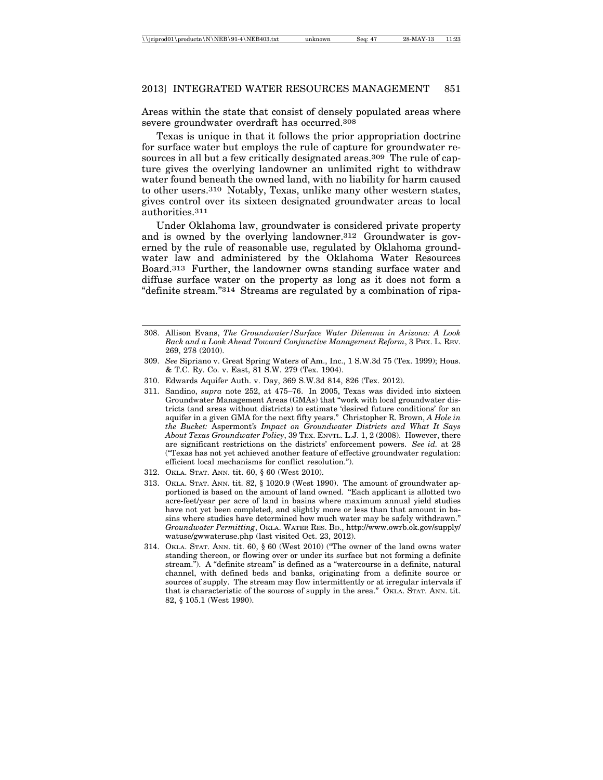Areas within the state that consist of densely populated areas where severe groundwater overdraft has occurred.308

Texas is unique in that it follows the prior appropriation doctrine for surface water but employs the rule of capture for groundwater resources in all but a few critically designated areas.<sup>309</sup> The rule of capture gives the overlying landowner an unlimited right to withdraw water found beneath the owned land, with no liability for harm caused to other users.310 Notably, Texas, unlike many other western states, gives control over its sixteen designated groundwater areas to local authorities.311

Under Oklahoma law, groundwater is considered private property and is owned by the overlying landowner.312 Groundwater is governed by the rule of reasonable use, regulated by Oklahoma groundwater law and administered by the Oklahoma Water Resources Board.313 Further, the landowner owns standing surface water and diffuse surface water on the property as long as it does not form a "definite stream."314 Streams are regulated by a combination of ripa-

- 308. Allison Evans, *The Groundwater/Surface Water Dilemma in Arizona: A Look Back and a Look Ahead Toward Conjunctive Management Reform*, 3 PHX. L. REV. 269, 278 (2010).
- 309. *See* Sipriano v. Great Spring Waters of Am., Inc., 1 S.W.3d 75 (Tex. 1999); Hous. & T.C. Ry. Co. v. East, 81 S.W. 279 (Tex. 1904).
- 310. Edwards Aquifer Auth. v. Day, 369 S.W.3d 814, 826 (Tex. 2012).
- 311. Sandino, *supra* note 252, at 475–76. In 2005, Texas was divided into sixteen Groundwater Management Areas (GMAs) that "work with local groundwater districts (and areas without districts) to estimate 'desired future conditions' for an aquifer in a given GMA for the next fifty years." Christopher R. Brown, *A Hole in the Bucket:* Aspermont*'s Impact on Groundwater Districts and What It Says About Texas Groundwater Policy*, 39 TEX. ENVTL. L.J. 1, 2 (2008). However, there are significant restrictions on the districts' enforcement powers. *See id.* at 28 ("Texas has not yet achieved another feature of effective groundwater regulation: efficient local mechanisms for conflict resolution.").
- 312. OKLA. STAT. ANN. tit. 60, § 60 (West 2010).
- 313. OKLA. STAT. ANN. tit. 82, § 1020.9 (West 1990). The amount of groundwater apportioned is based on the amount of land owned. "Each applicant is allotted two acre-feet/year per acre of land in basins where maximum annual yield studies have not yet been completed, and slightly more or less than that amount in basins where studies have determined how much water may be safely withdrawn." *Groundwater Permitting*, OKLA. WATER RES. BD., http://www.owrb.ok.gov/supply/ watuse/gwwateruse.php (last visited Oct. 23, 2012).
- 314. OKLA. STAT. ANN. tit. 60, § 60 (West 2010) ("The owner of the land owns water standing thereon, or flowing over or under its surface but not forming a definite stream."). A "definite stream" is defined as a "watercourse in a definite, natural channel, with defined beds and banks, originating from a definite source or sources of supply. The stream may flow intermittently or at irregular intervals if that is characteristic of the sources of supply in the area." OKLA. STAT. ANN. tit. 82, § 105.1 (West 1990).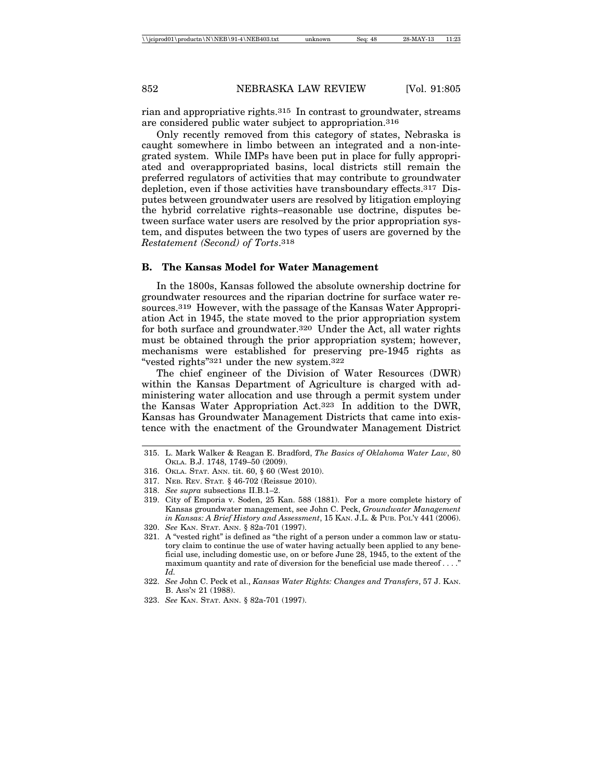rian and appropriative rights.315 In contrast to groundwater, streams are considered public water subject to appropriation.316

Only recently removed from this category of states, Nebraska is caught somewhere in limbo between an integrated and a non-integrated system. While IMPs have been put in place for fully appropriated and overappropriated basins, local districts still remain the preferred regulators of activities that may contribute to groundwater depletion, even if those activities have transboundary effects.317 Disputes between groundwater users are resolved by litigation employing the hybrid correlative rights–reasonable use doctrine, disputes between surface water users are resolved by the prior appropriation system, and disputes between the two types of users are governed by the *Restatement (Second) of Torts*.318

#### **B. The Kansas Model for Water Management**

In the 1800s, Kansas followed the absolute ownership doctrine for groundwater resources and the riparian doctrine for surface water resources.319 However, with the passage of the Kansas Water Appropriation Act in 1945, the state moved to the prior appropriation system for both surface and groundwater.320 Under the Act, all water rights must be obtained through the prior appropriation system; however, mechanisms were established for preserving pre-1945 rights as "vested rights"321 under the new system.322

The chief engineer of the Division of Water Resources (DWR) within the Kansas Department of Agriculture is charged with administering water allocation and use through a permit system under the Kansas Water Appropriation Act.323 In addition to the DWR, Kansas has Groundwater Management Districts that came into existence with the enactment of the Groundwater Management District

- 316. OKLA. STAT. ANN. tit. 60, § 60 (West 2010).
- 317. NEB. REV. STAT*.* § 46-702 (Reissue 2010).

- 320. *See* KAN. STAT. ANN. § 82a-701 (1997).
- 321. A "vested right" is defined as "the right of a person under a common law or statutory claim to continue the use of water having actually been applied to any beneficial use, including domestic use, on or before June 28, 1945, to the extent of the maximum quantity and rate of diversion for the beneficial use made thereof . . . ." *Id.*
- 322. *See* John C. Peck et al., *Kansas Water Rights: Changes and Transfers*, 57 J. KAN. B. ASS'N 21 (1988).
- 323. *See* KAN. STAT. ANN. § 82a-701 (1997).

<sup>315.</sup> L. Mark Walker & Reagan E. Bradford, *The Basics of Oklahoma Water Law*, 80 OKLA. B.J. 1748, 1749–50 (2009).

<sup>318.</sup> *See supra* subsections II.B.1–2.

<sup>319.</sup> City of Emporia v. Soden, 25 Kan. 588 (1881). For a more complete history of Kansas groundwater management, see John C. Peck, *Groundwater Management in Kansas: A Brief History and Assessment*, 15 KAN. J.L. & PUB. POL'Y 441 (2006).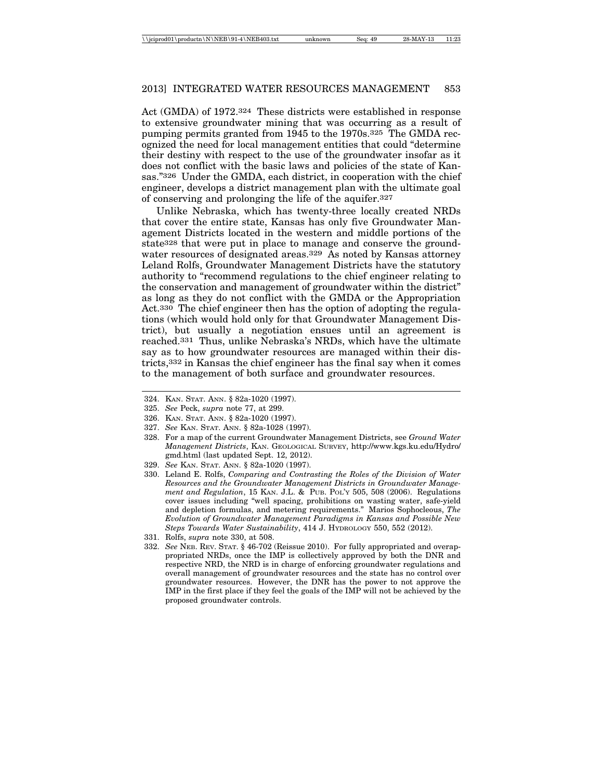Act (GMDA) of 1972.324 These districts were established in response to extensive groundwater mining that was occurring as a result of pumping permits granted from 1945 to the 1970s.325 The GMDA recognized the need for local management entities that could "determine their destiny with respect to the use of the groundwater insofar as it does not conflict with the basic laws and policies of the state of Kansas."326 Under the GMDA, each district, in cooperation with the chief engineer, develops a district management plan with the ultimate goal of conserving and prolonging the life of the aquifer.327

Unlike Nebraska, which has twenty-three locally created NRDs that cover the entire state, Kansas has only five Groundwater Management Districts located in the western and middle portions of the state328 that were put in place to manage and conserve the groundwater resources of designated areas.329 As noted by Kansas attorney Leland Rolfs, Groundwater Management Districts have the statutory authority to "recommend regulations to the chief engineer relating to the conservation and management of groundwater within the district" as long as they do not conflict with the GMDA or the Appropriation Act.330 The chief engineer then has the option of adopting the regulations (which would hold only for that Groundwater Management District), but usually a negotiation ensues until an agreement is reached.331 Thus, unlike Nebraska's NRDs, which have the ultimate say as to how groundwater resources are managed within their districts,332 in Kansas the chief engineer has the final say when it comes to the management of both surface and groundwater resources.

329. *See* KAN. STAT. ANN. § 82a-1020 (1997).

<sup>324.</sup> KAN. STAT. ANN. § 82a-1020 (1997).

<sup>325.</sup> *See* Peck, *supra* note 77, at 299.

<sup>326.</sup> KAN. STAT. ANN. § 82a-1020 (1997).

<sup>327.</sup> *See* KAN. STAT. ANN. § 82a-1028 (1997).

<sup>328.</sup> For a map of the current Groundwater Management Districts, see *Ground Water Management Districts*, KAN. GEOLOGICAL SURVEY, http://www.kgs.ku.edu/Hydro/ gmd.html (last updated Sept. 12, 2012).

<sup>330.</sup> Leland E. Rolfs, *Comparing and Contrasting the Roles of the Division of Water Resources and the Groundwater Management Districts in Groundwater Management and Regulation*, 15 KAN. J.L. & PUB. POL'Y 505, 508 (2006). Regulations cover issues including "well spacing, prohibitions on wasting water, safe-yield and depletion formulas, and metering requirements." Marios Sophocleous, *The Evolution of Groundwater Management Paradigms in Kansas and Possible New Steps Towards Water Sustainability*, 414 J. HYDROLOGY 550, 552 (2012).

<sup>331.</sup> Rolfs, *supra* note 330, at 508.

<sup>332.</sup> *See* NEB. REV. STAT. § 46-702 (Reissue 2010). For fully appropriated and overappropriated NRDs, once the IMP is collectively approved by both the DNR and respective NRD, the NRD is in charge of enforcing groundwater regulations and overall management of groundwater resources and the state has no control over groundwater resources. However, the DNR has the power to not approve the IMP in the first place if they feel the goals of the IMP will not be achieved by the proposed groundwater controls.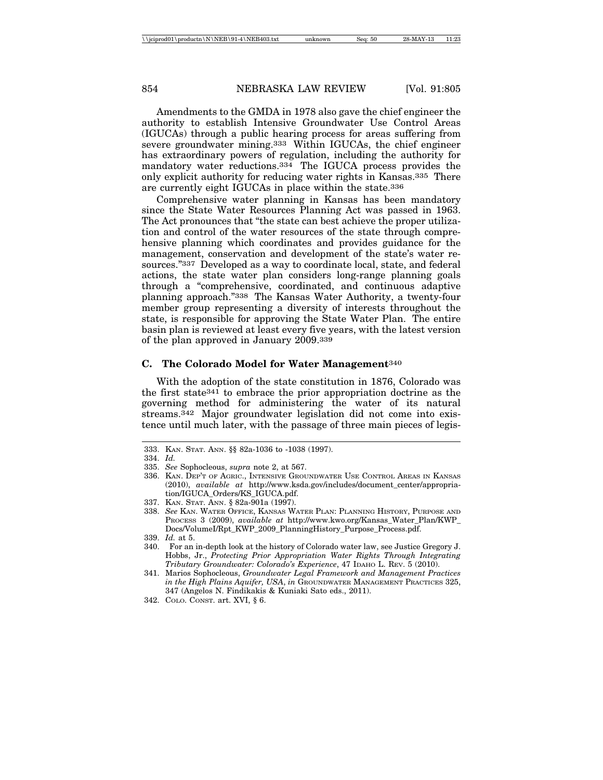Amendments to the GMDA in 1978 also gave the chief engineer the authority to establish Intensive Groundwater Use Control Areas (IGUCAs) through a public hearing process for areas suffering from severe groundwater mining.333 Within IGUCAs, the chief engineer has extraordinary powers of regulation, including the authority for mandatory water reductions.334 The IGUCA process provides the only explicit authority for reducing water rights in Kansas.335 There are currently eight IGUCAs in place within the state.336

Comprehensive water planning in Kansas has been mandatory since the State Water Resources Planning Act was passed in 1963. The Act pronounces that "the state can best achieve the proper utilization and control of the water resources of the state through comprehensive planning which coordinates and provides guidance for the management, conservation and development of the state's water resources."337 Developed as a way to coordinate local, state, and federal actions, the state water plan considers long-range planning goals through a "comprehensive, coordinated, and continuous adaptive planning approach."338 The Kansas Water Authority, a twenty-four member group representing a diversity of interests throughout the state, is responsible for approving the State Water Plan. The entire basin plan is reviewed at least every five years, with the latest version of the plan approved in January 2009.339

#### **C. The Colorado Model for Water Management**340

With the adoption of the state constitution in 1876, Colorado was the first state341 to embrace the prior appropriation doctrine as the governing method for administering the water of its natural streams.342 Major groundwater legislation did not come into existence until much later, with the passage of three main pieces of legis-

<sup>333.</sup> KAN. STAT. ANN. §§ 82a-1036 to -1038 (1997).

<sup>334.</sup> *Id.*

<sup>335.</sup> *See* Sophocleous, *supra* note 2, at 567.

<sup>336.</sup> KAN. DEP'T OF AGRIC., INTENSIVE GROUNDWATER USE CONTROL AREAS IN KANSAS (2010), *available at* http://www.ksda.gov/includes/document\_center/appropriation/IGUCA\_Orders/KS\_IGUCA.pdf.

<sup>337.</sup> KAN. STAT. ANN. § 82a-901a (1997).

<sup>338.</sup> *See* KAN. WATER OFFICE, KANSAS WATER PLAN: PLANNING HISTORY, PURPOSE AND PROCESS 3 (2009), *available at* http://www.kwo.org/Kansas\_Water\_Plan/KWP\_ Docs/VolumeI/Rpt\_KWP\_2009\_PlanningHistory\_Purpose\_Process.pdf.

<sup>339.</sup> *Id.* at 5.

<sup>340.</sup> For an in-depth look at the history of Colorado water law, see Justice Gregory J. Hobbs, Jr., *Protecting Prior Appropriation Water Rights Through Integrating Tributary Groundwater: Colorado's Experience*, 47 IDAHO L. REV. 5 (2010).

<sup>341.</sup> Marios Sophocleous, *Groundwater Legal Framework and Management Practices in the High Plains Aquifer, USA*, *in* GROUNDWATER MANAGEMENT PRACTICES 325, 347 (Angelos N. Findikakis & Kuniaki Sato eds., 2011).

<sup>342.</sup> COLO. CONST. art. XVI, § 6.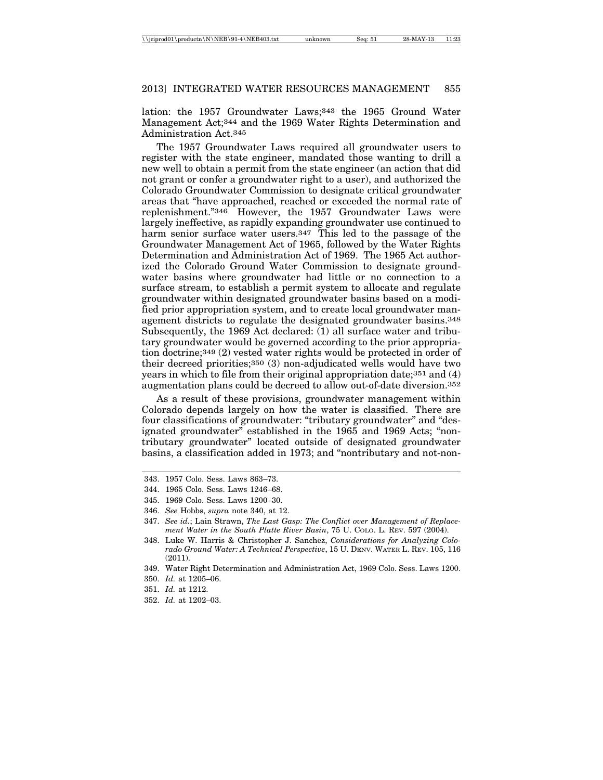lation: the 1957 Groundwater Laws;343 the 1965 Ground Water Management Act;344 and the 1969 Water Rights Determination and Administration Act.345

The 1957 Groundwater Laws required all groundwater users to register with the state engineer, mandated those wanting to drill a new well to obtain a permit from the state engineer (an action that did not grant or confer a groundwater right to a user), and authorized the Colorado Groundwater Commission to designate critical groundwater areas that "have approached, reached or exceeded the normal rate of replenishment."346 However, the 1957 Groundwater Laws were largely ineffective, as rapidly expanding groundwater use continued to harm senior surface water users.<sup>347</sup> This led to the passage of the Groundwater Management Act of 1965, followed by the Water Rights Determination and Administration Act of 1969. The 1965 Act authorized the Colorado Ground Water Commission to designate groundwater basins where groundwater had little or no connection to a surface stream, to establish a permit system to allocate and regulate groundwater within designated groundwater basins based on a modified prior appropriation system, and to create local groundwater management districts to regulate the designated groundwater basins.348 Subsequently, the 1969 Act declared: (1) all surface water and tributary groundwater would be governed according to the prior appropriation doctrine;349 (2) vested water rights would be protected in order of their decreed priorities;350 (3) non-adjudicated wells would have two years in which to file from their original appropriation date;351 and (4) augmentation plans could be decreed to allow out-of-date diversion.352

As a result of these provisions, groundwater management within Colorado depends largely on how the water is classified. There are four classifications of groundwater: "tributary groundwater" and "designated groundwater" established in the 1965 and 1969 Acts; "nontributary groundwater" located outside of designated groundwater basins, a classification added in 1973; and "nontributary and not-non-

350. *Id.* at 1205–06.

352. *Id.* at 1202–03.

<sup>343. 1957</sup> Colo. Sess. Laws 863–73.

<sup>344. 1965</sup> Colo. Sess. Laws 1246–68.

<sup>345. 1969</sup> Colo. Sess. Laws 1200–30.

<sup>346.</sup> *See* Hobbs, *supra* note 340, at 12.

<sup>347.</sup> *See id.*; Lain Strawn, *The Last Gasp: The Conflict over Management of Replacement Water in the South Platte River Basin*, 75 U. COLO. L. REV. 597 (2004).

<sup>348.</sup> Luke W. Harris & Christopher J. Sanchez, *Considerations for Analyzing Colorado Ground Water: A Technical Perspective*, 15 U. DENV. WATER L. REV. 105, 116 (2011).

<sup>349.</sup> Water Right Determination and Administration Act, 1969 Colo. Sess. Laws 1200.

<sup>351.</sup> *Id.* at 1212.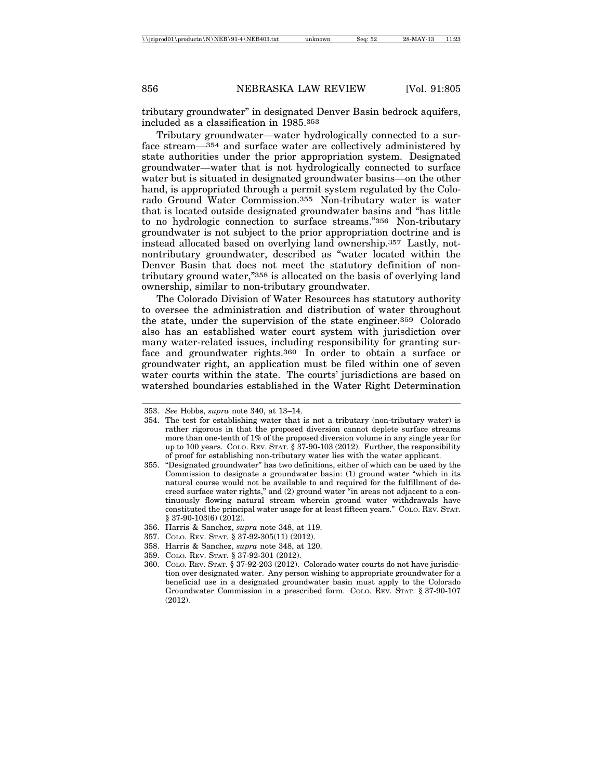tributary groundwater" in designated Denver Basin bedrock aquifers, included as a classification in 1985.353

Tributary groundwater—water hydrologically connected to a surface stream—354 and surface water are collectively administered by state authorities under the prior appropriation system. Designated groundwater—water that is not hydrologically connected to surface water but is situated in designated groundwater basins—on the other hand, is appropriated through a permit system regulated by the Colorado Ground Water Commission.355 Non-tributary water is water that is located outside designated groundwater basins and "has little to no hydrologic connection to surface streams."356 Non-tributary groundwater is not subject to the prior appropriation doctrine and is instead allocated based on overlying land ownership.357 Lastly, notnontributary groundwater, described as "water located within the Denver Basin that does not meet the statutory definition of nontributary ground water,"358 is allocated on the basis of overlying land ownership, similar to non-tributary groundwater.

The Colorado Division of Water Resources has statutory authority to oversee the administration and distribution of water throughout the state, under the supervision of the state engineer.359 Colorado also has an established water court system with jurisdiction over many water-related issues, including responsibility for granting surface and groundwater rights.360 In order to obtain a surface or groundwater right, an application must be filed within one of seven water courts within the state. The courts' jurisdictions are based on watershed boundaries established in the Water Right Determination

- 358. Harris & Sanchez, *supra* note 348, at 120.
- 359. COLO. REV. STAT. § 37-92-301 (2012).

<sup>353.</sup> *See* Hobbs, *supra* note 340, at 13–14.

<sup>354.</sup> The test for establishing water that is not a tributary (non-tributary water) is rather rigorous in that the proposed diversion cannot deplete surface streams more than one-tenth of 1% of the proposed diversion volume in any single year for up to 100 years. COLO. REV. STAT. § 37-90-103 (2012). Further, the responsibility of proof for establishing non-tributary water lies with the water applicant.

<sup>355. &</sup>quot;Designated groundwater" has two definitions, either of which can be used by the Commission to designate a groundwater basin: (1) ground water "which in its natural course would not be available to and required for the fulfillment of decreed surface water rights," and (2) ground water "in areas not adjacent to a continuously flowing natural stream wherein ground water withdrawals have constituted the principal water usage for at least fifteen years." COLO. REV. STAT. § 37-90-103(6) (2012).

<sup>356.</sup> Harris & Sanchez, *supra* note 348, at 119.

<sup>357.</sup> COLO. REV. STAT. § 37-92-305(11) (2012).

<sup>360.</sup> COLO. REV. STAT. § 37-92-203 (2012). Colorado water courts do not have jurisdiction over designated water. Any person wishing to appropriate groundwater for a beneficial use in a designated groundwater basin must apply to the Colorado Groundwater Commission in a prescribed form. COLO. REV. STAT. § 37-90-107 (2012).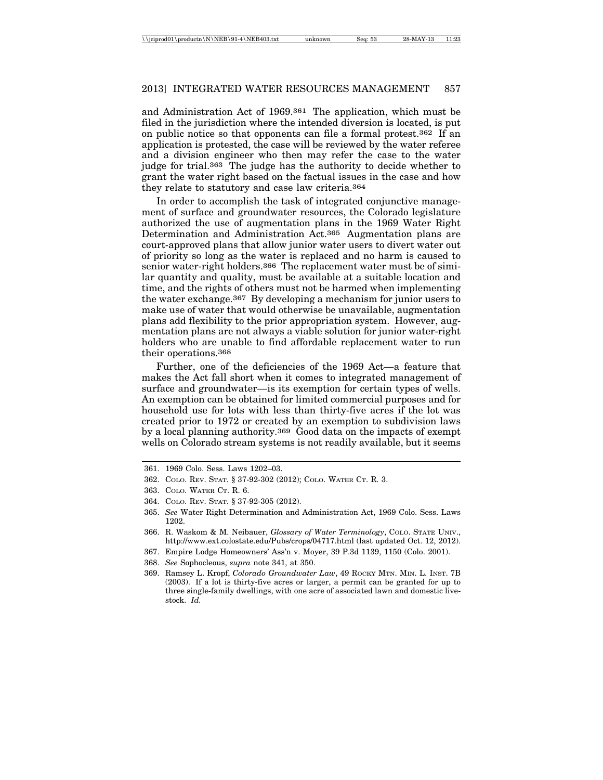and Administration Act of 1969.361 The application, which must be filed in the jurisdiction where the intended diversion is located, is put on public notice so that opponents can file a formal protest.362 If an application is protested, the case will be reviewed by the water referee and a division engineer who then may refer the case to the water judge for trial.363 The judge has the authority to decide whether to grant the water right based on the factual issues in the case and how they relate to statutory and case law criteria.364

In order to accomplish the task of integrated conjunctive management of surface and groundwater resources, the Colorado legislature authorized the use of augmentation plans in the 1969 Water Right Determination and Administration Act.365 Augmentation plans are court-approved plans that allow junior water users to divert water out of priority so long as the water is replaced and no harm is caused to senior water-right holders.366 The replacement water must be of similar quantity and quality, must be available at a suitable location and time, and the rights of others must not be harmed when implementing the water exchange.367 By developing a mechanism for junior users to make use of water that would otherwise be unavailable, augmentation plans add flexibility to the prior appropriation system. However, augmentation plans are not always a viable solution for junior water-right holders who are unable to find affordable replacement water to run their operations.368

Further, one of the deficiencies of the 1969 Act—a feature that makes the Act fall short when it comes to integrated management of surface and groundwater—is its exemption for certain types of wells. An exemption can be obtained for limited commercial purposes and for household use for lots with less than thirty-five acres if the lot was created prior to 1972 or created by an exemption to subdivision laws by a local planning authority.369 Good data on the impacts of exempt wells on Colorado stream systems is not readily available, but it seems

368. *See* Sophocleous, *supra* note 341, at 350.

<sup>361. 1969</sup> Colo. Sess. Laws 1202–03.

<sup>362.</sup> COLO. REV. STAT. § 37-92-302 (2012); COLO. WATER CT. R. 3.

<sup>363.</sup> COLO. WATER CT. R. 6.

<sup>364.</sup> COLO. REV. STAT. § 37-92-305 (2012).

<sup>365.</sup> *See* Water Right Determination and Administration Act, 1969 Colo. Sess. Laws 1202.

<sup>366.</sup> R. Waskom & M. Neibauer, *Glossary of Water Terminology*, COLO. STATE UNIV., http://www.ext.colostate.edu/Pubs/crops/04717.html (last updated Oct. 12, 2012).

<sup>367.</sup> Empire Lodge Homeowners' Ass'n v. Moyer, 39 P.3d 1139, 1150 (Colo. 2001).

<sup>369.</sup> Ramsey L. Kropf, *Colorado Groundwater Law*, 49 ROCKY MTN. MIN. L. INST. 7B (2003). If a lot is thirty-five acres or larger, a permit can be granted for up to three single-family dwellings, with one acre of associated lawn and domestic livestock. *Id.*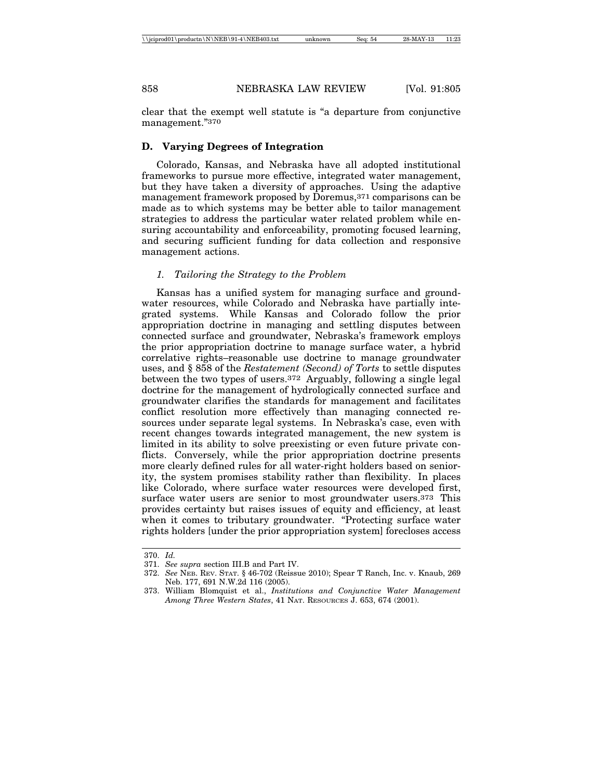clear that the exempt well statute is "a departure from conjunctive management."370

## **D. Varying Degrees of Integration**

Colorado, Kansas, and Nebraska have all adopted institutional frameworks to pursue more effective, integrated water management, but they have taken a diversity of approaches. Using the adaptive management framework proposed by Doremus,371 comparisons can be made as to which systems may be better able to tailor management strategies to address the particular water related problem while ensuring accountability and enforceability, promoting focused learning, and securing sufficient funding for data collection and responsive management actions.

#### *1. Tailoring the Strategy to the Problem*

Kansas has a unified system for managing surface and groundwater resources, while Colorado and Nebraska have partially integrated systems. While Kansas and Colorado follow the prior appropriation doctrine in managing and settling disputes between connected surface and groundwater, Nebraska's framework employs the prior appropriation doctrine to manage surface water, a hybrid correlative rights–reasonable use doctrine to manage groundwater uses, and § 858 of the *Restatement (Second) of Torts* to settle disputes between the two types of users.372 Arguably, following a single legal doctrine for the management of hydrologically connected surface and groundwater clarifies the standards for management and facilitates conflict resolution more effectively than managing connected resources under separate legal systems. In Nebraska's case, even with recent changes towards integrated management, the new system is limited in its ability to solve preexisting or even future private conflicts. Conversely, while the prior appropriation doctrine presents more clearly defined rules for all water-right holders based on seniority, the system promises stability rather than flexibility. In places like Colorado, where surface water resources were developed first, surface water users are senior to most groundwater users.373 This provides certainty but raises issues of equity and efficiency, at least when it comes to tributary groundwater. "Protecting surface water rights holders [under the prior appropriation system] forecloses access

<sup>370.</sup> *Id.*

<sup>371.</sup> *See supra* section III.B and Part IV.

<sup>372.</sup> *See* NEB. REV. STAT. § 46-702 (Reissue 2010); Spear T Ranch, Inc. v. Knaub, 269 Neb. 177, 691 N.W.2d 116 (2005).

<sup>373.</sup> William Blomquist et al., *Institutions and Conjunctive Water Management Among Three Western States*, 41 NAT. RESOURCES J. 653, 674 (2001).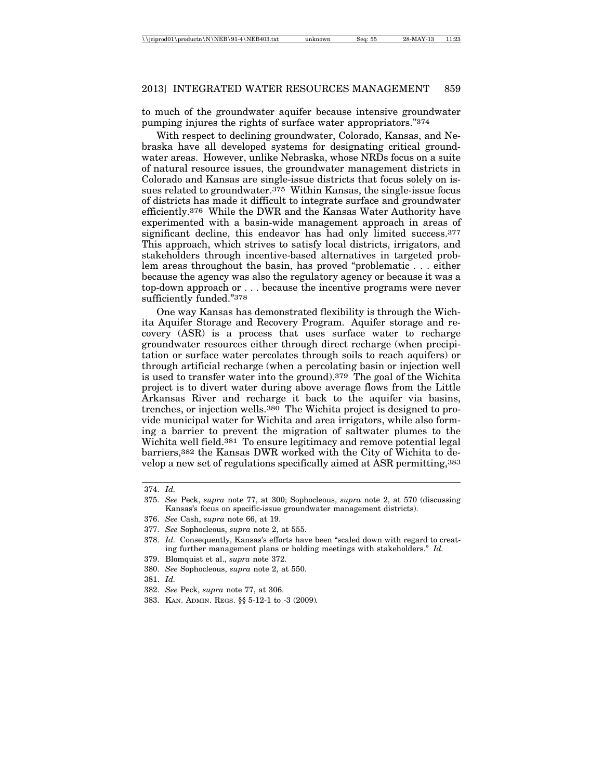to much of the groundwater aquifer because intensive groundwater pumping injures the rights of surface water appropriators."374

With respect to declining groundwater, Colorado, Kansas, and Nebraska have all developed systems for designating critical groundwater areas. However, unlike Nebraska, whose NRDs focus on a suite of natural resource issues, the groundwater management districts in Colorado and Kansas are single-issue districts that focus solely on issues related to groundwater.375 Within Kansas, the single-issue focus of districts has made it difficult to integrate surface and groundwater efficiently.376 While the DWR and the Kansas Water Authority have experimented with a basin-wide management approach in areas of significant decline, this endeavor has had only limited success.<sup>377</sup> This approach, which strives to satisfy local districts, irrigators, and stakeholders through incentive-based alternatives in targeted problem areas throughout the basin, has proved "problematic . . . either because the agency was also the regulatory agency or because it was a top-down approach or . . . because the incentive programs were never sufficiently funded."378

One way Kansas has demonstrated flexibility is through the Wichita Aquifer Storage and Recovery Program. Aquifer storage and recovery (ASR) is a process that uses surface water to recharge groundwater resources either through direct recharge (when precipitation or surface water percolates through soils to reach aquifers) or through artificial recharge (when a percolating basin or injection well is used to transfer water into the ground).379 The goal of the Wichita project is to divert water during above average flows from the Little Arkansas River and recharge it back to the aquifer via basins, trenches, or injection wells.380 The Wichita project is designed to provide municipal water for Wichita and area irrigators, while also forming a barrier to prevent the migration of saltwater plumes to the Wichita well field.381 To ensure legitimacy and remove potential legal barriers,382 the Kansas DWR worked with the City of Wichita to develop a new set of regulations specifically aimed at ASR permitting,383

- 379. Blomquist et al., *supra* note 372.
- 380. *See* Sophocleous, *supra* note 2, at 550.
- 381. *Id.*

383. KAN. ADMIN. REGS. §§ 5-12-1 to -3 (2009)*.*

<sup>374.</sup> *Id.*

<sup>375.</sup> *See* Peck, *supra* note 77, at 300; Sophocleous, *supra* note 2, at 570 (discussing Kansas's focus on specific-issue groundwater management districts).

<sup>376.</sup> *See* Cash, *supra* note 66, at 19.

<sup>377.</sup> *See* Sophocleous, *supra* note 2, at 555.

<sup>378.</sup> *Id.* Consequently, Kansas's efforts have been "scaled down with regard to creating further management plans or holding meetings with stakeholders." *Id.*

<sup>382.</sup> *See* Peck, *supra* note 77, at 306.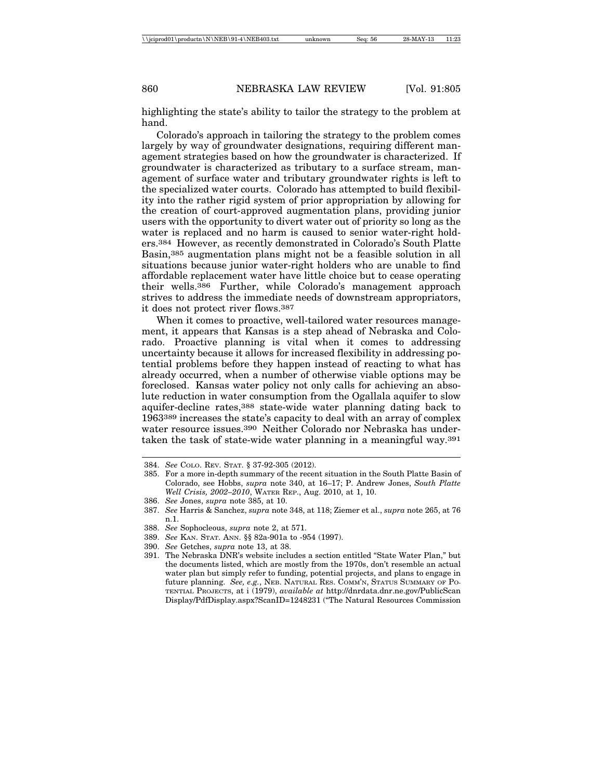highlighting the state's ability to tailor the strategy to the problem at hand.

Colorado's approach in tailoring the strategy to the problem comes largely by way of groundwater designations, requiring different management strategies based on how the groundwater is characterized. If groundwater is characterized as tributary to a surface stream, management of surface water and tributary groundwater rights is left to the specialized water courts. Colorado has attempted to build flexibility into the rather rigid system of prior appropriation by allowing for the creation of court-approved augmentation plans, providing junior users with the opportunity to divert water out of priority so long as the water is replaced and no harm is caused to senior water-right holders.384 However, as recently demonstrated in Colorado's South Platte Basin,385 augmentation plans might not be a feasible solution in all situations because junior water-right holders who are unable to find affordable replacement water have little choice but to cease operating their wells.386 Further, while Colorado's management approach strives to address the immediate needs of downstream appropriators, it does not protect river flows.387

When it comes to proactive, well-tailored water resources management, it appears that Kansas is a step ahead of Nebraska and Colorado. Proactive planning is vital when it comes to addressing uncertainty because it allows for increased flexibility in addressing potential problems before they happen instead of reacting to what has already occurred, when a number of otherwise viable options may be foreclosed. Kansas water policy not only calls for achieving an absolute reduction in water consumption from the Ogallala aquifer to slow aquifer-decline rates,388 state-wide water planning dating back to 1963389 increases the state's capacity to deal with an array of complex water resource issues.390 Neither Colorado nor Nebraska has undertaken the task of state-wide water planning in a meaningful way.391

390. *See* Getches, *supra* note 13, at 38.

<sup>384.</sup> *See* COLO. REV. STAT. § 37-92-305 (2012).

<sup>385.</sup> For a more in-depth summary of the recent situation in the South Platte Basin of Colorado, see Hobbs, *supra* note 340, at 16–17; P. Andrew Jones, *South Platte Well Crisis, 2002–2010*, WATER REP., Aug. 2010, at 1, 10.

<sup>386.</sup> *See* Jones, *supra* note 385, at 10.

<sup>387.</sup> *See* Harris & Sanchez, *supra* note 348, at 118; Ziemer et al., *supra* note 265, at 76 n.1.

<sup>388.</sup> *See* Sophocleous, *supra* note 2, at 571.

<sup>389.</sup> *See* KAN. STAT. ANN. §§ 82a-901a to -954 (1997).

<sup>391.</sup> The Nebraska DNR's website includes a section entitled "State Water Plan," but the documents listed, which are mostly from the 1970s, don't resemble an actual water plan but simply refer to funding, potential projects, and plans to engage in future planning. *See, e.g.*, NEB. NATURAL RES. COMM'N, STATUS SUMMARY OF PO-TENTIAL PROJECTS, at i (1979), *available at* http://dnrdata.dnr.ne.gov/PublicScan Display/PdfDisplay.aspx?ScanID=1248231 ("The Natural Resources Commission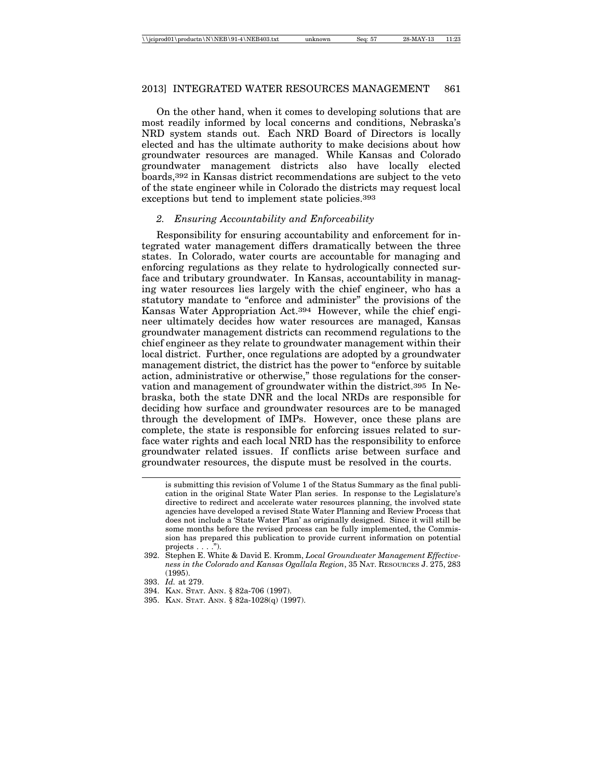On the other hand, when it comes to developing solutions that are most readily informed by local concerns and conditions, Nebraska's NRD system stands out. Each NRD Board of Directors is locally elected and has the ultimate authority to make decisions about how groundwater resources are managed. While Kansas and Colorado groundwater management districts also have locally elected boards,392 in Kansas district recommendations are subject to the veto of the state engineer while in Colorado the districts may request local exceptions but tend to implement state policies.393

#### *2. Ensuring Accountability and Enforceability*

Responsibility for ensuring accountability and enforcement for integrated water management differs dramatically between the three states. In Colorado, water courts are accountable for managing and enforcing regulations as they relate to hydrologically connected surface and tributary groundwater. In Kansas, accountability in managing water resources lies largely with the chief engineer, who has a statutory mandate to "enforce and administer" the provisions of the Kansas Water Appropriation Act.394 However, while the chief engineer ultimately decides how water resources are managed, Kansas groundwater management districts can recommend regulations to the chief engineer as they relate to groundwater management within their local district. Further, once regulations are adopted by a groundwater management district, the district has the power to "enforce by suitable action, administrative or otherwise," those regulations for the conservation and management of groundwater within the district.395 In Nebraska, both the state DNR and the local NRDs are responsible for deciding how surface and groundwater resources are to be managed through the development of IMPs. However, once these plans are complete, the state is responsible for enforcing issues related to surface water rights and each local NRD has the responsibility to enforce groundwater related issues. If conflicts arise between surface and groundwater resources, the dispute must be resolved in the courts.

is submitting this revision of Volume 1 of the Status Summary as the final publication in the original State Water Plan series. In response to the Legislature's directive to redirect and accelerate water resources planning, the involved state agencies have developed a revised State Water Planning and Review Process that does not include a 'State Water Plan' as originally designed. Since it will still be some months before the revised process can be fully implemented, the Commission has prepared this publication to provide current information on potential projects  $\dots$  .").

<sup>392.</sup> Stephen E. White & David E. Kromm, *Local Groundwater Management Effectiveness in the Colorado and Kansas Ogallala Region*, 35 NAT. RESOURCES J. 275, 283 (1995).

<sup>393.</sup> *Id.* at 279.

<sup>394.</sup> KAN. STAT. ANN. § 82a-706 (1997).

<sup>395.</sup> KAN. STAT. ANN. § 82a-1028(q) (1997).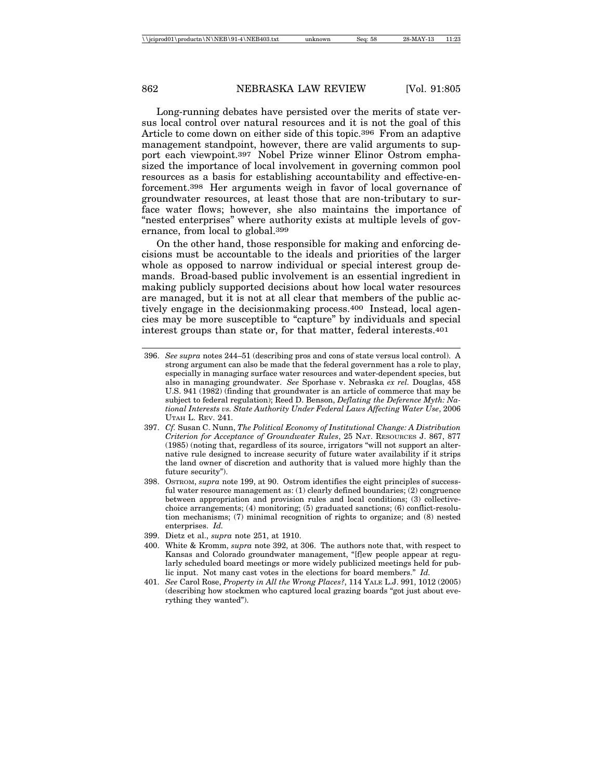Long-running debates have persisted over the merits of state versus local control over natural resources and it is not the goal of this Article to come down on either side of this topic.396 From an adaptive management standpoint, however, there are valid arguments to support each viewpoint.397 Nobel Prize winner Elinor Ostrom emphasized the importance of local involvement in governing common pool resources as a basis for establishing accountability and effective-enforcement.398 Her arguments weigh in favor of local governance of groundwater resources, at least those that are non-tributary to surface water flows; however, she also maintains the importance of "nested enterprises" where authority exists at multiple levels of governance, from local to global.399

On the other hand, those responsible for making and enforcing decisions must be accountable to the ideals and priorities of the larger whole as opposed to narrow individual or special interest group demands. Broad-based public involvement is an essential ingredient in making publicly supported decisions about how local water resources are managed, but it is not at all clear that members of the public actively engage in the decisionmaking process.400 Instead, local agencies may be more susceptible to "capture" by individuals and special interest groups than state or, for that matter, federal interests.401

- 397. *Cf.* Susan C. Nunn, *The Political Economy of Institutional Change: A Distribution Criterion for Acceptance of Groundwater Rules*, 25 NAT. RESOURCES J. 867, 877 (1985) (noting that, regardless of its source, irrigators "will not support an alternative rule designed to increase security of future water availability if it strips the land owner of discretion and authority that is valued more highly than the future security").
- 398. OSTROM, *supra* note 199, at 90. Ostrom identifies the eight principles of successful water resource management as: (1) clearly defined boundaries; (2) congruence between appropriation and provision rules and local conditions; (3) collectivechoice arrangements; (4) monitoring; (5) graduated sanctions; (6) conflict-resolution mechanisms; (7) minimal recognition of rights to organize; and (8) nested enterprises. *Id.*
- 399. Dietz et al., *supra* note 251, at 1910.
- 400. White & Kromm, *supra* note 392, at 306. The authors note that, with respect to Kansas and Colorado groundwater management, "[f]ew people appear at regularly scheduled board meetings or more widely publicized meetings held for public input. Not many cast votes in the elections for board members." *Id.*
- 401. *See* Carol Rose, *Property in All the Wrong Places?*, 114 YALE L.J. 991, 1012 (2005) (describing how stockmen who captured local grazing boards "got just about everything they wanted").

<sup>396.</sup> *See supra* notes 244–51 (describing pros and cons of state versus local control). A strong argument can also be made that the federal government has a role to play, especially in managing surface water resources and water-dependent species, but also in managing groundwater. *See* Sporhase v. Nebraska *ex rel.* Douglas, 458 U.S. 941 (1982) (finding that groundwater is an article of commerce that may be subject to federal regulation); Reed D. Benson, *Deflating the Deference Myth: National Interests vs. State Authority Under Federal Laws Affecting Water Use*, 2006 UTAH L. REV. 241.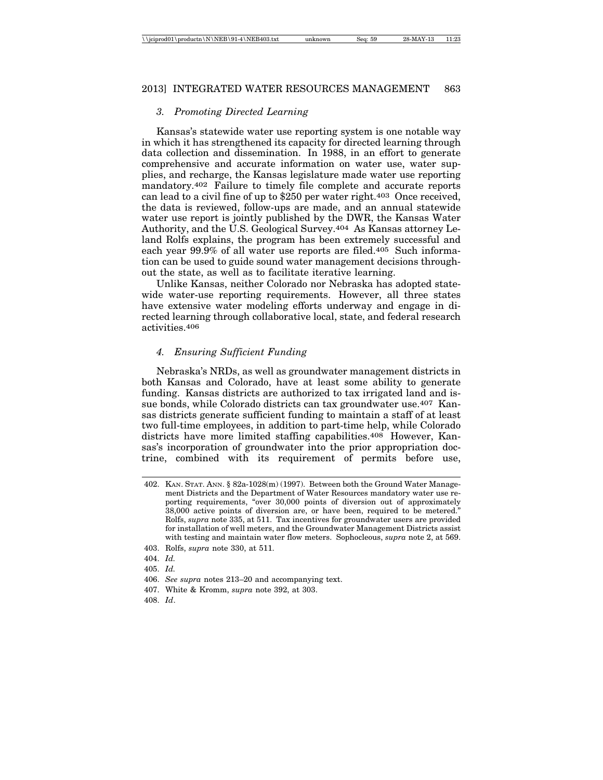## *3. Promoting Directed Learning*

Kansas's statewide water use reporting system is one notable way in which it has strengthened its capacity for directed learning through data collection and dissemination. In 1988, in an effort to generate comprehensive and accurate information on water use, water supplies, and recharge, the Kansas legislature made water use reporting mandatory.402 Failure to timely file complete and accurate reports can lead to a civil fine of up to \$250 per water right.403 Once received, the data is reviewed, follow-ups are made, and an annual statewide water use report is jointly published by the DWR, the Kansas Water Authority, and the U.S. Geological Survey.404 As Kansas attorney Leland Rolfs explains, the program has been extremely successful and each year 99.9% of all water use reports are filed.405 Such information can be used to guide sound water management decisions throughout the state, as well as to facilitate iterative learning.

Unlike Kansas, neither Colorado nor Nebraska has adopted statewide water-use reporting requirements. However, all three states have extensive water modeling efforts underway and engage in directed learning through collaborative local, state, and federal research activities.406

#### *4. Ensuring Sufficient Funding*

Nebraska's NRDs, as well as groundwater management districts in both Kansas and Colorado, have at least some ability to generate funding. Kansas districts are authorized to tax irrigated land and issue bonds, while Colorado districts can tax groundwater use.407 Kansas districts generate sufficient funding to maintain a staff of at least two full-time employees, in addition to part-time help, while Colorado districts have more limited staffing capabilities.408 However, Kansas's incorporation of groundwater into the prior appropriation doctrine, combined with its requirement of permits before use,

408. *Id*.

<sup>402.</sup> KAN. STAT. ANN. § 82a-1028(m) (1997). Between both the Ground Water Management Districts and the Department of Water Resources mandatory water use reporting requirements, "over 30,000 points of diversion out of approximately 38,000 active points of diversion are, or have been, required to be metered." Rolfs, *supra* note 335, at 511. Tax incentives for groundwater users are provided for installation of well meters, and the Groundwater Management Districts assist with testing and maintain water flow meters. Sophocleous, *supra* note 2, at 569.

<sup>403.</sup> Rolfs, *supra* note 330, at 511.

<sup>404.</sup> *Id.*

<sup>405.</sup> *Id.*

<sup>406.</sup> *See supra* notes 213–20 and accompanying text.

<sup>407.</sup> White & Kromm, *supra* note 392, at 303.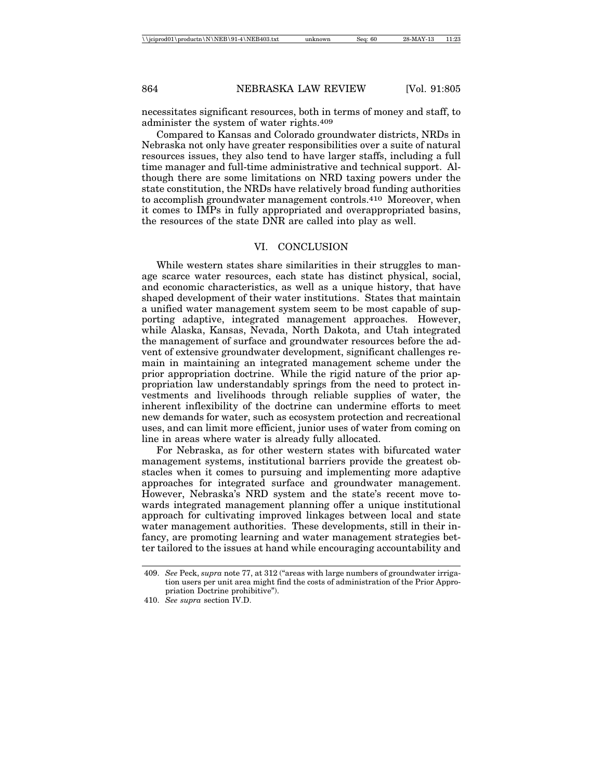necessitates significant resources, both in terms of money and staff, to administer the system of water rights.409

Compared to Kansas and Colorado groundwater districts, NRDs in Nebraska not only have greater responsibilities over a suite of natural resources issues, they also tend to have larger staffs, including a full time manager and full-time administrative and technical support. Although there are some limitations on NRD taxing powers under the state constitution, the NRDs have relatively broad funding authorities to accomplish groundwater management controls.410 Moreover, when it comes to IMPs in fully appropriated and overappropriated basins, the resources of the state DNR are called into play as well.

## VI. CONCLUSION

While western states share similarities in their struggles to manage scarce water resources, each state has distinct physical, social, and economic characteristics, as well as a unique history, that have shaped development of their water institutions. States that maintain a unified water management system seem to be most capable of supporting adaptive, integrated management approaches. However, while Alaska, Kansas, Nevada, North Dakota, and Utah integrated the management of surface and groundwater resources before the advent of extensive groundwater development, significant challenges remain in maintaining an integrated management scheme under the prior appropriation doctrine. While the rigid nature of the prior appropriation law understandably springs from the need to protect investments and livelihoods through reliable supplies of water, the inherent inflexibility of the doctrine can undermine efforts to meet new demands for water, such as ecosystem protection and recreational uses, and can limit more efficient, junior uses of water from coming on line in areas where water is already fully allocated.

For Nebraska, as for other western states with bifurcated water management systems, institutional barriers provide the greatest obstacles when it comes to pursuing and implementing more adaptive approaches for integrated surface and groundwater management. However, Nebraska's NRD system and the state's recent move towards integrated management planning offer a unique institutional approach for cultivating improved linkages between local and state water management authorities. These developments, still in their infancy, are promoting learning and water management strategies better tailored to the issues at hand while encouraging accountability and

<sup>409.</sup> *See* Peck, *supra* note 77, at 312 ("areas with large numbers of groundwater irrigation users per unit area might find the costs of administration of the Prior Appropriation Doctrine prohibitive").

<sup>410.</sup> *See supra* section IV.D.